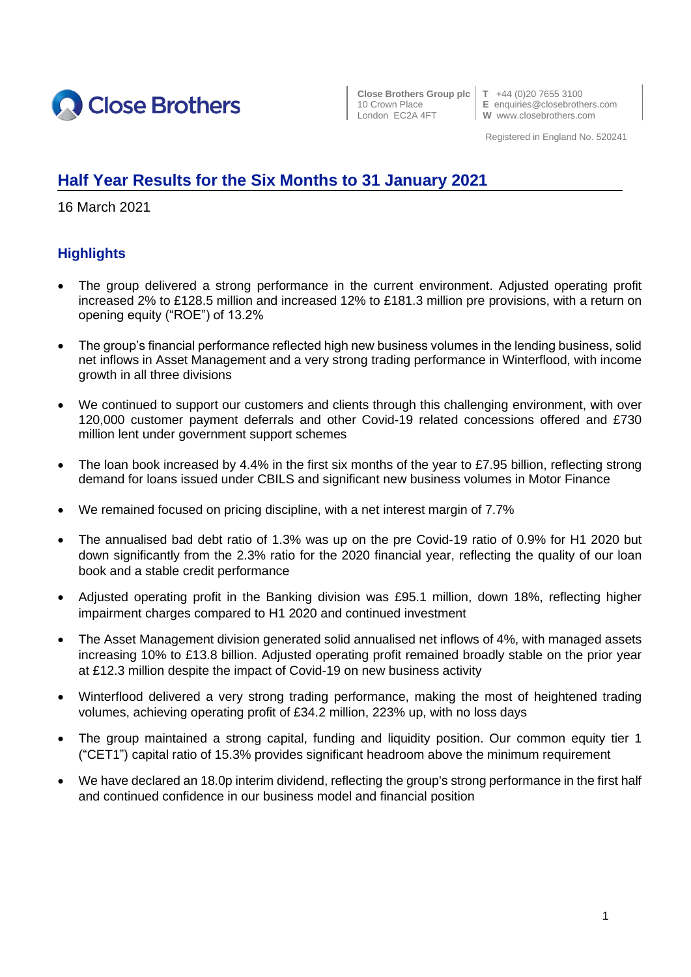

**Close Brothers Group plc T** +44 (0)20 7655 3100

10 Crown Place **E** enquiries@closebrothers.com<br>
London EC2A 4FT **W** www.closebrothers.com W www.closebrothers.com

Registered in England No. 520241

## **Half Year Results for the Six Months to 31 January 2021**

16 March 2021

## **Highlights**

- The group delivered a strong performance in the current environment. Adjusted operating profit increased 2% to £128.5 million and increased 12% to £181.3 million pre provisions, with a return on opening equity ("ROE") of 13.2%
- The group's financial performance reflected high new business volumes in the lending business, solid net inflows in Asset Management and a very strong trading performance in Winterflood, with income growth in all three divisions
- We continued to support our customers and clients through this challenging environment, with over 120,000 customer payment deferrals and other Covid-19 related concessions offered and £730 million lent under government support schemes
- The loan book increased by 4.4% in the first six months of the year to £7.95 billion, reflecting strong demand for loans issued under CBILS and significant new business volumes in Motor Finance
- We remained focused on pricing discipline, with a net interest margin of 7.7%
- The annualised bad debt ratio of 1.3% was up on the pre Covid-19 ratio of 0.9% for H1 2020 but down significantly from the 2.3% ratio for the 2020 financial year, reflecting the quality of our loan book and a stable credit performance
- Adjusted operating profit in the Banking division was £95.1 million, down 18%, reflecting higher impairment charges compared to H1 2020 and continued investment
- The Asset Management division generated solid annualised net inflows of 4%, with managed assets increasing 10% to £13.8 billion. Adjusted operating profit remained broadly stable on the prior year at £12.3 million despite the impact of Covid-19 on new business activity
- Winterflood delivered a very strong trading performance, making the most of heightened trading volumes, achieving operating profit of £34.2 million, 223% up, with no loss days
- The group maintained a strong capital, funding and liquidity position. Our common equity tier 1 ("CET1") capital ratio of 15.3% provides significant headroom above the minimum requirement
- We have declared an 18.0p interim dividend, reflecting the group's strong performance in the first half and continued confidence in our business model and financial position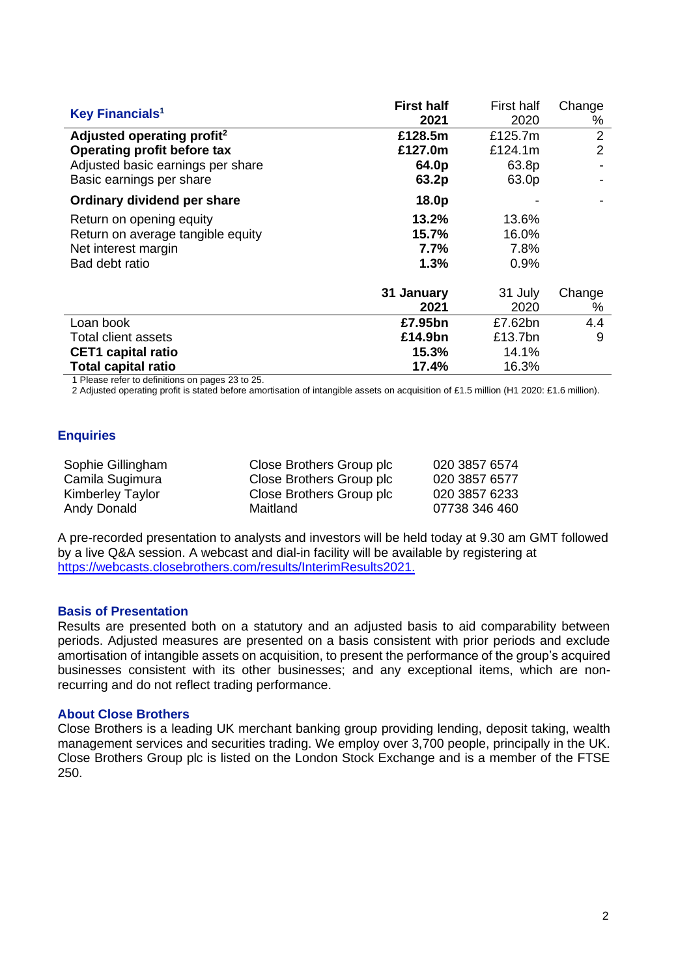|                                        | <b>First half</b> | <b>First half</b> | Change         |
|----------------------------------------|-------------------|-------------------|----------------|
| Key Financials <sup>1</sup>            | 2021              | 2020              | %              |
| Adjusted operating profit <sup>2</sup> | £128.5m           | £125.7m           | $\overline{2}$ |
| Operating profit before tax            | £127.0m           | £124.1m           | 2              |
| Adjusted basic earnings per share      | 64.0p             | 63.8p             |                |
| Basic earnings per share               | 63.2p             | 63.0p             |                |
| Ordinary dividend per share            | 18.0p             |                   |                |
| Return on opening equity               | 13.2%             | 13.6%             |                |
| Return on average tangible equity      | 15.7%             | 16.0%             |                |
| Net interest margin                    | 7.7%              | 7.8%              |                |
| Bad debt ratio                         | 1.3%              | $0.9\%$           |                |
|                                        | 31 January        | 31 July           | Change         |
|                                        | 2021              | 2020              | %              |
| Loan book                              | £7.95bn           | £7.62bn           | 4.4            |
| <b>Total client assets</b>             | £14.9bn           | £13.7bn           | 9              |
| <b>CET1</b> capital ratio              | 15.3%             | 14.1%             |                |
| <b>Total capital ratio</b>             | 17.4%             | 16.3%             |                |

1 Please refer to definitions on pages 23 to 25.

2 Adjusted operating profit is stated before amortisation of intangible assets on acquisition of £1.5 million (H1 2020: £1.6 million).

#### **Enquiries**

| Sophie Gillingham       | Close Brothers Group plc | 020 3857 6574 |
|-------------------------|--------------------------|---------------|
| Camila Sugimura         | Close Brothers Group plc | 020 3857 6577 |
| <b>Kimberley Taylor</b> | Close Brothers Group plc | 020 3857 6233 |
| Andy Donald             | Maitland                 | 07738 346 460 |

A pre-recorded presentation to analysts and investors will be held today at 9.30 am GMT followed by a live Q&A session. A webcast and dial-in facility will be available by registering at [https://webcasts.closebrothers.com/results/InterimResults2021.](https://webcasts.closebrothers.com/results/InterimResults2021)

#### **Basis of Presentation**

Results are presented both on a statutory and an adjusted basis to aid comparability between periods. Adjusted measures are presented on a basis consistent with prior periods and exclude amortisation of intangible assets on acquisition, to present the performance of the group's acquired businesses consistent with its other businesses; and any exceptional items, which are nonrecurring and do not reflect trading performance.

#### **About Close Brothers**

Close Brothers is a leading UK merchant banking group providing lending, deposit taking, wealth management services and securities trading. We employ over 3,700 people, principally in the UK. Close Brothers Group plc is listed on the London Stock Exchange and is a member of the FTSE 250.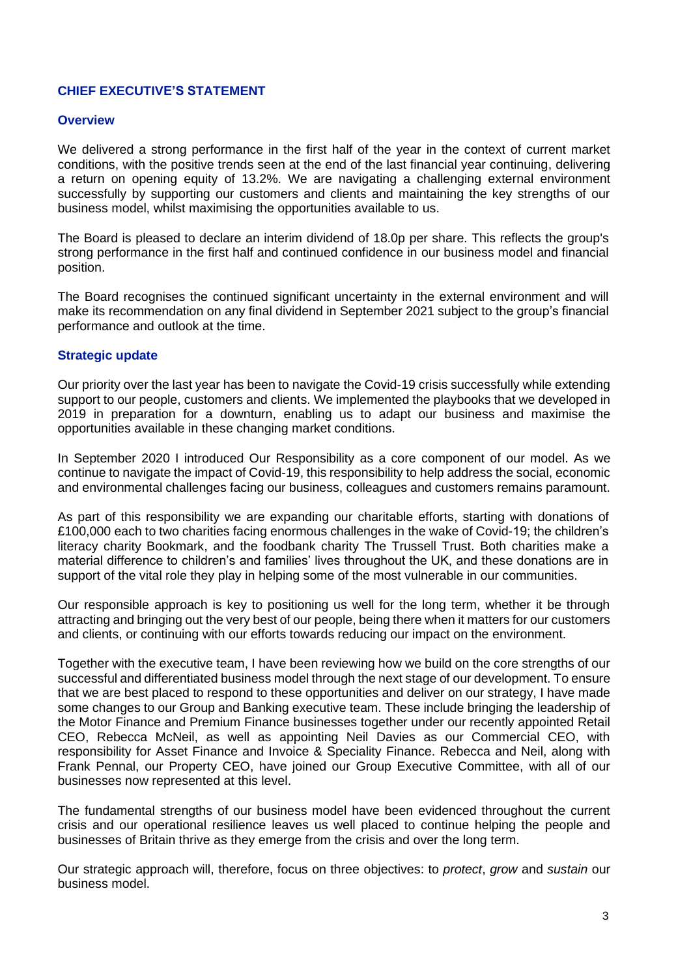## **CHIEF EXECUTIVE'S STATEMENT**

#### **Overview**

We delivered a strong performance in the first half of the year in the context of current market conditions, with the positive trends seen at the end of the last financial year continuing, delivering a return on opening equity of 13.2%. We are navigating a challenging external environment successfully by supporting our customers and clients and maintaining the key strengths of our business model, whilst maximising the opportunities available to us.

The Board is pleased to declare an interim dividend of 18.0p per share. This reflects the group's strong performance in the first half and continued confidence in our business model and financial position.

The Board recognises the continued significant uncertainty in the external environment and will make its recommendation on any final dividend in September 2021 subject to the group's financial performance and outlook at the time.

#### **Strategic update**

Our priority over the last year has been to navigate the Covid-19 crisis successfully while extending support to our people, customers and clients. We implemented the playbooks that we developed in 2019 in preparation for a downturn, enabling us to adapt our business and maximise the opportunities available in these changing market conditions.

In September 2020 I introduced Our Responsibility as a core component of our model. As we continue to navigate the impact of Covid-19, this responsibility to help address the social, economic and environmental challenges facing our business, colleagues and customers remains paramount.

As part of this responsibility we are expanding our charitable efforts, starting with donations of £100,000 each to two charities facing enormous challenges in the wake of Covid-19; the children's literacy charity Bookmark, and the foodbank charity The Trussell Trust. Both charities make a material difference to children's and families' lives throughout the UK, and these donations are in support of the vital role they play in helping some of the most vulnerable in our communities.

Our responsible approach is key to positioning us well for the long term, whether it be through attracting and bringing out the very best of our people, being there when it matters for our customers and clients, or continuing with our efforts towards reducing our impact on the environment.

Together with the executive team, I have been reviewing how we build on the core strengths of our successful and differentiated business model through the next stage of our development. To ensure that we are best placed to respond to these opportunities and deliver on our strategy, I have made some changes to our Group and Banking executive team. These include bringing the leadership of the Motor Finance and Premium Finance businesses together under our recently appointed Retail CEO, Rebecca McNeil, as well as appointing Neil Davies as our Commercial CEO, with responsibility for Asset Finance and Invoice & Speciality Finance. Rebecca and Neil, along with Frank Pennal, our Property CEO, have joined our Group Executive Committee, with all of our businesses now represented at this level.

The fundamental strengths of our business model have been evidenced throughout the current crisis and our operational resilience leaves us well placed to continue helping the people and businesses of Britain thrive as they emerge from the crisis and over the long term.

Our strategic approach will, therefore, focus on three objectives: to *protect*, *grow* and *sustain* our business model.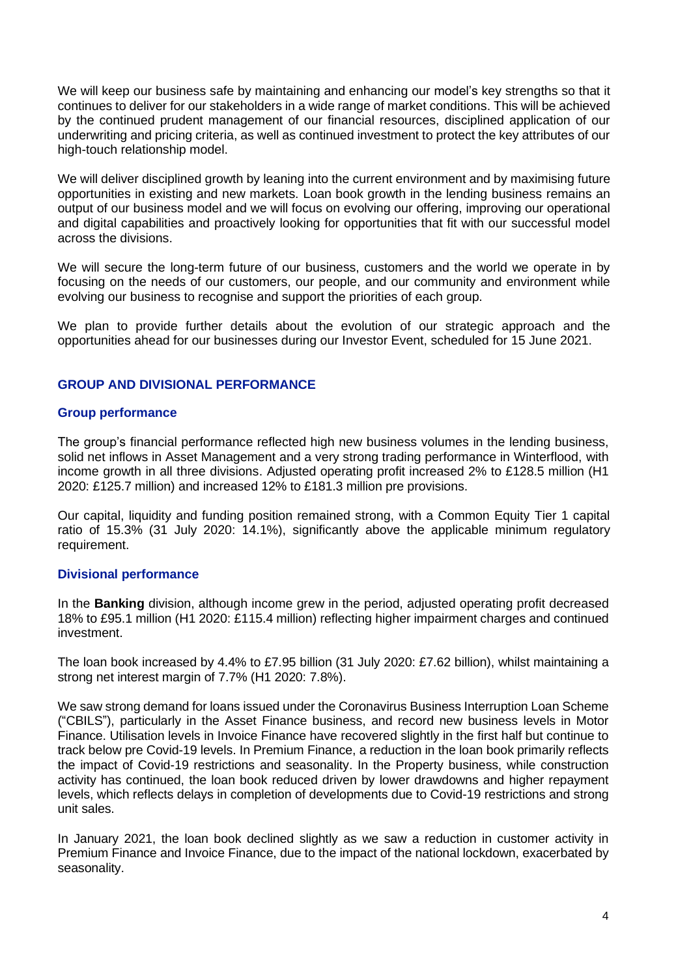We will keep our business safe by maintaining and enhancing our model's key strengths so that it continues to deliver for our stakeholders in a wide range of market conditions. This will be achieved by the continued prudent management of our financial resources, disciplined application of our underwriting and pricing criteria, as well as continued investment to protect the key attributes of our high-touch relationship model.

We will deliver disciplined growth by leaning into the current environment and by maximising future opportunities in existing and new markets. Loan book growth in the lending business remains an output of our business model and we will focus on evolving our offering, improving our operational and digital capabilities and proactively looking for opportunities that fit with our successful model across the divisions.

We will secure the long-term future of our business, customers and the world we operate in by focusing on the needs of our customers, our people, and our community and environment while evolving our business to recognise and support the priorities of each group.

We plan to provide further details about the evolution of our strategic approach and the opportunities ahead for our businesses during our Investor Event, scheduled for 15 June 2021.

## **GROUP AND DIVISIONAL PERFORMANCE**

#### **Group performance**

The group's financial performance reflected high new business volumes in the lending business, solid net inflows in Asset Management and a very strong trading performance in Winterflood, with income growth in all three divisions. Adjusted operating profit increased 2% to £128.5 million (H1 2020: £125.7 million) and increased 12% to £181.3 million pre provisions.

Our capital, liquidity and funding position remained strong, with a Common Equity Tier 1 capital ratio of 15.3% (31 July 2020: 14.1%), significantly above the applicable minimum regulatory requirement.

## **Divisional performance**

In the **Banking** division, although income grew in the period, adjusted operating profit decreased 18% to £95.1 million (H1 2020: £115.4 million) reflecting higher impairment charges and continued investment.

The loan book increased by 4.4% to £7.95 billion (31 July 2020: £7.62 billion), whilst maintaining a strong net interest margin of 7.7% (H1 2020: 7.8%).

We saw strong demand for loans issued under the Coronavirus Business Interruption Loan Scheme ("CBILS"), particularly in the Asset Finance business, and record new business levels in Motor Finance. Utilisation levels in Invoice Finance have recovered slightly in the first half but continue to track below pre Covid-19 levels. In Premium Finance, a reduction in the loan book primarily reflects the impact of Covid-19 restrictions and seasonality. In the Property business, while construction activity has continued, the loan book reduced driven by lower drawdowns and higher repayment levels, which reflects delays in completion of developments due to Covid-19 restrictions and strong unit sales.

In January 2021, the loan book declined slightly as we saw a reduction in customer activity in Premium Finance and Invoice Finance, due to the impact of the national lockdown, exacerbated by seasonality.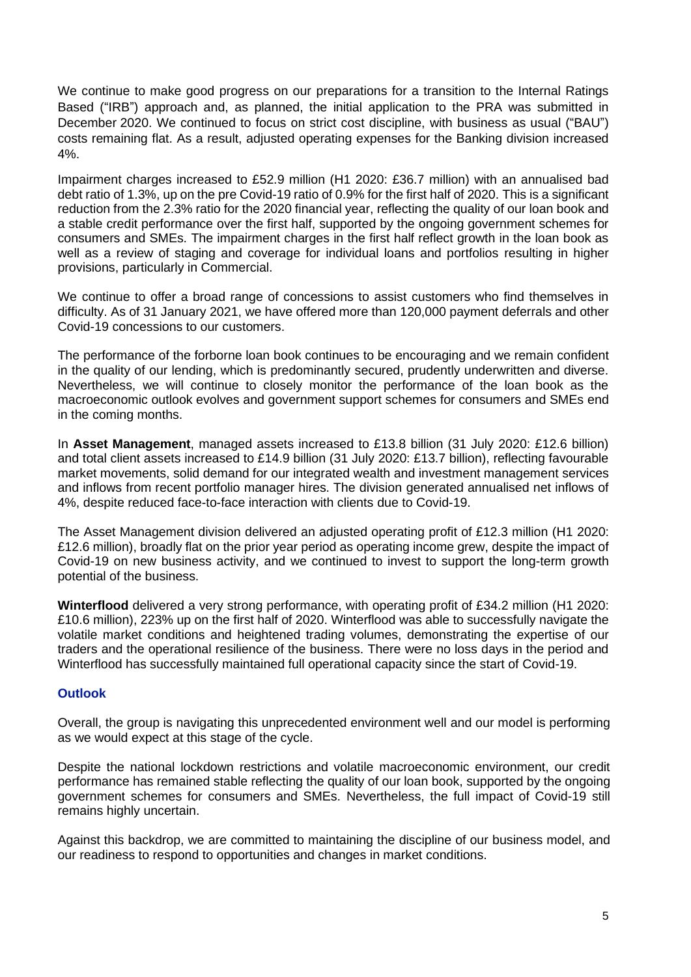We continue to make good progress on our preparations for a transition to the Internal Ratings Based ("IRB") approach and, as planned, the initial application to the PRA was submitted in December 2020. We continued to focus on strict cost discipline, with business as usual ("BAU") costs remaining flat. As a result, adjusted operating expenses for the Banking division increased 4%.

Impairment charges increased to £52.9 million (H1 2020: £36.7 million) with an annualised bad debt ratio of 1.3%, up on the pre Covid-19 ratio of 0.9% for the first half of 2020. This is a significant reduction from the 2.3% ratio for the 2020 financial year, reflecting the quality of our loan book and a stable credit performance over the first half, supported by the ongoing government schemes for consumers and SMEs. The impairment charges in the first half reflect growth in the loan book as well as a review of staging and coverage for individual loans and portfolios resulting in higher provisions, particularly in Commercial.

We continue to offer a broad range of concessions to assist customers who find themselves in difficulty. As of 31 January 2021, we have offered more than 120,000 payment deferrals and other Covid-19 concessions to our customers.

The performance of the forborne loan book continues to be encouraging and we remain confident in the quality of our lending, which is predominantly secured, prudently underwritten and diverse. Nevertheless, we will continue to closely monitor the performance of the loan book as the macroeconomic outlook evolves and government support schemes for consumers and SMEs end in the coming months.

In **Asset Management**, managed assets increased to £13.8 billion (31 July 2020: £12.6 billion) and total client assets increased to £14.9 billion (31 July 2020: £13.7 billion), reflecting favourable market movements, solid demand for our integrated wealth and investment management services and inflows from recent portfolio manager hires. The division generated annualised net inflows of 4%, despite reduced face-to-face interaction with clients due to Covid-19.

The Asset Management division delivered an adjusted operating profit of £12.3 million (H1 2020: £12.6 million), broadly flat on the prior year period as operating income grew, despite the impact of Covid-19 on new business activity, and we continued to invest to support the long-term growth potential of the business.

**Winterflood** delivered a very strong performance, with operating profit of £34.2 million (H1 2020: £10.6 million), 223% up on the first half of 2020. Winterflood was able to successfully navigate the volatile market conditions and heightened trading volumes, demonstrating the expertise of our traders and the operational resilience of the business. There were no loss days in the period and Winterflood has successfully maintained full operational capacity since the start of Covid-19.

## **Outlook**

Overall, the group is navigating this unprecedented environment well and our model is performing as we would expect at this stage of the cycle.

Despite the national lockdown restrictions and volatile macroeconomic environment, our credit performance has remained stable reflecting the quality of our loan book, supported by the ongoing government schemes for consumers and SMEs. Nevertheless, the full impact of Covid-19 still remains highly uncertain.

Against this backdrop, we are committed to maintaining the discipline of our business model, and our readiness to respond to opportunities and changes in market conditions.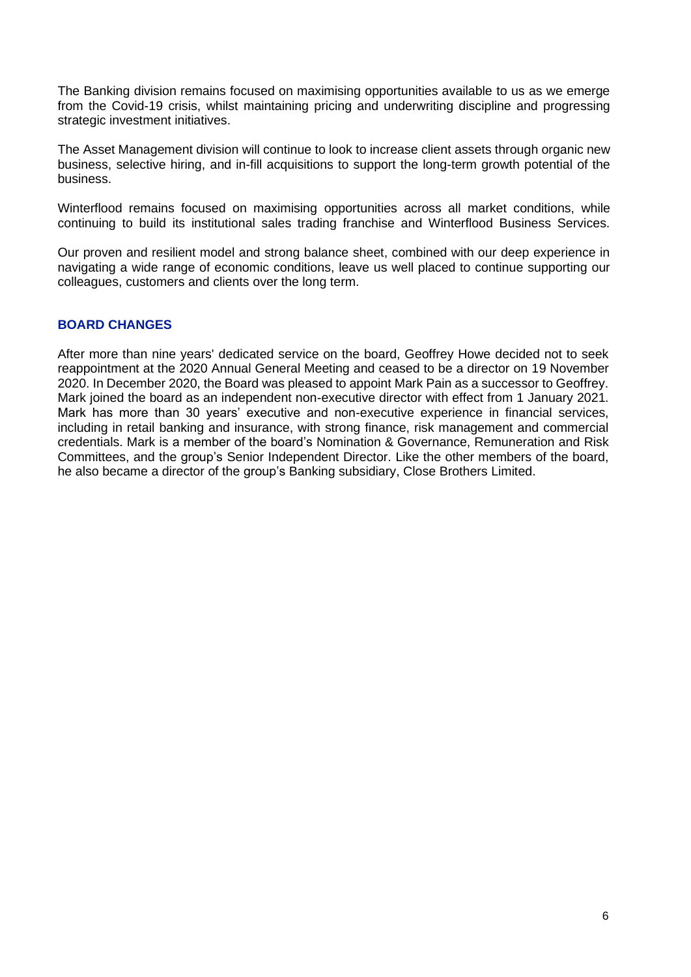The Banking division remains focused on maximising opportunities available to us as we emerge from the Covid-19 crisis, whilst maintaining pricing and underwriting discipline and progressing strategic investment initiatives.

The Asset Management division will continue to look to increase client assets through organic new business, selective hiring, and in-fill acquisitions to support the long-term growth potential of the business.

Winterflood remains focused on maximising opportunities across all market conditions, while continuing to build its institutional sales trading franchise and Winterflood Business Services.

Our proven and resilient model and strong balance sheet, combined with our deep experience in navigating a wide range of economic conditions, leave us well placed to continue supporting our colleagues, customers and clients over the long term.

## **BOARD CHANGES**

After more than nine years' dedicated service on the board, Geoffrey Howe decided not to seek reappointment at the 2020 Annual General Meeting and ceased to be a director on 19 November 2020. In December 2020, the Board was pleased to appoint Mark Pain as a successor to Geoffrey. Mark joined the board as an independent non-executive director with effect from 1 January 2021. Mark has more than 30 years' executive and non-executive experience in financial services, including in retail banking and insurance, with strong finance, risk management and commercial credentials. Mark is a member of the board's Nomination & Governance, Remuneration and Risk Committees, and the group's Senior Independent Director. Like the other members of the board, he also became a director of the group's Banking subsidiary, Close Brothers Limited.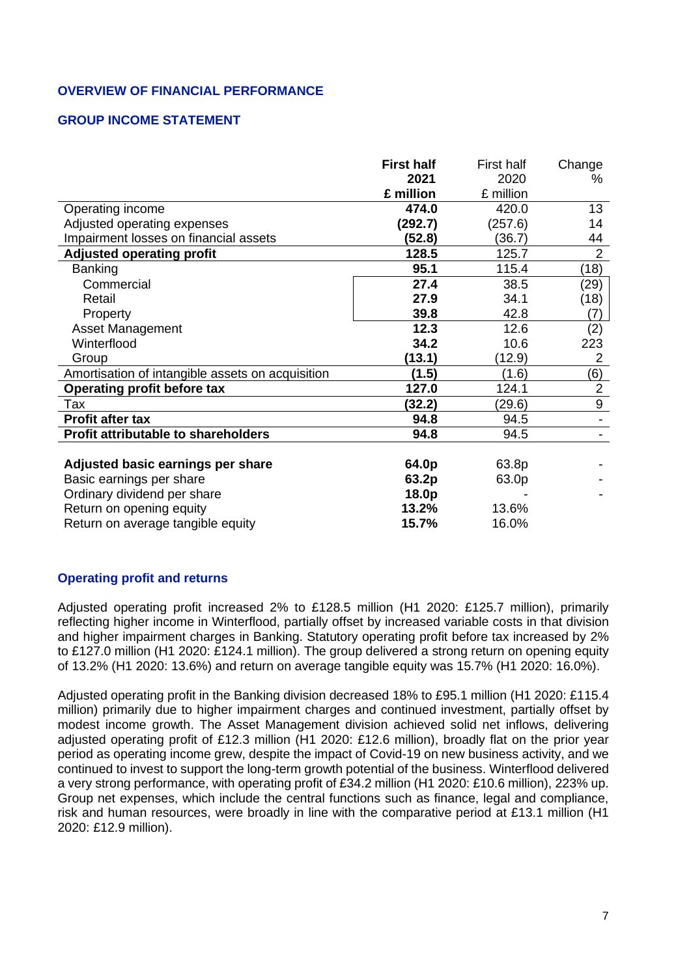## **OVERVIEW OF FINANCIAL PERFORMANCE**

## **GROUP INCOME STATEMENT**

|                                                  | <b>First half</b> | First half | Change           |
|--------------------------------------------------|-------------------|------------|------------------|
|                                                  | 2021              | 2020       | ℅                |
|                                                  | £ million         | £ million  |                  |
| Operating income                                 | 474.0             | 420.0      | 13               |
| Adjusted operating expenses                      | (292.7)           | (257.6)    | 14               |
| Impairment losses on financial assets            | (52.8)            | (36.7)     | 44               |
| <b>Adjusted operating profit</b>                 | 128.5             | 125.7      | $\overline{2}$   |
| <b>Banking</b>                                   | 95.1              | 115.4      | (18)             |
| Commercial                                       | 27.4              | 38.5       | (29)             |
| Retail                                           | 27.9              | 34.1       | (18)             |
| Property                                         | 39.8              | 42.8       | (7)              |
| <b>Asset Management</b>                          | 12.3              | 12.6       | (2)              |
| Winterflood                                      | 34.2              | 10.6       | 223              |
| Group                                            | (13.1)            | (12.9)     | 2                |
| Amortisation of intangible assets on acquisition | (1.5)             | (1.6)      | (6)              |
| <b>Operating profit before tax</b>               | 127.0             | 124.1      | $\overline{2}$   |
| Tax                                              | (32.2)            | (29.6)     | $\boldsymbol{9}$ |
| Profit after tax                                 | 94.8              | 94.5       |                  |
| Profit attributable to shareholders              | 94.8              | 94.5       |                  |
|                                                  |                   |            |                  |
| Adjusted basic earnings per share                | 64.0p             | 63.8p      |                  |
| Basic earnings per share                         | 63.2p             | 63.0p      |                  |
| Ordinary dividend per share                      | 18.0p             |            |                  |
| Return on opening equity                         | 13.2%             | 13.6%      |                  |
| Return on average tangible equity                | 15.7%             | 16.0%      |                  |

### **Operating profit and returns**

Adjusted operating profit increased 2% to £128.5 million (H1 2020: £125.7 million), primarily reflecting higher income in Winterflood, partially offset by increased variable costs in that division and higher impairment charges in Banking. Statutory operating profit before tax increased by 2% to £127.0 million (H1 2020: £124.1 million). The group delivered a strong return on opening equity of 13.2% (H1 2020: 13.6%) and return on average tangible equity was 15.7% (H1 2020: 16.0%).

Adjusted operating profit in the Banking division decreased 18% to £95.1 million (H1 2020: £115.4 million) primarily due to higher impairment charges and continued investment, partially offset by modest income growth. The Asset Management division achieved solid net inflows, delivering adjusted operating profit of £12.3 million (H1 2020: £12.6 million), broadly flat on the prior year period as operating income grew, despite the impact of Covid-19 on new business activity, and we continued to invest to support the long-term growth potential of the business. Winterflood delivered a very strong performance, with operating profit of £34.2 million (H1 2020: £10.6 million), 223% up. Group net expenses, which include the central functions such as finance, legal and compliance, risk and human resources, were broadly in line with the comparative period at £13.1 million (H1 2020: £12.9 million).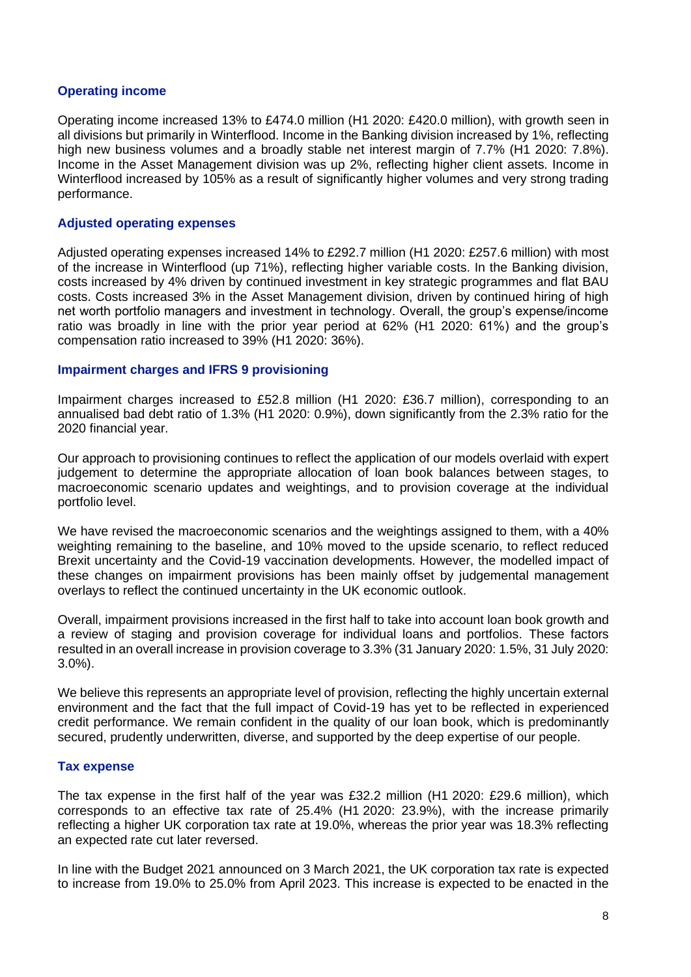#### **Operating income**

Operating income increased 13% to £474.0 million (H1 2020: £420.0 million), with growth seen in all divisions but primarily in Winterflood. Income in the Banking division increased by 1%, reflecting high new business volumes and a broadly stable net interest margin of 7.7% (H1 2020: 7.8%). Income in the Asset Management division was up 2%, reflecting higher client assets. Income in Winterflood increased by 105% as a result of significantly higher volumes and very strong trading performance.

#### **Adjusted operating expenses**

Adjusted operating expenses increased 14% to £292.7 million (H1 2020: £257.6 million) with most of the increase in Winterflood (up 71%), reflecting higher variable costs. In the Banking division, costs increased by 4% driven by continued investment in key strategic programmes and flat BAU costs. Costs increased 3% in the Asset Management division, driven by continued hiring of high net worth portfolio managers and investment in technology. Overall, the group's expense/income ratio was broadly in line with the prior year period at 62% (H1 2020: 61%) and the group's compensation ratio increased to 39% (H1 2020: 36%).

#### **Impairment charges and IFRS 9 provisioning**

Impairment charges increased to £52.8 million (H1 2020: £36.7 million), corresponding to an annualised bad debt ratio of 1.3% (H1 2020: 0.9%), down significantly from the 2.3% ratio for the 2020 financial year.

Our approach to provisioning continues to reflect the application of our models overlaid with expert judgement to determine the appropriate allocation of loan book balances between stages, to macroeconomic scenario updates and weightings, and to provision coverage at the individual portfolio level.

We have revised the macroeconomic scenarios and the weightings assigned to them, with a 40% weighting remaining to the baseline, and 10% moved to the upside scenario, to reflect reduced Brexit uncertainty and the Covid-19 vaccination developments. However, the modelled impact of these changes on impairment provisions has been mainly offset by judgemental management overlays to reflect the continued uncertainty in the UK economic outlook.

Overall, impairment provisions increased in the first half to take into account loan book growth and a review of staging and provision coverage for individual loans and portfolios. These factors resulted in an overall increase in provision coverage to 3.3% (31 January 2020: 1.5%, 31 July 2020: 3.0%).

We believe this represents an appropriate level of provision, reflecting the highly uncertain external environment and the fact that the full impact of Covid-19 has yet to be reflected in experienced credit performance. We remain confident in the quality of our loan book, which is predominantly secured, prudently underwritten, diverse, and supported by the deep expertise of our people.

## **Tax expense**

The tax expense in the first half of the year was £32.2 million (H1 2020: £29.6 million), which corresponds to an effective tax rate of 25.4% (H1 2020: 23.9%), with the increase primarily reflecting a higher UK corporation tax rate at 19.0%, whereas the prior year was 18.3% reflecting an expected rate cut later reversed.

In line with the Budget 2021 announced on 3 March 2021, the UK corporation tax rate is expected to increase from 19.0% to 25.0% from April 2023. This increase is expected to be enacted in the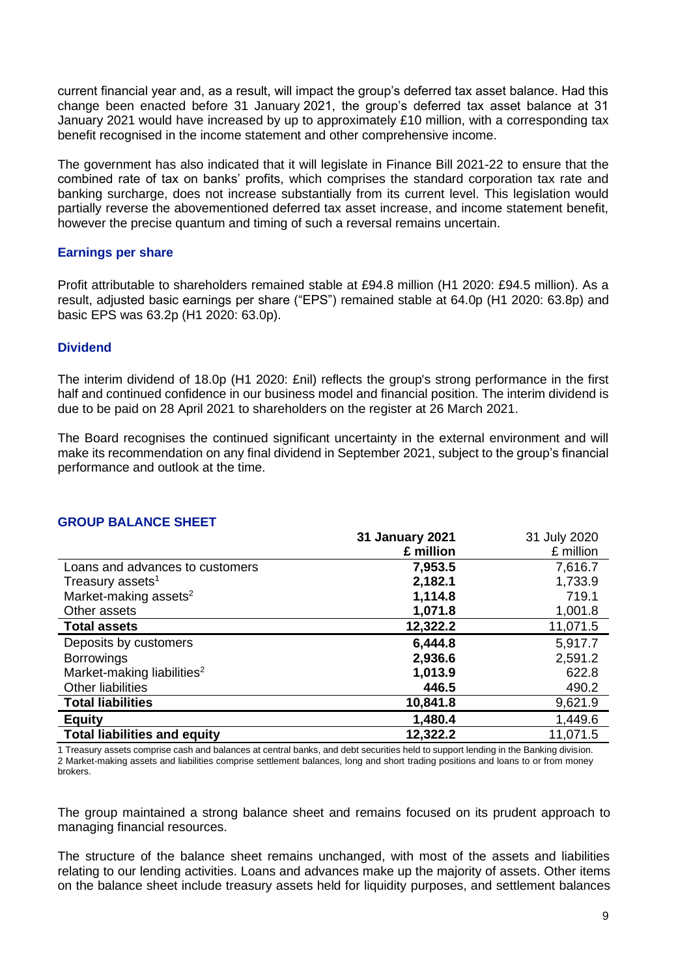current financial year and, as a result, will impact the group's deferred tax asset balance. Had this change been enacted before 31 January 2021, the group's deferred tax asset balance at 31 January 2021 would have increased by up to approximately £10 million, with a corresponding tax benefit recognised in the income statement and other comprehensive income.

The government has also indicated that it will legislate in Finance Bill 2021-22 to ensure that the combined rate of tax on banks' profits, which comprises the standard corporation tax rate and banking surcharge, does not increase substantially from its current level. This legislation would partially reverse the abovementioned deferred tax asset increase, and income statement benefit, however the precise quantum and timing of such a reversal remains uncertain.

## **Earnings per share**

Profit attributable to shareholders remained stable at £94.8 million (H1 2020: £94.5 million). As a result, adjusted basic earnings per share ("EPS") remained stable at 64.0p (H1 2020: 63.8p) and basic EPS was 63.2p (H1 2020: 63.0p).

## **Dividend**

The interim dividend of 18.0p (H1 2020: £nil) reflects the group's strong performance in the first half and continued confidence in our business model and financial position. The interim dividend is due to be paid on 28 April 2021 to shareholders on the register at 26 March 2021.

The Board recognises the continued significant uncertainty in the external environment and will make its recommendation on any final dividend in September 2021, subject to the group's financial performance and outlook at the time.

|                                        | <b>31 January 2021</b> | 31 July 2020 |
|----------------------------------------|------------------------|--------------|
|                                        | £ million              | £ million    |
| Loans and advances to customers        | 7,953.5                | 7,616.7      |
| Treasury assets <sup>1</sup>           | 2,182.1                | 1,733.9      |
| Market-making assets <sup>2</sup>      | 1,114.8                | 719.1        |
| Other assets                           | 1,071.8                | 1,001.8      |
| <b>Total assets</b>                    | 12,322.2               | 11,071.5     |
| Deposits by customers                  | 6,444.8                | 5,917.7      |
| <b>Borrowings</b>                      | 2,936.6                | 2,591.2      |
| Market-making liabilities <sup>2</sup> | 1,013.9                | 622.8        |
| Other liabilities                      | 446.5                  | 490.2        |
| <b>Total liabilities</b>               | 10,841.8               | 9,621.9      |
| <b>Equity</b>                          | 1,480.4                | 1,449.6      |
| <b>Total liabilities and equity</b>    | 12,322.2               | 11,071.5     |

## **GROUP BALANCE SHEET**

1 Treasury assets comprise cash and balances at central banks, and debt securities held to support lending in the Banking division. 2 Market-making assets and liabilities comprise settlement balances, long and short trading positions and loans to or from money brokers.

The group maintained a strong balance sheet and remains focused on its prudent approach to managing financial resources.

The structure of the balance sheet remains unchanged, with most of the assets and liabilities relating to our lending activities. Loans and advances make up the majority of assets. Other items on the balance sheet include treasury assets held for liquidity purposes, and settlement balances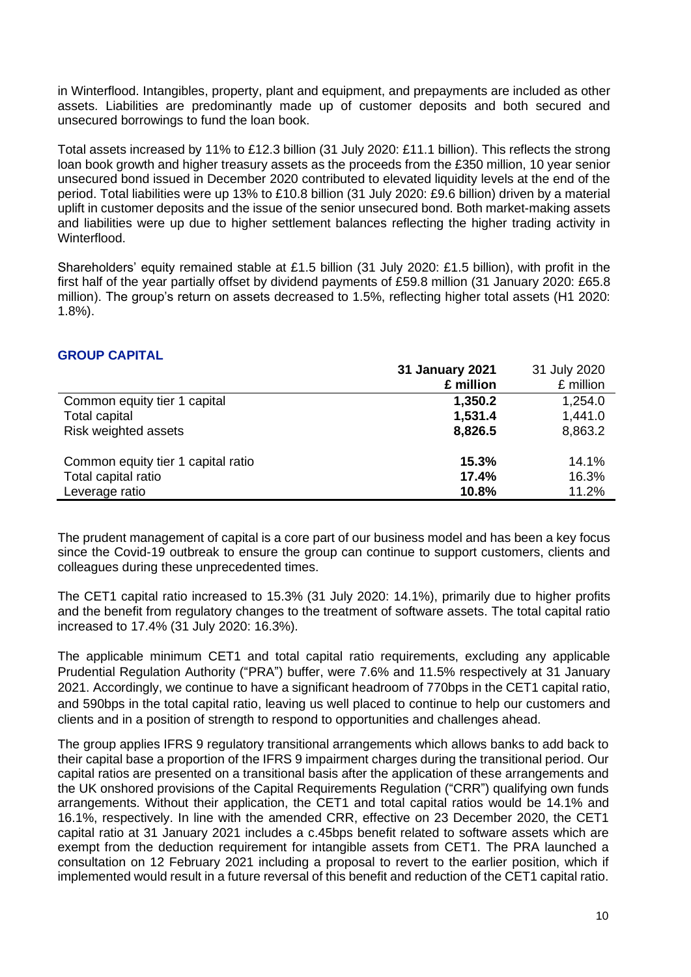in Winterflood. Intangibles, property, plant and equipment, and prepayments are included as other assets. Liabilities are predominantly made up of customer deposits and both secured and unsecured borrowings to fund the loan book.

Total assets increased by 11% to £12.3 billion (31 July 2020: £11.1 billion). This reflects the strong loan book growth and higher treasury assets as the proceeds from the £350 million, 10 year senior unsecured bond issued in December 2020 contributed to elevated liquidity levels at the end of the period. Total liabilities were up 13% to £10.8 billion (31 July 2020: £9.6 billion) driven by a material uplift in customer deposits and the issue of the senior unsecured bond. Both market-making assets and liabilities were up due to higher settlement balances reflecting the higher trading activity in Winterflood.

Shareholders' equity remained stable at £1.5 billion (31 July 2020: £1.5 billion), with profit in the first half of the year partially offset by dividend payments of £59.8 million (31 January 2020: £65.8 million). The group's return on assets decreased to 1.5%, reflecting higher total assets (H1 2020: 1.8%).

## **GROUP CAPITAL**

|                                    | <b>31 January 2021</b> | 31 July 2020 |
|------------------------------------|------------------------|--------------|
|                                    | £ million              | £ million    |
| Common equity tier 1 capital       | 1,350.2                | 1,254.0      |
| <b>Total capital</b>               | 1,531.4                | 1,441.0      |
| Risk weighted assets               | 8,826.5                | 8,863.2      |
| Common equity tier 1 capital ratio | 15.3%                  | 14.1%        |
| Total capital ratio                | 17.4%                  | 16.3%        |
| Leverage ratio                     | 10.8%                  | 11.2%        |

The prudent management of capital is a core part of our business model and has been a key focus since the Covid-19 outbreak to ensure the group can continue to support customers, clients and colleagues during these unprecedented times.

The CET1 capital ratio increased to 15.3% (31 July 2020: 14.1%), primarily due to higher profits and the benefit from regulatory changes to the treatment of software assets. The total capital ratio increased to 17.4% (31 July 2020: 16.3%).

The applicable minimum CET1 and total capital ratio requirements, excluding any applicable Prudential Regulation Authority ("PRA") buffer, were 7.6% and 11.5% respectively at 31 January 2021. Accordingly, we continue to have a significant headroom of 770bps in the CET1 capital ratio, and 590bps in the total capital ratio, leaving us well placed to continue to help our customers and clients and in a position of strength to respond to opportunities and challenges ahead.

The group applies IFRS 9 regulatory transitional arrangements which allows banks to add back to their capital base a proportion of the IFRS 9 impairment charges during the transitional period. Our capital ratios are presented on a transitional basis after the application of these arrangements and the UK onshored provisions of the Capital Requirements Regulation ("CRR") qualifying own funds arrangements. Without their application, the CET1 and total capital ratios would be 14.1% and 16.1%, respectively. In line with the amended CRR, effective on 23 December 2020, the CET1 capital ratio at 31 January 2021 includes a c.45bps benefit related to software assets which are exempt from the deduction requirement for intangible assets from CET1. The PRA launched a consultation on 12 February 2021 including a proposal to revert to the earlier position, which if implemented would result in a future reversal of this benefit and reduction of the CET1 capital ratio.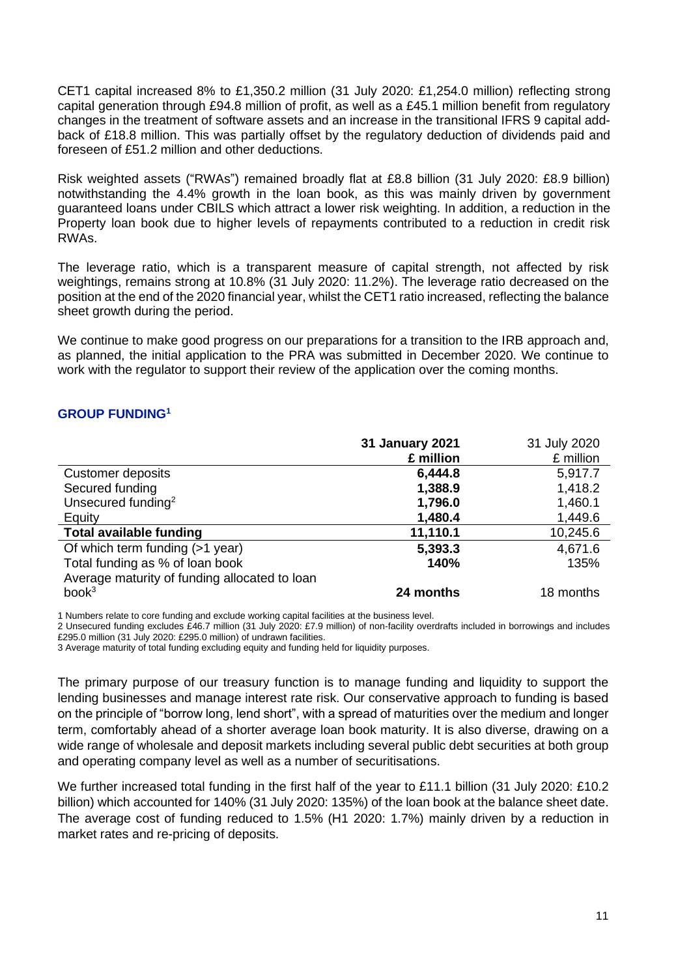CET1 capital increased 8% to £1,350.2 million (31 July 2020: £1,254.0 million) reflecting strong capital generation through £94.8 million of profit, as well as a £45.1 million benefit from regulatory changes in the treatment of software assets and an increase in the transitional IFRS 9 capital addback of £18.8 million. This was partially offset by the regulatory deduction of dividends paid and foreseen of £51.2 million and other deductions.

Risk weighted assets ("RWAs") remained broadly flat at £8.8 billion (31 July 2020: £8.9 billion) notwithstanding the 4.4% growth in the loan book, as this was mainly driven by government guaranteed loans under CBILS which attract a lower risk weighting. In addition, a reduction in the Property loan book due to higher levels of repayments contributed to a reduction in credit risk RWAs.

The leverage ratio, which is a transparent measure of capital strength, not affected by risk weightings, remains strong at 10.8% (31 July 2020: 11.2%). The leverage ratio decreased on the position at the end of the 2020 financial year, whilst the CET1 ratio increased, reflecting the balance sheet growth during the period.

We continue to make good progress on our preparations for a transition to the IRB approach and, as planned, the initial application to the PRA was submitted in December 2020. We continue to work with the regulator to support their review of the application over the coming months.

## **GROUP FUNDING<sup>1</sup>**

|                                               | <b>31 January 2021</b> | 31 July 2020 |
|-----------------------------------------------|------------------------|--------------|
|                                               | £ million              | £ million    |
| Customer deposits                             | 6,444.8                | 5,917.7      |
| Secured funding                               | 1,388.9                | 1,418.2      |
| Unsecured funding <sup>2</sup>                | 1,796.0                | 1,460.1      |
| Equity                                        | 1,480.4                | 1,449.6      |
| <b>Total available funding</b>                | 11,110.1               | 10,245.6     |
| Of which term funding (>1 year)               | 5,393.3                | 4,671.6      |
| Total funding as % of loan book               | 140%                   | 135%         |
| Average maturity of funding allocated to loan |                        |              |
| book <sup>3</sup>                             | 24 months              | 18 months    |

1 Numbers relate to core funding and exclude working capital facilities at the business level.

2 Unsecured funding excludes £46.7 million (31 July 2020: £7.9 million) of non-facility overdrafts included in borrowings and includes £295.0 million (31 July 2020: £295.0 million) of undrawn facilities.

3 Average maturity of total funding excluding equity and funding held for liquidity purposes.

The primary purpose of our treasury function is to manage funding and liquidity to support the lending businesses and manage interest rate risk. Our conservative approach to funding is based on the principle of "borrow long, lend short", with a spread of maturities over the medium and longer term, comfortably ahead of a shorter average loan book maturity. It is also diverse, drawing on a wide range of wholesale and deposit markets including several public debt securities at both group and operating company level as well as a number of securitisations.

We further increased total funding in the first half of the year to £11.1 billion (31 July 2020: £10.2 billion) which accounted for 140% (31 July 2020: 135%) of the loan book at the balance sheet date. The average cost of funding reduced to 1.5% (H1 2020: 1.7%) mainly driven by a reduction in market rates and re-pricing of deposits.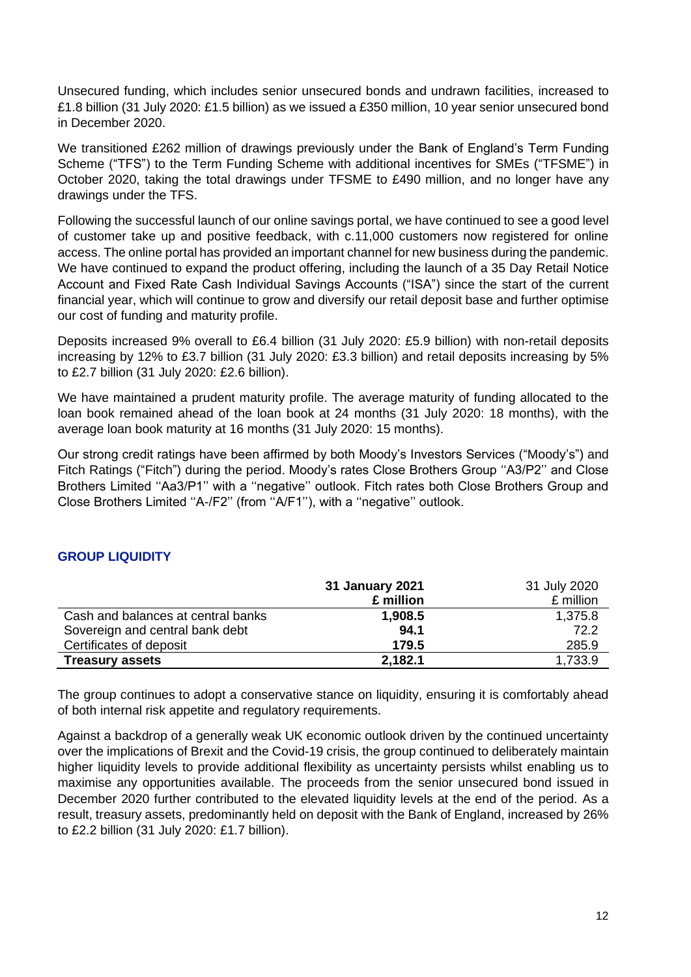Unsecured funding, which includes senior unsecured bonds and undrawn facilities, increased to £1.8 billion (31 July 2020: £1.5 billion) as we issued a £350 million, 10 year senior unsecured bond in December 2020.

We transitioned £262 million of drawings previously under the Bank of England's Term Funding Scheme ("TFS") to the Term Funding Scheme with additional incentives for SMEs ("TFSME") in October 2020, taking the total drawings under TFSME to £490 million, and no longer have any drawings under the TFS.

Following the successful launch of our online savings portal, we have continued to see a good level of customer take up and positive feedback, with c.11,000 customers now registered for online access. The online portal has provided an important channel for new business during the pandemic. We have continued to expand the product offering, including the launch of a 35 Day Retail Notice Account and Fixed Rate Cash Individual Savings Accounts ("ISA") since the start of the current financial year, which will continue to grow and diversify our retail deposit base and further optimise our cost of funding and maturity profile.

Deposits increased 9% overall to £6.4 billion (31 July 2020: £5.9 billion) with non-retail deposits increasing by 12% to £3.7 billion (31 July 2020: £3.3 billion) and retail deposits increasing by 5% to £2.7 billion (31 July 2020: £2.6 billion).

We have maintained a prudent maturity profile. The average maturity of funding allocated to the loan book remained ahead of the loan book at 24 months (31 July 2020: 18 months), with the average loan book maturity at 16 months (31 July 2020: 15 months).

Our strong credit ratings have been affirmed by both Moody's Investors Services ("Moody's") and Fitch Ratings ("Fitch") during the period. Moody's rates Close Brothers Group ''A3/P2'' and Close Brothers Limited ''Aa3/P1'' with a ''negative'' outlook. Fitch rates both Close Brothers Group and Close Brothers Limited ''A-/F2'' (from ''A/F1''), with a ''negative'' outlook.

## **GROUP LIQUIDITY**

|                                    | 31 January 2021<br>£ million | 31 July 2020<br>£ million |
|------------------------------------|------------------------------|---------------------------|
| Cash and balances at central banks | 1,908.5                      | 1,375.8                   |
| Sovereign and central bank debt    | 94.1                         | 72.2                      |
| Certificates of deposit            | 179.5                        | 285.9                     |
| <b>Treasury assets</b>             | 2,182.1                      | 1,733.9                   |

The group continues to adopt a conservative stance on liquidity, ensuring it is comfortably ahead of both internal risk appetite and regulatory requirements.

Against a backdrop of a generally weak UK economic outlook driven by the continued uncertainty over the implications of Brexit and the Covid-19 crisis, the group continued to deliberately maintain higher liquidity levels to provide additional flexibility as uncertainty persists whilst enabling us to maximise any opportunities available. The proceeds from the senior unsecured bond issued in December 2020 further contributed to the elevated liquidity levels at the end of the period. As a result, treasury assets, predominantly held on deposit with the Bank of England, increased by 26% to £2.2 billion (31 July 2020: £1.7 billion).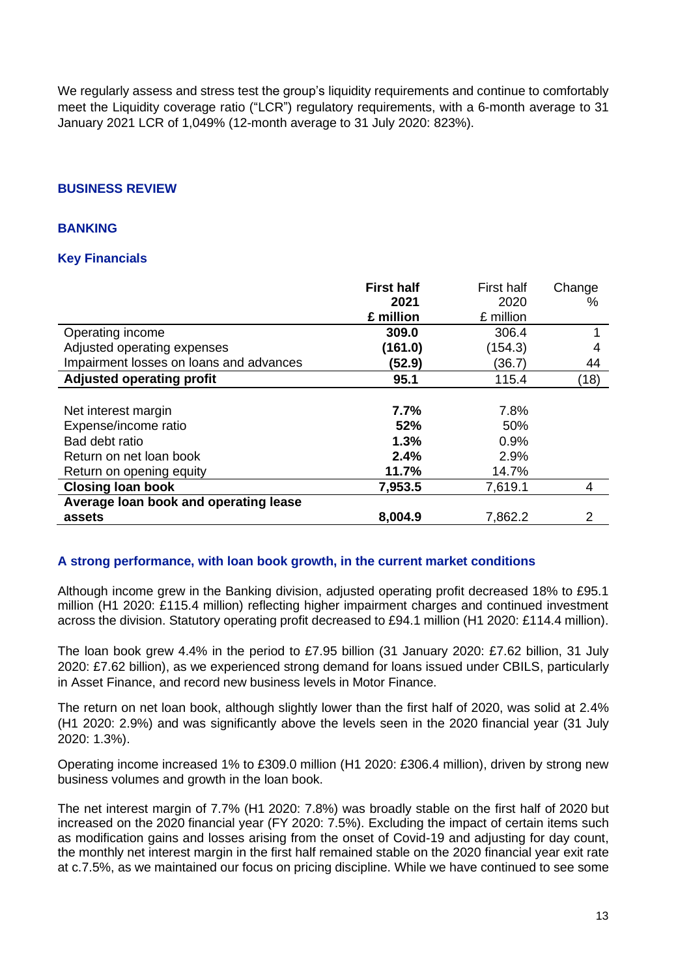We regularly assess and stress test the group's liquidity requirements and continue to comfortably meet the Liquidity coverage ratio ("LCR") regulatory requirements, with a 6-month average to 31 January 2021 LCR of 1,049% (12-month average to 31 July 2020: 823%).

## **BUSINESS REVIEW**

## **BANKING**

## **Key Financials**

|                                         | <b>First half</b><br>2021 | <b>First half</b><br>2020 | Change<br>% |
|-----------------------------------------|---------------------------|---------------------------|-------------|
|                                         | £ million                 | £ million                 |             |
| Operating income                        | 309.0                     | 306.4                     |             |
| Adjusted operating expenses             | (161.0)                   | (154.3)                   | 4           |
| Impairment losses on loans and advances | (52.9)                    | (36.7)                    | 44          |
| <b>Adjusted operating profit</b>        | 95.1                      | 115.4                     | (18)        |
|                                         |                           |                           |             |
| Net interest margin                     | 7.7%                      | 7.8%                      |             |
| Expense/income ratio                    | 52%                       | 50%                       |             |
| Bad debt ratio                          | 1.3%                      | 0.9%                      |             |
| Return on net loan book                 | 2.4%                      | 2.9%                      |             |
| Return on opening equity                | 11.7%                     | 14.7%                     |             |
| <b>Closing loan book</b>                | 7,953.5                   | 7,619.1                   | 4           |
| Average loan book and operating lease   |                           |                           |             |
| assets                                  | 8,004.9                   | 7,862.2                   | 2           |

## **A strong performance, with loan book growth, in the current market conditions**

Although income grew in the Banking division, adjusted operating profit decreased 18% to £95.1 million (H1 2020: £115.4 million) reflecting higher impairment charges and continued investment across the division. Statutory operating profit decreased to £94.1 million (H1 2020: £114.4 million).

The loan book grew 4.4% in the period to £7.95 billion (31 January 2020: £7.62 billion, 31 July 2020: £7.62 billion), as we experienced strong demand for loans issued under CBILS, particularly in Asset Finance, and record new business levels in Motor Finance.

The return on net loan book, although slightly lower than the first half of 2020, was solid at 2.4% (H1 2020: 2.9%) and was significantly above the levels seen in the 2020 financial year (31 July 2020: 1.3%).

Operating income increased 1% to £309.0 million (H1 2020: £306.4 million), driven by strong new business volumes and growth in the loan book.

The net interest margin of 7.7% (H1 2020: 7.8%) was broadly stable on the first half of 2020 but increased on the 2020 financial year (FY 2020: 7.5%). Excluding the impact of certain items such as modification gains and losses arising from the onset of Covid-19 and adjusting for day count, the monthly net interest margin in the first half remained stable on the 2020 financial year exit rate at c.7.5%, as we maintained our focus on pricing discipline. While we have continued to see some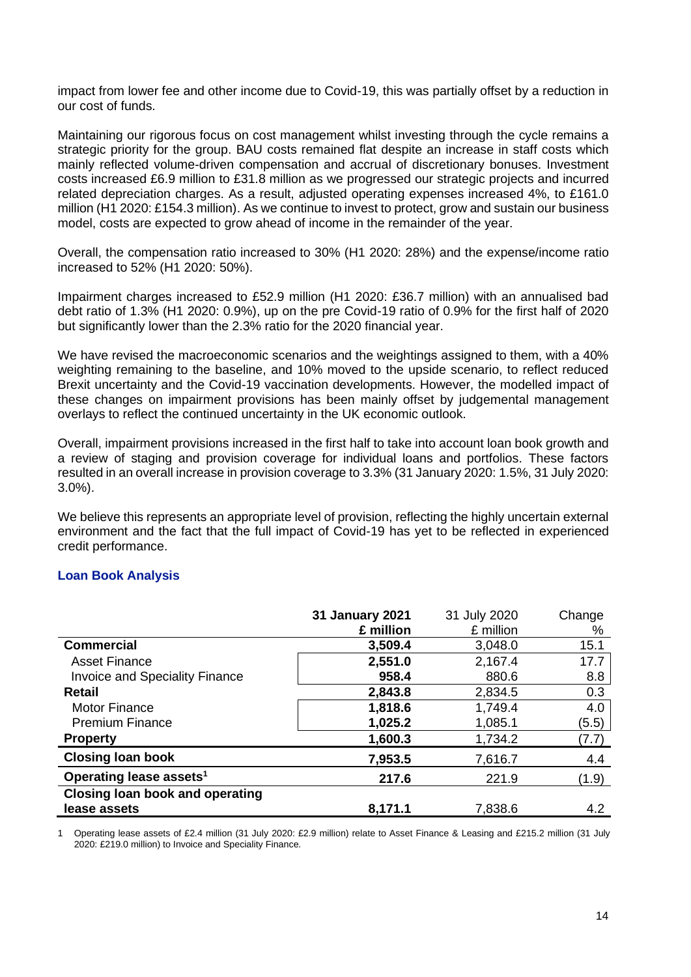impact from lower fee and other income due to Covid-19, this was partially offset by a reduction in our cost of funds.

Maintaining our rigorous focus on cost management whilst investing through the cycle remains a strategic priority for the group. BAU costs remained flat despite an increase in staff costs which mainly reflected volume-driven compensation and accrual of discretionary bonuses. Investment costs increased £6.9 million to £31.8 million as we progressed our strategic projects and incurred related depreciation charges. As a result, adjusted operating expenses increased 4%, to £161.0 million (H1 2020: £154.3 million). As we continue to invest to protect, grow and sustain our business model, costs are expected to grow ahead of income in the remainder of the year.

Overall, the compensation ratio increased to 30% (H1 2020: 28%) and the expense/income ratio increased to 52% (H1 2020: 50%).

Impairment charges increased to £52.9 million (H1 2020: £36.7 million) with an annualised bad debt ratio of 1.3% (H1 2020: 0.9%), up on the pre Covid-19 ratio of 0.9% for the first half of 2020 but significantly lower than the 2.3% ratio for the 2020 financial year.

We have revised the macroeconomic scenarios and the weightings assigned to them, with a 40% weighting remaining to the baseline, and 10% moved to the upside scenario, to reflect reduced Brexit uncertainty and the Covid-19 vaccination developments. However, the modelled impact of these changes on impairment provisions has been mainly offset by judgemental management overlays to reflect the continued uncertainty in the UK economic outlook.

Overall, impairment provisions increased in the first half to take into account loan book growth and a review of staging and provision coverage for individual loans and portfolios. These factors resulted in an overall increase in provision coverage to 3.3% (31 January 2020: 1.5%, 31 July 2020: 3.0%).

We believe this represents an appropriate level of provision, reflecting the highly uncertain external environment and the fact that the full impact of Covid-19 has yet to be reflected in experienced credit performance.

#### **Loan Book Analysis**

|                                        | <b>31 January 2021</b> | 31 July 2020 | Change |
|----------------------------------------|------------------------|--------------|--------|
|                                        | £ million              | £ million    | %      |
| <b>Commercial</b>                      | 3,509.4                | 3,048.0      | 15.1   |
| <b>Asset Finance</b>                   | 2,551.0                | 2,167.4      | 17.7   |
| <b>Invoice and Speciality Finance</b>  | 958.4                  | 880.6        | 8.8    |
| <b>Retail</b>                          | 2,843.8                | 2,834.5      | 0.3    |
| <b>Motor Finance</b>                   | 1,818.6                | 1,749.4      | 4.0    |
| <b>Premium Finance</b>                 | 1,025.2                | 1,085.1      | (5.5)  |
| <b>Property</b>                        | 1,600.3                | 1,734.2      | (7.7)  |
| <b>Closing loan book</b>               | 7,953.5                | 7,616.7      | 4.4    |
| Operating lease assets <sup>1</sup>    | 217.6                  | 221.9        | (1.9)  |
| <b>Closing loan book and operating</b> |                        |              |        |
| lease assets                           | 8,171.1                | 7,838.6      | 4.2    |

1 Operating lease assets of £2.4 million (31 July 2020: £2.9 million) relate to Asset Finance & Leasing and £215.2 million (31 July 2020: £219.0 million) to Invoice and Speciality Finance.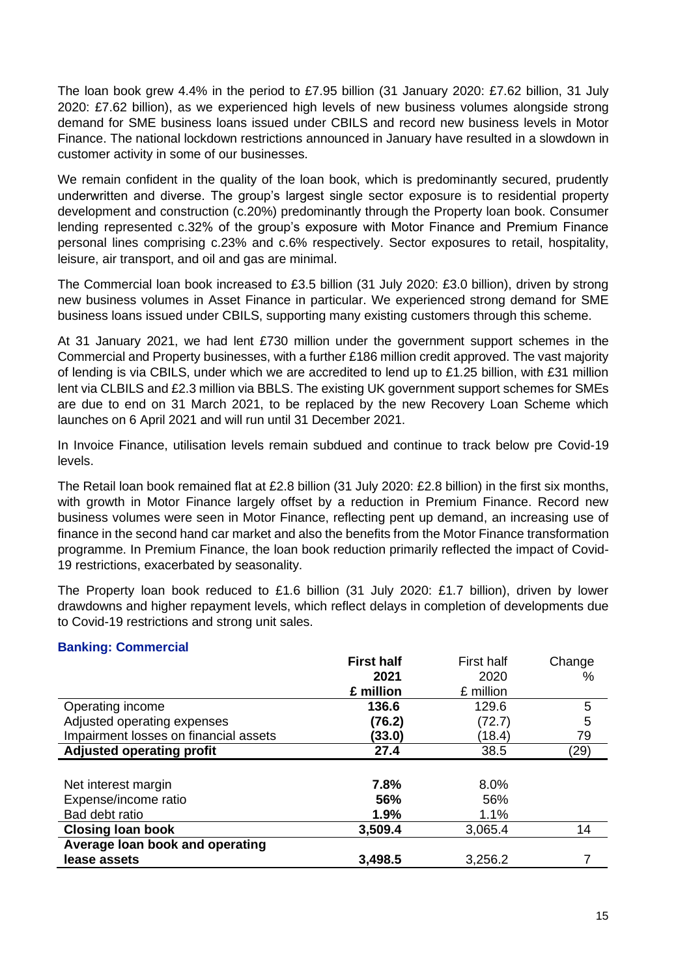The loan book grew 4.4% in the period to £7.95 billion (31 January 2020: £7.62 billion, 31 July 2020: £7.62 billion), as we experienced high levels of new business volumes alongside strong demand for SME business loans issued under CBILS and record new business levels in Motor Finance. The national lockdown restrictions announced in January have resulted in a slowdown in customer activity in some of our businesses.

We remain confident in the quality of the loan book, which is predominantly secured, prudently underwritten and diverse. The group's largest single sector exposure is to residential property development and construction (c.20%) predominantly through the Property loan book. Consumer lending represented c.32% of the group's exposure with Motor Finance and Premium Finance personal lines comprising c.23% and c.6% respectively. Sector exposures to retail, hospitality, leisure, air transport, and oil and gas are minimal.

The Commercial loan book increased to £3.5 billion (31 July 2020: £3.0 billion), driven by strong new business volumes in Asset Finance in particular. We experienced strong demand for SME business loans issued under CBILS, supporting many existing customers through this scheme.

At 31 January 2021, we had lent £730 million under the government support schemes in the Commercial and Property businesses, with a further £186 million credit approved. The vast majority of lending is via CBILS, under which we are accredited to lend up to £1.25 billion, with £31 million lent via CLBILS and £2.3 million via BBLS. The existing UK government support schemes for SMEs are due to end on 31 March 2021, to be replaced by the new Recovery Loan Scheme which launches on 6 April 2021 and will run until 31 December 2021.

In Invoice Finance, utilisation levels remain subdued and continue to track below pre Covid-19 levels.

The Retail loan book remained flat at £2.8 billion (31 July 2020: £2.8 billion) in the first six months, with growth in Motor Finance largely offset by a reduction in Premium Finance. Record new business volumes were seen in Motor Finance, reflecting pent up demand, an increasing use of finance in the second hand car market and also the benefits from the Motor Finance transformation programme. In Premium Finance, the loan book reduction primarily reflected the impact of Covid-19 restrictions, exacerbated by seasonality.

The Property loan book reduced to £1.6 billion (31 July 2020: £1.7 billion), driven by lower drawdowns and higher repayment levels, which reflect delays in completion of developments due to Covid-19 restrictions and strong unit sales.

## **Banking: Commercial**

|                                       | <b>First half</b> | <b>First half</b> | Change |
|---------------------------------------|-------------------|-------------------|--------|
|                                       | 2021              | 2020              | %      |
|                                       | £ million         | £ million         |        |
| Operating income                      | 136.6             | 129.6             | 5      |
| Adjusted operating expenses           | (76.2)            | (72.7)            | 5      |
| Impairment losses on financial assets | (33.0)            | (18.4)            | 79     |
| <b>Adjusted operating profit</b>      | 27.4              | 38.5              | (29)   |
|                                       |                   |                   |        |
| Net interest margin                   | 7.8%              | 8.0%              |        |
| Expense/income ratio                  | 56%               | 56%               |        |
| Bad debt ratio                        | 1.9%              | 1.1%              |        |
| <b>Closing loan book</b>              | 3,509.4           | 3,065.4           | 14     |
| Average loan book and operating       |                   |                   |        |
| lease assets                          | 3,498.5           | 3,256.2           |        |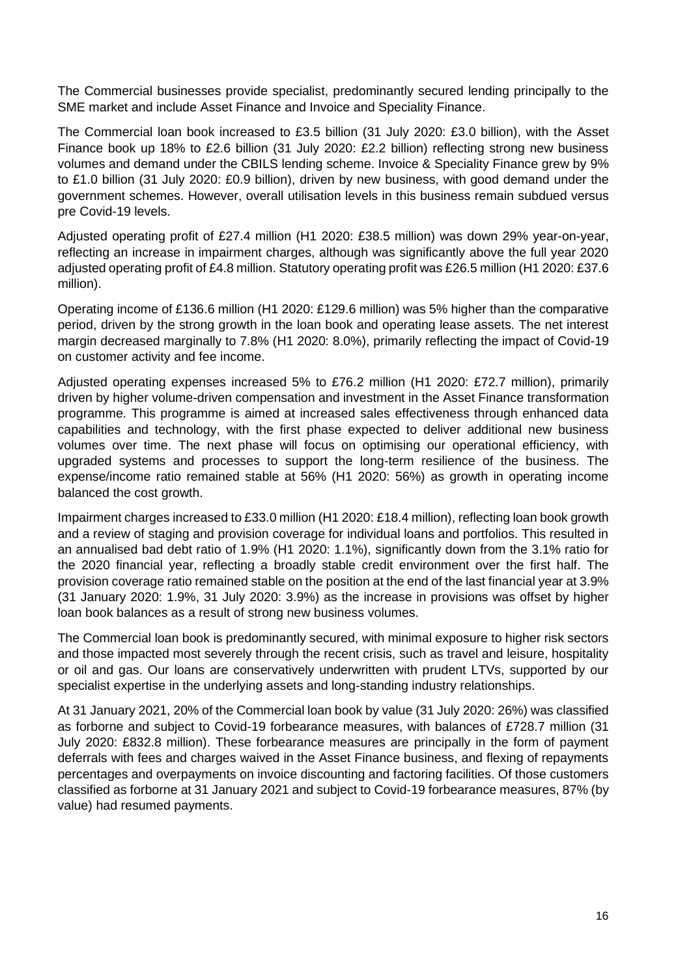The Commercial businesses provide specialist, predominantly secured lending principally to the SME market and include Asset Finance and Invoice and Speciality Finance.

The Commercial loan book increased to £3.5 billion (31 July 2020: £3.0 billion), with the Asset Finance book up 18% to £2.6 billion (31 July 2020: £2.2 billion) reflecting strong new business volumes and demand under the CBILS lending scheme. Invoice & Speciality Finance grew by 9% to £1.0 billion (31 July 2020: £0.9 billion), driven by new business, with good demand under the government schemes. However, overall utilisation levels in this business remain subdued versus pre Covid-19 levels.

Adjusted operating profit of £27.4 million (H1 2020: £38.5 million) was down 29% year-on-year, reflecting an increase in impairment charges, although was significantly above the full year 2020 adjusted operating profit of £4.8 million. Statutory operating profit was £26.5 million (H1 2020: £37.6 million).

Operating income of £136.6 million (H1 2020: £129.6 million) was 5% higher than the comparative period, driven by the strong growth in the loan book and operating lease assets. The net interest margin decreased marginally to 7.8% (H1 2020: 8.0%), primarily reflecting the impact of Covid-19 on customer activity and fee income.

Adjusted operating expenses increased 5% to £76.2 million (H1 2020: £72.7 million), primarily driven by higher volume-driven compensation and investment in the Asset Finance transformation programme. This programme is aimed at increased sales effectiveness through enhanced data capabilities and technology, with the first phase expected to deliver additional new business volumes over time. The next phase will focus on optimising our operational efficiency, with upgraded systems and processes to support the long-term resilience of the business. The expense/income ratio remained stable at 56% (H1 2020: 56%) as growth in operating income balanced the cost growth.

Impairment charges increased to £33.0 million (H1 2020: £18.4 million), reflecting loan book growth and a review of staging and provision coverage for individual loans and portfolios. This resulted in an annualised bad debt ratio of 1.9% (H1 2020: 1.1%), significantly down from the 3.1% ratio for the 2020 financial year, reflecting a broadly stable credit environment over the first half. The provision coverage ratio remained stable on the position at the end of the last financial year at 3.9% (31 January 2020: 1.9%, 31 July 2020: 3.9%) as the increase in provisions was offset by higher loan book balances as a result of strong new business volumes.

The Commercial loan book is predominantly secured, with minimal exposure to higher risk sectors and those impacted most severely through the recent crisis, such as travel and leisure, hospitality or oil and gas. Our loans are conservatively underwritten with prudent LTVs, supported by our specialist expertise in the underlying assets and long-standing industry relationships.

At 31 January 2021, 20% of the Commercial loan book by value (31 July 2020: 26%) was classified as forborne and subject to Covid-19 forbearance measures, with balances of £728.7 million (31 July 2020: £832.8 million). These forbearance measures are principally in the form of payment deferrals with fees and charges waived in the Asset Finance business, and flexing of repayments percentages and overpayments on invoice discounting and factoring facilities. Of those customers classified as forborne at 31 January 2021 and subject to Covid-19 forbearance measures, 87% (by value) had resumed payments.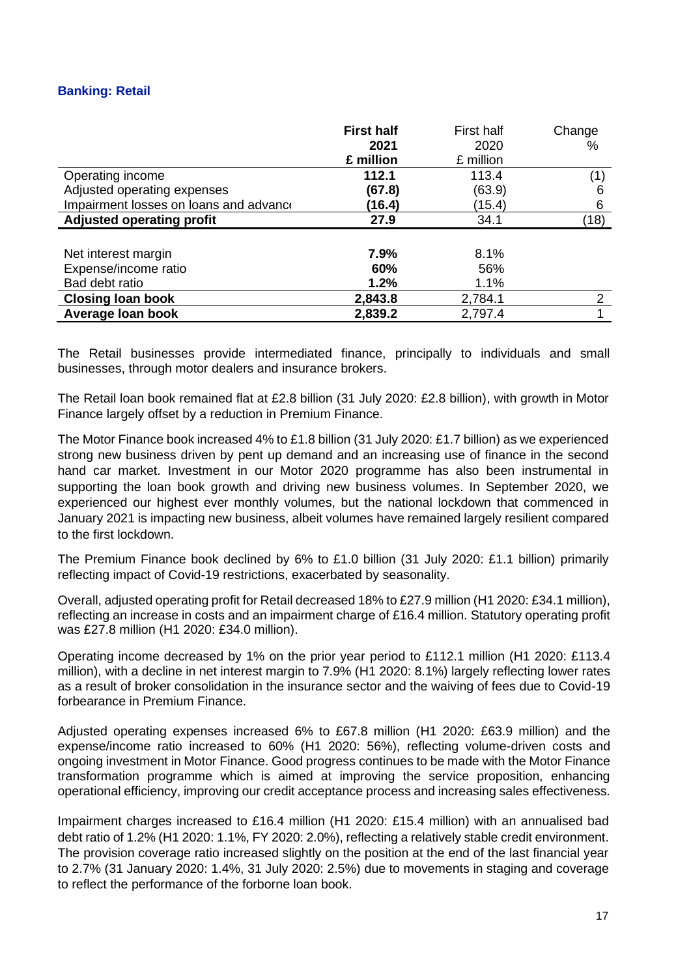## **Banking: Retail**

|                                        | <b>First half</b> | First half | Change         |
|----------------------------------------|-------------------|------------|----------------|
|                                        | 2021              | 2020       | $\%$           |
|                                        | £ million         | £ million  |                |
| Operating income                       | 112.1             | 113.4      | (1)            |
| Adjusted operating expenses            | (67.8)            | (63.9)     | 6              |
| Impairment losses on loans and advance | (16.4)            | (15.4)     | 6              |
| <b>Adjusted operating profit</b>       | 27.9              | 34.1       | (18)           |
|                                        |                   |            |                |
| Net interest margin                    | 7.9%              | 8.1%       |                |
| Expense/income ratio                   | 60%               | 56%        |                |
| Bad debt ratio                         | 1.2%              | 1.1%       |                |
| <b>Closing loan book</b>               | 2,843.8           | 2,784.1    | $\overline{2}$ |
| Average loan book                      | 2,839.2           | 2,797.4    |                |

The Retail businesses provide intermediated finance, principally to individuals and small businesses, through motor dealers and insurance brokers.

The Retail loan book remained flat at £2.8 billion (31 July 2020: £2.8 billion), with growth in Motor Finance largely offset by a reduction in Premium Finance.

The Motor Finance book increased 4% to £1.8 billion (31 July 2020: £1.7 billion) as we experienced strong new business driven by pent up demand and an increasing use of finance in the second hand car market. Investment in our Motor 2020 programme has also been instrumental in supporting the loan book growth and driving new business volumes. In September 2020, we experienced our highest ever monthly volumes, but the national lockdown that commenced in January 2021 is impacting new business, albeit volumes have remained largely resilient compared to the first lockdown.

The Premium Finance book declined by 6% to £1.0 billion (31 July 2020: £1.1 billion) primarily reflecting impact of Covid-19 restrictions, exacerbated by seasonality.

Overall, adjusted operating profit for Retail decreased 18% to £27.9 million (H1 2020: £34.1 million), reflecting an increase in costs and an impairment charge of £16.4 million. Statutory operating profit was £27.8 million (H1 2020: £34.0 million).

Operating income decreased by 1% on the prior year period to £112.1 million (H1 2020: £113.4 million), with a decline in net interest margin to 7.9% (H1 2020: 8.1%) largely reflecting lower rates as a result of broker consolidation in the insurance sector and the waiving of fees due to Covid-19 forbearance in Premium Finance.

Adjusted operating expenses increased 6% to £67.8 million (H1 2020: £63.9 million) and the expense/income ratio increased to 60% (H1 2020: 56%), reflecting volume-driven costs and ongoing investment in Motor Finance. Good progress continues to be made with the Motor Finance transformation programme which is aimed at improving the service proposition, enhancing operational efficiency, improving our credit acceptance process and increasing sales effectiveness.

Impairment charges increased to £16.4 million (H1 2020: £15.4 million) with an annualised bad debt ratio of 1.2% (H1 2020: 1.1%, FY 2020: 2.0%), reflecting a relatively stable credit environment. The provision coverage ratio increased slightly on the position at the end of the last financial year to 2.7% (31 January 2020: 1.4%, 31 July 2020: 2.5%) due to movements in staging and coverage to reflect the performance of the forborne loan book.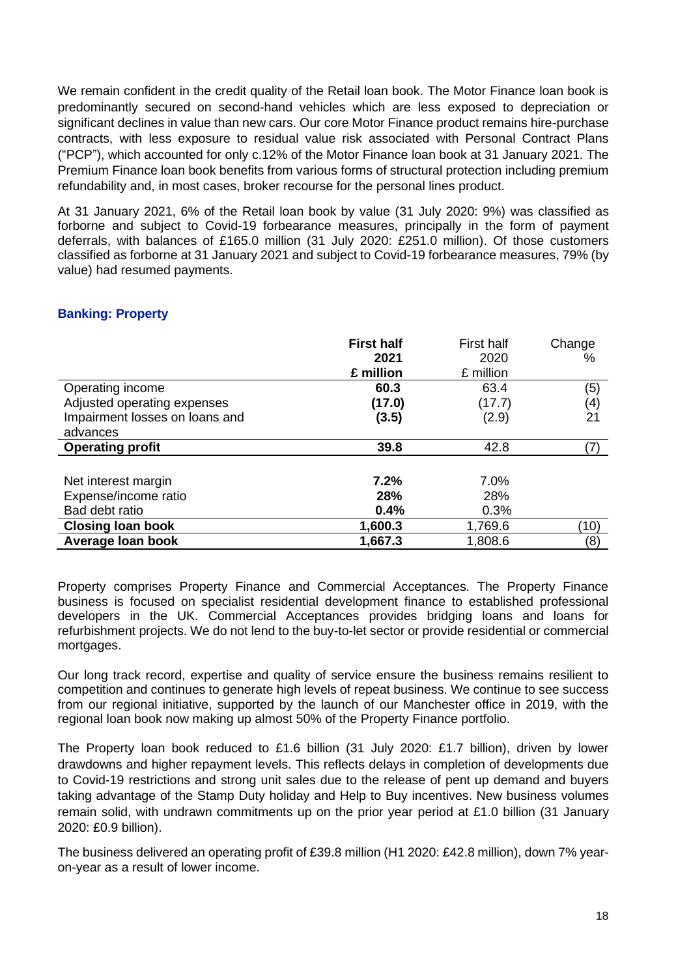We remain confident in the credit quality of the Retail loan book. The Motor Finance loan book is predominantly secured on second-hand vehicles which are less exposed to depreciation or significant declines in value than new cars. Our core Motor Finance product remains hire-purchase contracts, with less exposure to residual value risk associated with Personal Contract Plans ("PCP"), which accounted for only c.12% of the Motor Finance loan book at 31 January 2021. The Premium Finance loan book benefits from various forms of structural protection including premium refundability and, in most cases, broker recourse for the personal lines product.

At 31 January 2021, 6% of the Retail loan book by value (31 July 2020: 9%) was classified as forborne and subject to Covid-19 forbearance measures, principally in the form of payment deferrals, with balances of £165.0 million (31 July 2020: £251.0 million). Of those customers classified as forborne at 31 January 2021 and subject to Covid-19 forbearance measures, 79% (by value) had resumed payments.

## **Banking: Property**

|                                | <b>First half</b> | <b>First half</b> | Change |
|--------------------------------|-------------------|-------------------|--------|
|                                | 2021              | 2020              | %      |
|                                | £ million         | £ million         |        |
| Operating income               | 60.3              | 63.4              | (5)    |
| Adjusted operating expenses    | (17.0)            | (17.7)            | (4)    |
| Impairment losses on loans and | (3.5)             | (2.9)             | 21     |
| advances                       |                   |                   |        |
| <b>Operating profit</b>        | 39.8              | 42.8              |        |
|                                |                   |                   |        |
| Net interest margin            | 7.2%              | 7.0%              |        |
| Expense/income ratio           | 28%               | 28%               |        |
| Bad debt ratio                 | 0.4%              | 0.3%              |        |
| <b>Closing loan book</b>       | 1,600.3           | 1,769.6           | (10)   |
| Average Ioan book              | 1,667.3           | 1,808.6           | (8)    |

Property comprises Property Finance and Commercial Acceptances. The Property Finance business is focused on specialist residential development finance to established professional developers in the UK. Commercial Acceptances provides bridging loans and loans for refurbishment projects. We do not lend to the buy-to-let sector or provide residential or commercial mortgages.

Our long track record, expertise and quality of service ensure the business remains resilient to competition and continues to generate high levels of repeat business. We continue to see success from our regional initiative, supported by the launch of our Manchester office in 2019, with the regional loan book now making up almost 50% of the Property Finance portfolio.

The Property loan book reduced to £1.6 billion (31 July 2020: £1.7 billion), driven by lower drawdowns and higher repayment levels. This reflects delays in completion of developments due to Covid-19 restrictions and strong unit sales due to the release of pent up demand and buyers taking advantage of the Stamp Duty holiday and Help to Buy incentives. New business volumes remain solid, with undrawn commitments up on the prior year period at £1.0 billion (31 January 2020: £0.9 billion).

The business delivered an operating profit of £39.8 million (H1 2020: £42.8 million), down 7% yearon-year as a result of lower income.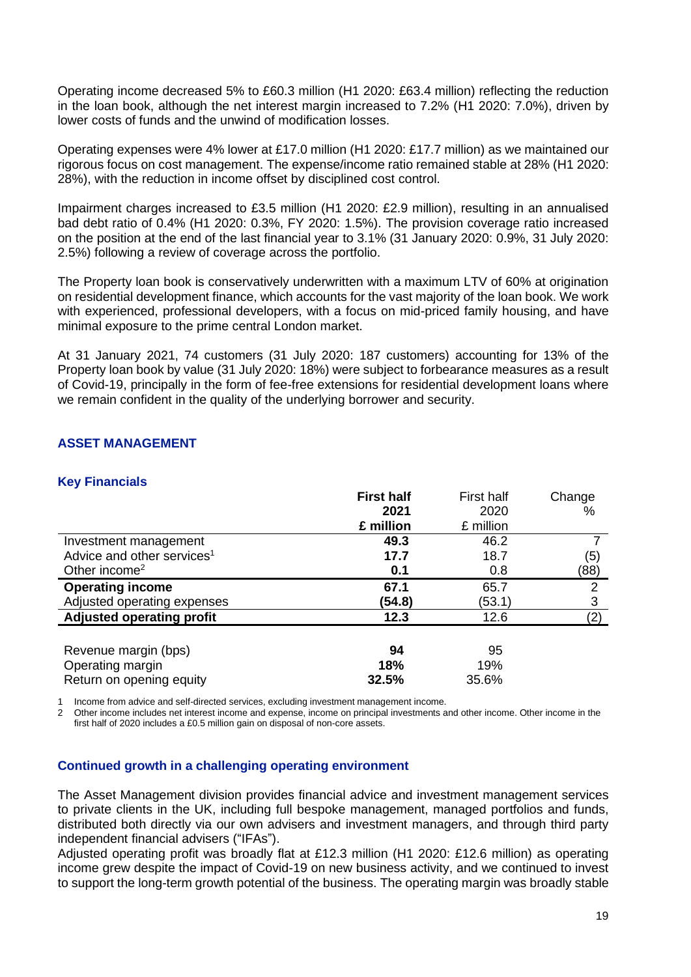Operating income decreased 5% to £60.3 million (H1 2020: £63.4 million) reflecting the reduction in the loan book, although the net interest margin increased to 7.2% (H1 2020: 7.0%), driven by lower costs of funds and the unwind of modification losses.

Operating expenses were 4% lower at £17.0 million (H1 2020: £17.7 million) as we maintained our rigorous focus on cost management. The expense/income ratio remained stable at 28% (H1 2020: 28%), with the reduction in income offset by disciplined cost control.

Impairment charges increased to £3.5 million (H1 2020: £2.9 million), resulting in an annualised bad debt ratio of 0.4% (H1 2020: 0.3%, FY 2020: 1.5%). The provision coverage ratio increased on the position at the end of the last financial year to 3.1% (31 January 2020: 0.9%, 31 July 2020: 2.5%) following a review of coverage across the portfolio.

The Property loan book is conservatively underwritten with a maximum LTV of 60% at origination on residential development finance, which accounts for the vast majority of the loan book. We work with experienced, professional developers, with a focus on mid-priced family housing, and have minimal exposure to the prime central London market.

At 31 January 2021, 74 customers (31 July 2020: 187 customers) accounting for 13% of the Property loan book by value (31 July 2020: 18%) were subject to forbearance measures as a result of Covid-19, principally in the form of fee-free extensions for residential development loans where we remain confident in the quality of the underlying borrower and security.

## **ASSET MANAGEMENT**

## **Key Financials**

|                                        | <b>First half</b> | First half | Change |
|----------------------------------------|-------------------|------------|--------|
|                                        | 2021              | 2020       | ℅      |
|                                        | £ million         | £ million  |        |
| Investment management                  | 49.3              | 46.2       |        |
| Advice and other services <sup>1</sup> | 17.7              | 18.7       | (5)    |
| Other income <sup>2</sup>              | 0.1               | 0.8        | (88)   |
| <b>Operating income</b>                | 67.1              | 65.7       | 2      |
| Adjusted operating expenses            | (54.8)            | (53.1)     | 3      |
| <b>Adjusted operating profit</b>       | 12.3              | 12.6       | (2)    |
|                                        |                   |            |        |
| Revenue margin (bps)                   | 94                | 95         |        |
| Operating margin                       | 18%               | 19%        |        |
| Return on opening equity               | 32.5%             | 35.6%      |        |

1 Income from advice and self-directed services, excluding investment management income.

2 Other income includes net interest income and expense, income on principal investments and other income. Other income in the first half of 2020 includes a £0.5 million gain on disposal of non-core assets.

#### **Continued growth in a challenging operating environment**

The Asset Management division provides financial advice and investment management services to private clients in the UK, including full bespoke management, managed portfolios and funds, distributed both directly via our own advisers and investment managers, and through third party independent financial advisers ("IFAs").

Adjusted operating profit was broadly flat at £12.3 million (H1 2020: £12.6 million) as operating income grew despite the impact of Covid-19 on new business activity, and we continued to invest to support the long-term growth potential of the business. The operating margin was broadly stable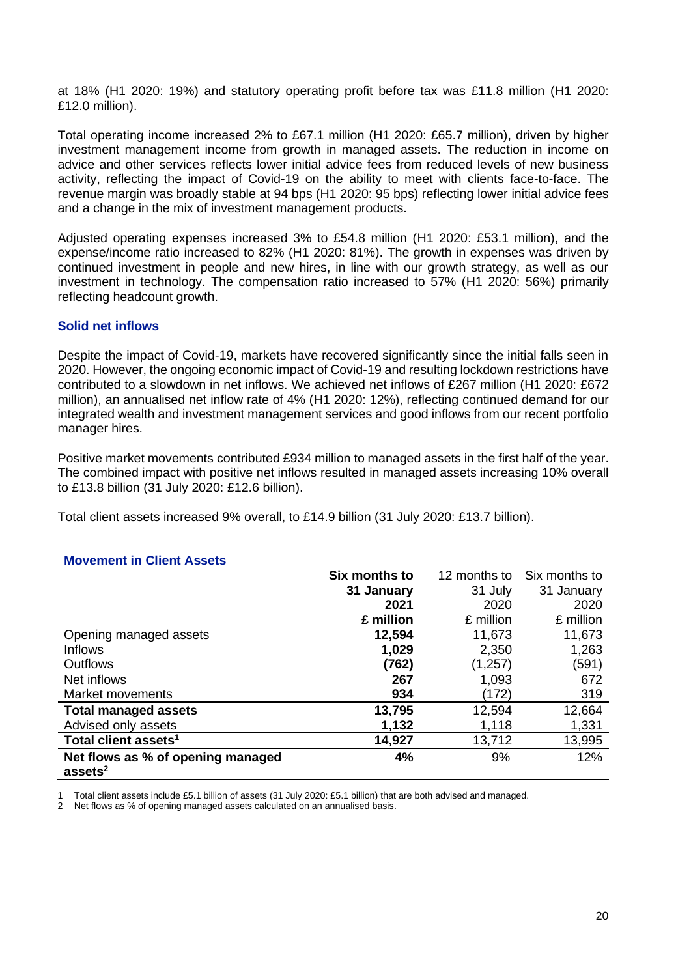at 18% (H1 2020: 19%) and statutory operating profit before tax was £11.8 million (H1 2020: £12.0 million).

Total operating income increased 2% to £67.1 million (H1 2020: £65.7 million), driven by higher investment management income from growth in managed assets. The reduction in income on advice and other services reflects lower initial advice fees from reduced levels of new business activity, reflecting the impact of Covid-19 on the ability to meet with clients face-to-face. The revenue margin was broadly stable at 94 bps (H1 2020: 95 bps) reflecting lower initial advice fees and a change in the mix of investment management products.

Adjusted operating expenses increased 3% to £54.8 million (H1 2020: £53.1 million), and the expense/income ratio increased to 82% (H1 2020: 81%). The growth in expenses was driven by continued investment in people and new hires, in line with our growth strategy, as well as our investment in technology. The compensation ratio increased to 57% (H1 2020: 56%) primarily reflecting headcount growth.

#### **Solid net inflows**

Despite the impact of Covid-19, markets have recovered significantly since the initial falls seen in 2020. However, the ongoing economic impact of Covid-19 and resulting lockdown restrictions have contributed to a slowdown in net inflows. We achieved net inflows of £267 million (H1 2020: £672 million), an annualised net inflow rate of 4% (H1 2020: 12%), reflecting continued demand for our integrated wealth and investment management services and good inflows from our recent portfolio manager hires.

Positive market movements contributed £934 million to managed assets in the first half of the year. The combined impact with positive net inflows resulted in managed assets increasing 10% overall to £13.8 billion (31 July 2020: £12.6 billion).

Total client assets increased 9% overall, to £14.9 billion (31 July 2020: £13.7 billion).

| Movement in Oncht Assets          |               |              |               |
|-----------------------------------|---------------|--------------|---------------|
|                                   | Six months to | 12 months to | Six months to |
|                                   | 31 January    | 31 July      | 31 January    |
|                                   | 2021          | 2020         | 2020          |
|                                   | £ million     | £ million    | £ million     |
| Opening managed assets            | 12,594        | 11,673       | 11,673        |
| <b>Inflows</b>                    | 1,029         | 2,350        | 1,263         |
| <b>Outflows</b>                   | (762)         | (1,257)      | (591)         |
| Net inflows                       | 267           | 1,093        | 672           |
| Market movements                  | 934           | (172)        | 319           |
| <b>Total managed assets</b>       | 13,795        | 12,594       | 12,664        |
| Advised only assets               | 1,132         | 1,118        | 1,331         |
| Total client assets <sup>1</sup>  | 14,927        | 13,712       | 13,995        |
| Net flows as % of opening managed | 4%            | 9%           | 12%           |
| assets <sup>2</sup>               |               |              |               |

## **Movement in Client Assets**

1 Total client assets include £5.1 billion of assets (31 July 2020: £5.1 billion) that are both advised and managed.

2 Net flows as % of opening managed assets calculated on an annualised basis.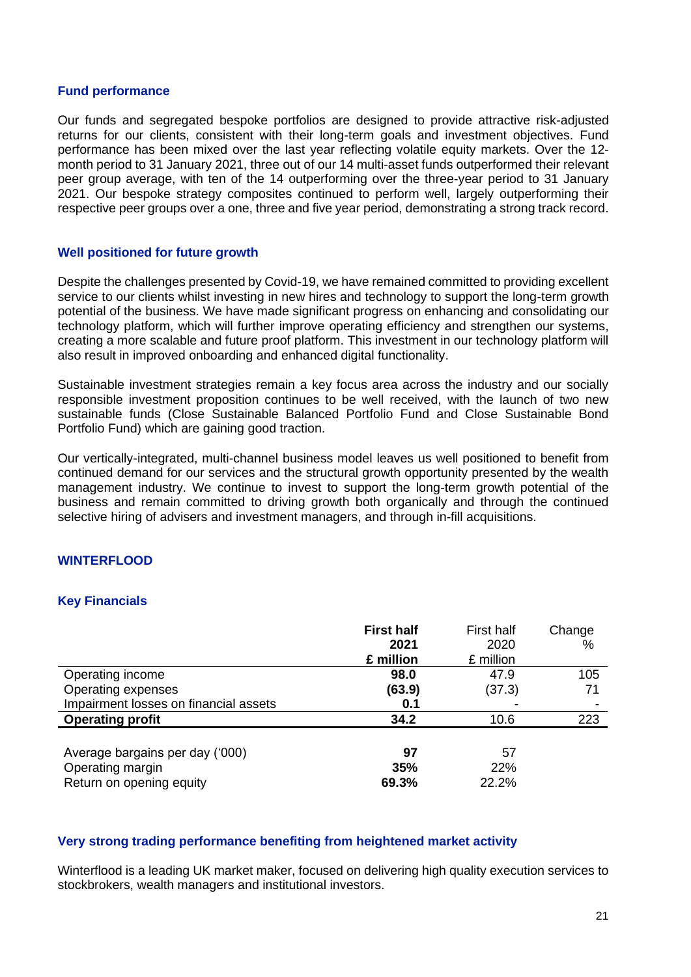#### **Fund performance**

Our funds and segregated bespoke portfolios are designed to provide attractive risk-adjusted returns for our clients, consistent with their long-term goals and investment objectives. Fund performance has been mixed over the last year reflecting volatile equity markets. Over the 12 month period to 31 January 2021, three out of our 14 multi-asset funds outperformed their relevant peer group average, with ten of the 14 outperforming over the three-year period to 31 January 2021. Our bespoke strategy composites continued to perform well, largely outperforming their respective peer groups over a one, three and five year period, demonstrating a strong track record.

### **Well positioned for future growth**

Despite the challenges presented by Covid-19, we have remained committed to providing excellent service to our clients whilst investing in new hires and technology to support the long-term growth potential of the business. We have made significant progress on enhancing and consolidating our technology platform, which will further improve operating efficiency and strengthen our systems, creating a more scalable and future proof platform. This investment in our technology platform will also result in improved onboarding and enhanced digital functionality.

Sustainable investment strategies remain a key focus area across the industry and our socially responsible investment proposition continues to be well received, with the launch of two new sustainable funds (Close Sustainable Balanced Portfolio Fund and Close Sustainable Bond Portfolio Fund) which are gaining good traction.

Our vertically-integrated, multi-channel business model leaves us well positioned to benefit from continued demand for our services and the structural growth opportunity presented by the wealth management industry. We continue to invest to support the long-term growth potential of the business and remain committed to driving growth both organically and through the continued selective hiring of advisers and investment managers, and through in-fill acquisitions.

## **WINTERFLOOD**

## **Key Financials**

|                                                                                 | <b>First half</b><br>2021<br>£ million | First half<br>2020<br>£ million | Change<br>$\%$ |
|---------------------------------------------------------------------------------|----------------------------------------|---------------------------------|----------------|
| Operating income                                                                | 98.0                                   | 47.9                            | 105            |
| Operating expenses                                                              | (63.9)                                 | (37.3)                          | 71             |
| Impairment losses on financial assets                                           | 0.1                                    |                                 |                |
| <b>Operating profit</b>                                                         | 34.2                                   | 10.6                            | 223            |
| Average bargains per day ('000)<br>Operating margin<br>Return on opening equity | 97<br>35%<br>69.3%                     | 57<br>22%<br>22.2%              |                |

#### **Very strong trading performance benefiting from heightened market activity**

Winterflood is a leading UK market maker, focused on delivering high quality execution services to stockbrokers, wealth managers and institutional investors.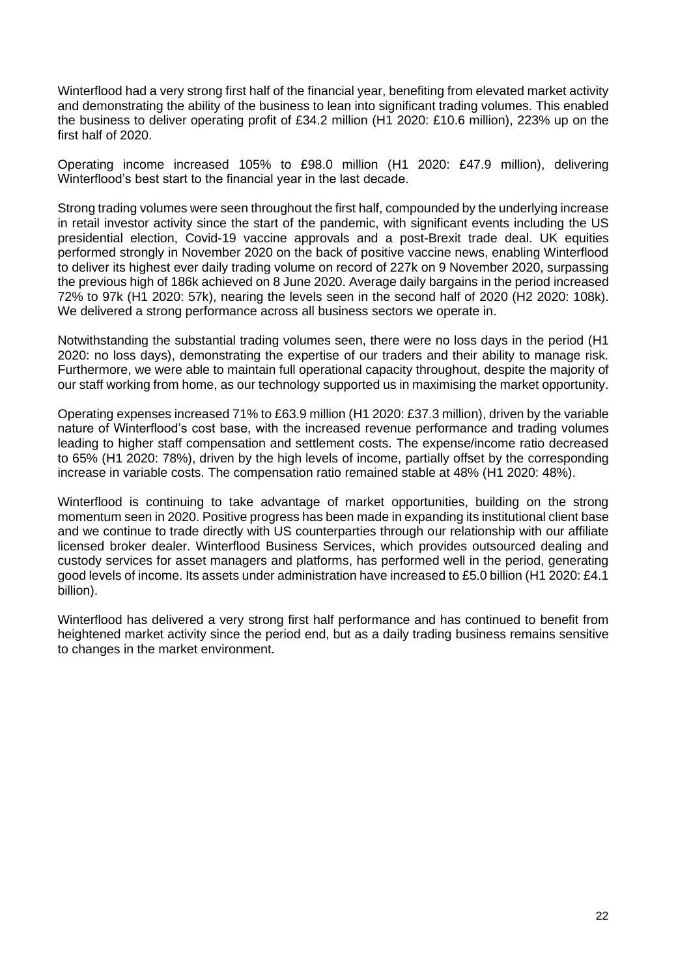Winterflood had a very strong first half of the financial year, benefiting from elevated market activity and demonstrating the ability of the business to lean into significant trading volumes. This enabled the business to deliver operating profit of £34.2 million (H1 2020: £10.6 million), 223% up on the first half of 2020.

Operating income increased 105% to £98.0 million (H1 2020: £47.9 million), delivering Winterflood's best start to the financial year in the last decade.

Strong trading volumes were seen throughout the first half, compounded by the underlying increase in retail investor activity since the start of the pandemic, with significant events including the US presidential election, Covid-19 vaccine approvals and a post-Brexit trade deal. UK equities performed strongly in November 2020 on the back of positive vaccine news, enabling Winterflood to deliver its highest ever daily trading volume on record of 227k on 9 November 2020, surpassing the previous high of 186k achieved on 8 June 2020. Average daily bargains in the period increased 72% to 97k (H1 2020: 57k), nearing the levels seen in the second half of 2020 (H2 2020: 108k). We delivered a strong performance across all business sectors we operate in.

Notwithstanding the substantial trading volumes seen, there were no loss days in the period (H1 2020: no loss days), demonstrating the expertise of our traders and their ability to manage risk. Furthermore, we were able to maintain full operational capacity throughout, despite the majority of our staff working from home, as our technology supported us in maximising the market opportunity.

Operating expenses increased 71% to £63.9 million (H1 2020: £37.3 million), driven by the variable nature of Winterflood's cost base, with the increased revenue performance and trading volumes leading to higher staff compensation and settlement costs. The expense/income ratio decreased to 65% (H1 2020: 78%), driven by the high levels of income, partially offset by the corresponding increase in variable costs. The compensation ratio remained stable at 48% (H1 2020: 48%).

Winterflood is continuing to take advantage of market opportunities, building on the strong momentum seen in 2020. Positive progress has been made in expanding its institutional client base and we continue to trade directly with US counterparties through our relationship with our affiliate licensed broker dealer. Winterflood Business Services, which provides outsourced dealing and custody services for asset managers and platforms, has performed well in the period, generating good levels of income. Its assets under administration have increased to £5.0 billion (H1 2020: £4.1 billion).

Winterflood has delivered a very strong first half performance and has continued to benefit from heightened market activity since the period end, but as a daily trading business remains sensitive to changes in the market environment.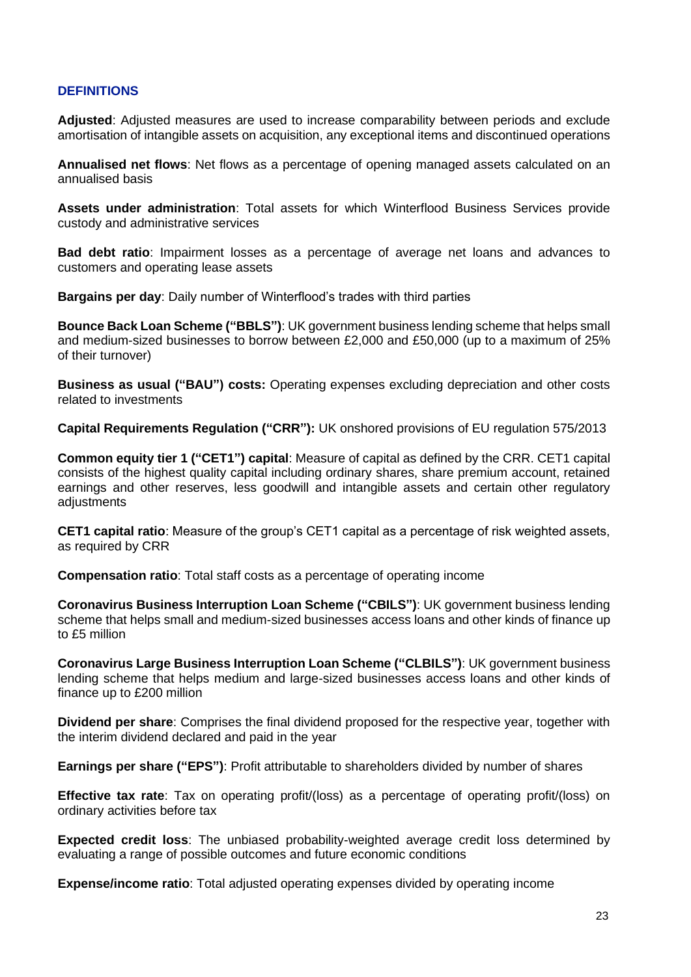#### **DEFINITIONS**

**Adjusted**: Adjusted measures are used to increase comparability between periods and exclude amortisation of intangible assets on acquisition, any exceptional items and discontinued operations

**Annualised net flows**: Net flows as a percentage of opening managed assets calculated on an annualised basis

**Assets under administration**: Total assets for which Winterflood Business Services provide custody and administrative services

**Bad debt ratio**: Impairment losses as a percentage of average net loans and advances to customers and operating lease assets

**Bargains per day**: Daily number of Winterflood's trades with third parties

**Bounce Back Loan Scheme ("BBLS")**: UK government business lending scheme that helps small and medium-sized businesses to borrow between £2,000 and £50,000 (up to a maximum of 25% of their turnover)

**Business as usual ("BAU") costs:** Operating expenses excluding depreciation and other costs related to investments

**Capital Requirements Regulation ("CRR"):** UK onshored provisions of EU regulation 575/2013

**Common equity tier 1 ("CET1") capital**: Measure of capital as defined by the CRR. CET1 capital consists of the highest quality capital including ordinary shares, share premium account, retained earnings and other reserves, less goodwill and intangible assets and certain other regulatory adjustments

**CET1 capital ratio**: Measure of the group's CET1 capital as a percentage of risk weighted assets, as required by CRR

**Compensation ratio**: Total staff costs as a percentage of operating income

**Coronavirus Business Interruption Loan Scheme ("CBILS")**: UK government business lending scheme that helps small and medium-sized businesses access loans and other kinds of finance up to £5 million

**Coronavirus Large Business Interruption Loan Scheme ("CLBILS")**: UK government business lending scheme that helps medium and large-sized businesses access loans and other kinds of finance up to £200 million

**Dividend per share**: Comprises the final dividend proposed for the respective year, together with the interim dividend declared and paid in the year

**Earnings per share ("EPS")**: Profit attributable to shareholders divided by number of shares

**Effective tax rate**: Tax on operating profit/(loss) as a percentage of operating profit/(loss) on ordinary activities before tax

**Expected credit loss**: The unbiased probability-weighted average credit loss determined by evaluating a range of possible outcomes and future economic conditions

**Expense/income ratio**: Total adjusted operating expenses divided by operating income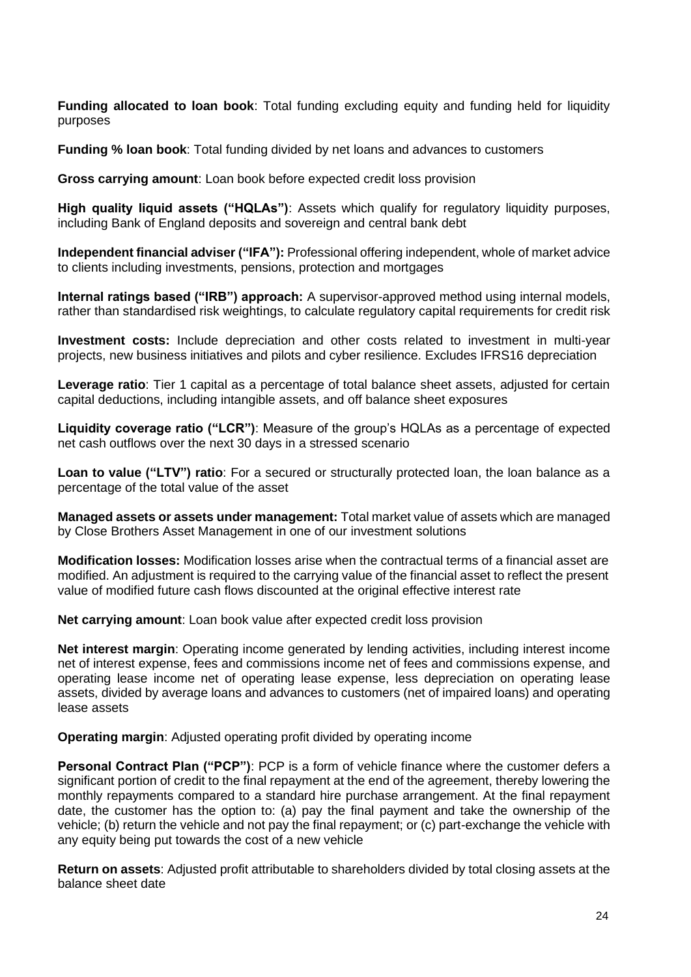**Funding allocated to loan book**: Total funding excluding equity and funding held for liquidity purposes

**Funding % loan book**: Total funding divided by net loans and advances to customers

**Gross carrying amount**: Loan book before expected credit loss provision

**High quality liquid assets ("HQLAs")**: Assets which qualify for regulatory liquidity purposes, including Bank of England deposits and sovereign and central bank debt

**Independent financial adviser ("IFA"):** Professional offering independent, whole of market advice to clients including investments, pensions, protection and mortgages

**Internal ratings based ("IRB") approach:** A supervisor-approved method using internal models, rather than standardised risk weightings, to calculate regulatory capital requirements for credit risk

**Investment costs:** Include depreciation and other costs related to investment in multi-year projects, new business initiatives and pilots and cyber resilience. Excludes IFRS16 depreciation

**Leverage ratio**: Tier 1 capital as a percentage of total balance sheet assets, adjusted for certain capital deductions, including intangible assets, and off balance sheet exposures

**Liquidity coverage ratio ("LCR")**: Measure of the group's HQLAs as a percentage of expected net cash outflows over the next 30 days in a stressed scenario

**Loan to value ("LTV") ratio**: For a secured or structurally protected loan, the loan balance as a percentage of the total value of the asset

**Managed assets or assets under management:** Total market value of assets which are managed by Close Brothers Asset Management in one of our investment solutions

**Modification losses:** Modification losses arise when the contractual terms of a financial asset are modified. An adjustment is required to the carrying value of the financial asset to reflect the present value of modified future cash flows discounted at the original effective interest rate

**Net carrying amount**: Loan book value after expected credit loss provision

**Net interest margin**: Operating income generated by lending activities, including interest income net of interest expense, fees and commissions income net of fees and commissions expense, and operating lease income net of operating lease expense, less depreciation on operating lease assets, divided by average loans and advances to customers (net of impaired loans) and operating lease assets

**Operating margin:** Adjusted operating profit divided by operating income

**Personal Contract Plan ("PCP")**: PCP is a form of vehicle finance where the customer defers a significant portion of credit to the final repayment at the end of the agreement, thereby lowering the monthly repayments compared to a standard hire purchase arrangement. At the final repayment date, the customer has the option to: (a) pay the final payment and take the ownership of the vehicle; (b) return the vehicle and not pay the final repayment; or (c) part-exchange the vehicle with any equity being put towards the cost of a new vehicle

**Return on assets**: Adjusted profit attributable to shareholders divided by total closing assets at the balance sheet date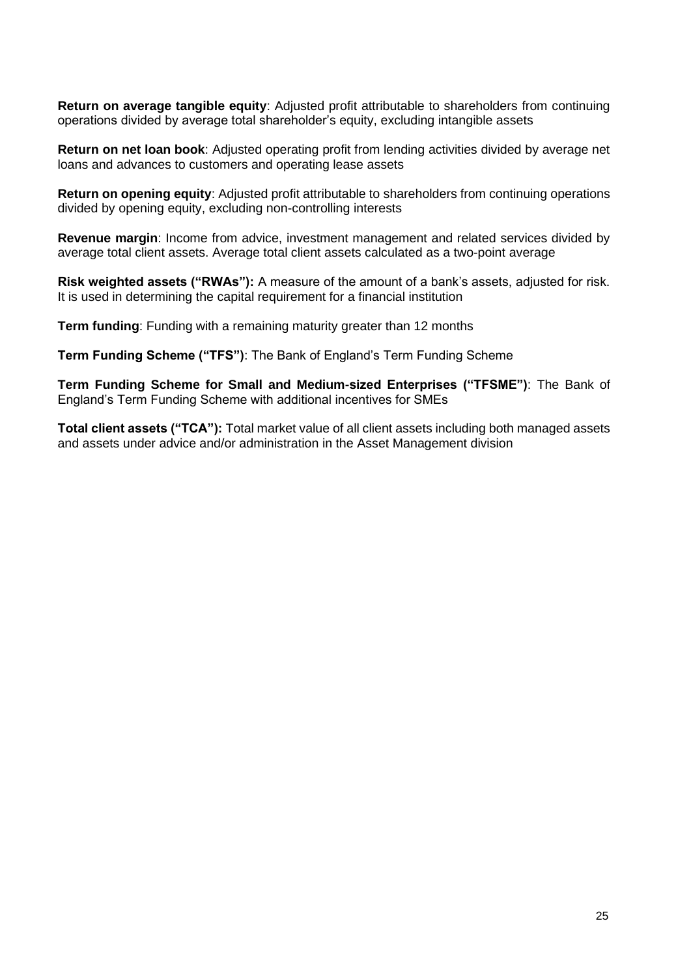**Return on average tangible equity**: Adjusted profit attributable to shareholders from continuing operations divided by average total shareholder's equity, excluding intangible assets

**Return on net loan book**: Adjusted operating profit from lending activities divided by average net loans and advances to customers and operating lease assets

**Return on opening equity**: Adjusted profit attributable to shareholders from continuing operations divided by opening equity, excluding non-controlling interests

**Revenue margin**: Income from advice, investment management and related services divided by average total client assets. Average total client assets calculated as a two-point average

**Risk weighted assets ("RWAs"):** A measure of the amount of a bank's assets, adjusted for risk. It is used in determining the capital requirement for a financial institution

**Term funding**: Funding with a remaining maturity greater than 12 months

**Term Funding Scheme ("TFS")**: The Bank of England's Term Funding Scheme

**Term Funding Scheme for Small and Medium-sized Enterprises ("TFSME")**: The Bank of England's Term Funding Scheme with additional incentives for SMEs

**Total client assets ("TCA"):** Total market value of all client assets including both managed assets and assets under advice and/or administration in the Asset Management division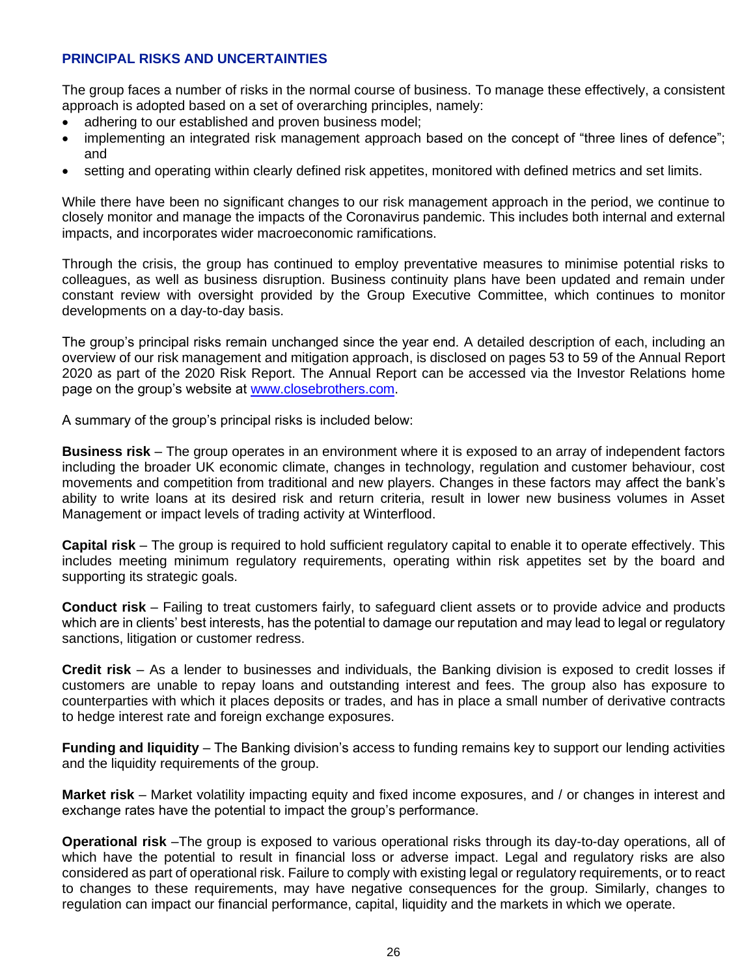## **PRINCIPAL RISKS AND UNCERTAINTIES**

The group faces a number of risks in the normal course of business. To manage these effectively, a consistent approach is adopted based on a set of overarching principles, namely:

- adhering to our established and proven business model;
- implementing an integrated risk management approach based on the concept of "three lines of defence"; and
- setting and operating within clearly defined risk appetites, monitored with defined metrics and set limits.

While there have been no significant changes to our risk management approach in the period, we continue to closely monitor and manage the impacts of the Coronavirus pandemic. This includes both internal and external impacts, and incorporates wider macroeconomic ramifications.

Through the crisis, the group has continued to employ preventative measures to minimise potential risks to colleagues, as well as business disruption. Business continuity plans have been updated and remain under constant review with oversight provided by the Group Executive Committee, which continues to monitor developments on a day-to-day basis.

The group's principal risks remain unchanged since the year end. A detailed description of each, including an overview of our risk management and mitigation approach, is disclosed on pages 53 to 59 of the Annual Report 2020 as part of the 2020 Risk Report. The Annual Report can be accessed via the Investor Relations home page on the group's website at [www.closebrothers.com.](http://www.closebrothers.com/)

A summary of the group's principal risks is included below:

**Business risk** – The group operates in an environment where it is exposed to an array of independent factors including the broader UK economic climate, changes in technology, regulation and customer behaviour, cost movements and competition from traditional and new players. Changes in these factors may affect the bank's ability to write loans at its desired risk and return criteria, result in lower new business volumes in Asset Management or impact levels of trading activity at Winterflood.

**Capital risk** – The group is required to hold sufficient regulatory capital to enable it to operate effectively. This includes meeting minimum regulatory requirements, operating within risk appetites set by the board and supporting its strategic goals.

**Conduct risk** – Failing to treat customers fairly, to safeguard client assets or to provide advice and products which are in clients' best interests, has the potential to damage our reputation and may lead to legal or regulatory sanctions, litigation or customer redress.

**Credit risk** – As a lender to businesses and individuals, the Banking division is exposed to credit losses if customers are unable to repay loans and outstanding interest and fees. The group also has exposure to counterparties with which it places deposits or trades, and has in place a small number of derivative contracts to hedge interest rate and foreign exchange exposures.

**Funding and liquidity** – The Banking division's access to funding remains key to support our lending activities and the liquidity requirements of the group.

**Market risk** – Market volatility impacting equity and fixed income exposures, and / or changes in interest and exchange rates have the potential to impact the group's performance.

**Operational risk** –The group is exposed to various operational risks through its day-to-day operations, all of which have the potential to result in financial loss or adverse impact. Legal and regulatory risks are also considered as part of operational risk. Failure to comply with existing legal or regulatory requirements, or to react to changes to these requirements, may have negative consequences for the group. Similarly, changes to regulation can impact our financial performance, capital, liquidity and the markets in which we operate.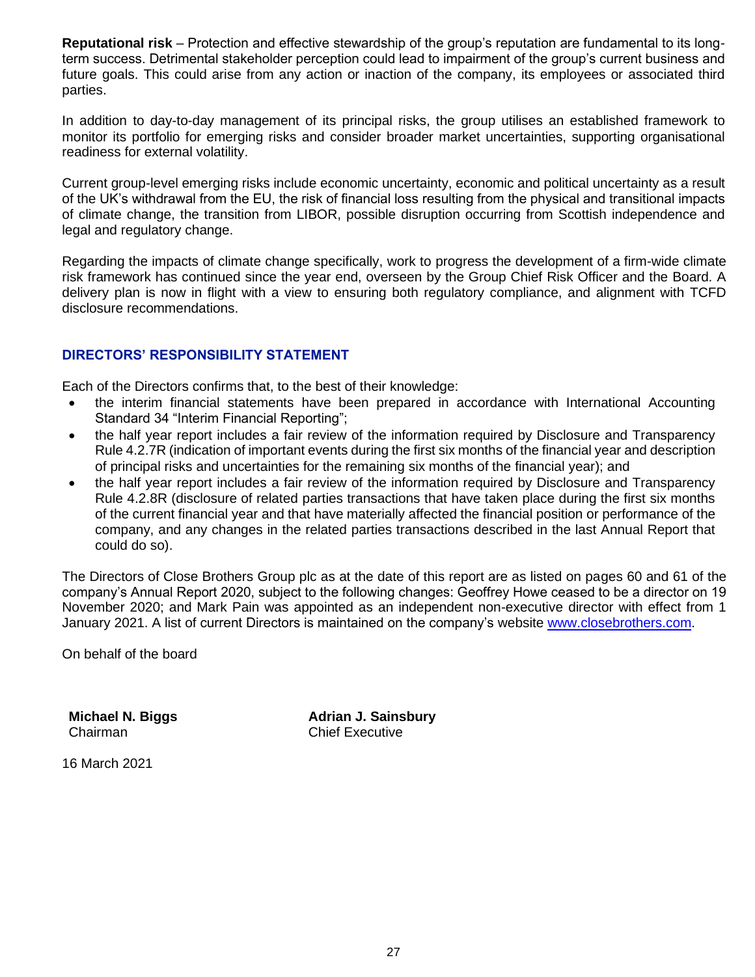**Reputational risk** – Protection and effective stewardship of the group's reputation are fundamental to its longterm success. Detrimental stakeholder perception could lead to impairment of the group's current business and future goals. This could arise from any action or inaction of the company, its employees or associated third parties.

In addition to day-to-day management of its principal risks, the group utilises an established framework to monitor its portfolio for emerging risks and consider broader market uncertainties, supporting organisational readiness for external volatility.

Current group-level emerging risks include economic uncertainty, economic and political uncertainty as a result of the UK's withdrawal from the EU, the risk of financial loss resulting from the physical and transitional impacts of climate change, the transition from LIBOR, possible disruption occurring from Scottish independence and legal and regulatory change.

Regarding the impacts of climate change specifically, work to progress the development of a firm-wide climate risk framework has continued since the year end, overseen by the Group Chief Risk Officer and the Board. A delivery plan is now in flight with a view to ensuring both regulatory compliance, and alignment with TCFD disclosure recommendations.

## **DIRECTORS' RESPONSIBILITY STATEMENT**

Each of the Directors confirms that, to the best of their knowledge:

- the interim financial statements have been prepared in accordance with International Accounting Standard 34 "Interim Financial Reporting";
- the half year report includes a fair review of the information required by Disclosure and Transparency Rule 4.2.7R (indication of important events during the first six months of the financial year and description of principal risks and uncertainties for the remaining six months of the financial year); and
- the half year report includes a fair review of the information required by Disclosure and Transparency Rule 4.2.8R (disclosure of related parties transactions that have taken place during the first six months of the current financial year and that have materially affected the financial position or performance of the company, and any changes in the related parties transactions described in the last Annual Report that could do so).

The Directors of Close Brothers Group plc as at the date of this report are as listed on pages 60 and 61 of the company's Annual Report 2020, subject to the following changes: Geoffrey Howe ceased to be a director on 19 November 2020; and Mark Pain was appointed as an independent non-executive director with effect from 1 January 2021. A list of current Directors is maintained on the company's website [www.closebrothers.com.](http://www.closebrothers.com/)

On behalf of the board

**Michael N. Biggs** Chairman

**Adrian J. Sainsbury** Chief Executive

16 March 2021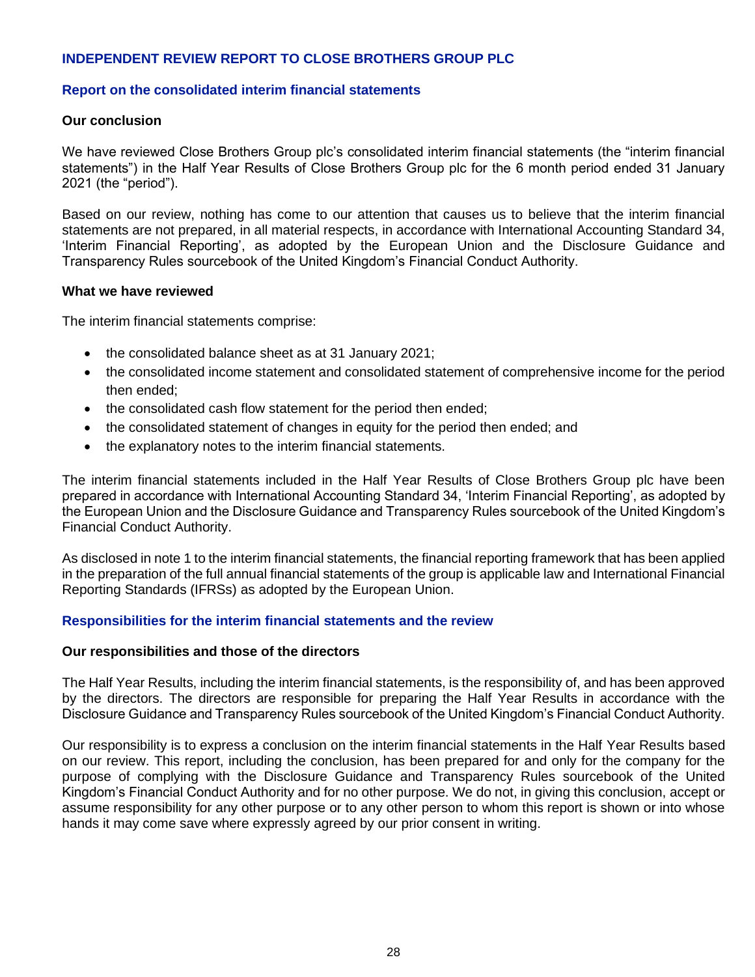## **INDEPENDENT REVIEW REPORT TO CLOSE BROTHERS GROUP PLC**

#### **Report on the consolidated interim financial statements**

#### **Our conclusion**

We have reviewed Close Brothers Group plc's consolidated interim financial statements (the "interim financial statements") in the Half Year Results of Close Brothers Group plc for the 6 month period ended 31 January 2021 (the "period").

Based on our review, nothing has come to our attention that causes us to believe that the interim financial statements are not prepared, in all material respects, in accordance with International Accounting Standard 34, 'Interim Financial Reporting', as adopted by the European Union and the Disclosure Guidance and Transparency Rules sourcebook of the United Kingdom's Financial Conduct Authority.

#### **What we have reviewed**

The interim financial statements comprise:

- the consolidated balance sheet as at 31 January 2021;
- the consolidated income statement and consolidated statement of comprehensive income for the period then ended;
- the consolidated cash flow statement for the period then ended;
- the consolidated statement of changes in equity for the period then ended; and
- the explanatory notes to the interim financial statements.

The interim financial statements included in the Half Year Results of Close Brothers Group plc have been prepared in accordance with International Accounting Standard 34, 'Interim Financial Reporting', as adopted by the European Union and the Disclosure Guidance and Transparency Rules sourcebook of the United Kingdom's Financial Conduct Authority.

As disclosed in note 1 to the interim financial statements, the financial reporting framework that has been applied in the preparation of the full annual financial statements of the group is applicable law and International Financial Reporting Standards (IFRSs) as adopted by the European Union.

## **Responsibilities for the interim financial statements and the review**

#### **Our responsibilities and those of the directors**

The Half Year Results, including the interim financial statements, is the responsibility of, and has been approved by the directors. The directors are responsible for preparing the Half Year Results in accordance with the Disclosure Guidance and Transparency Rules sourcebook of the United Kingdom's Financial Conduct Authority.

Our responsibility is to express a conclusion on the interim financial statements in the Half Year Results based on our review. This report, including the conclusion, has been prepared for and only for the company for the purpose of complying with the Disclosure Guidance and Transparency Rules sourcebook of the United Kingdom's Financial Conduct Authority and for no other purpose. We do not, in giving this conclusion, accept or assume responsibility for any other purpose or to any other person to whom this report is shown or into whose hands it may come save where expressly agreed by our prior consent in writing.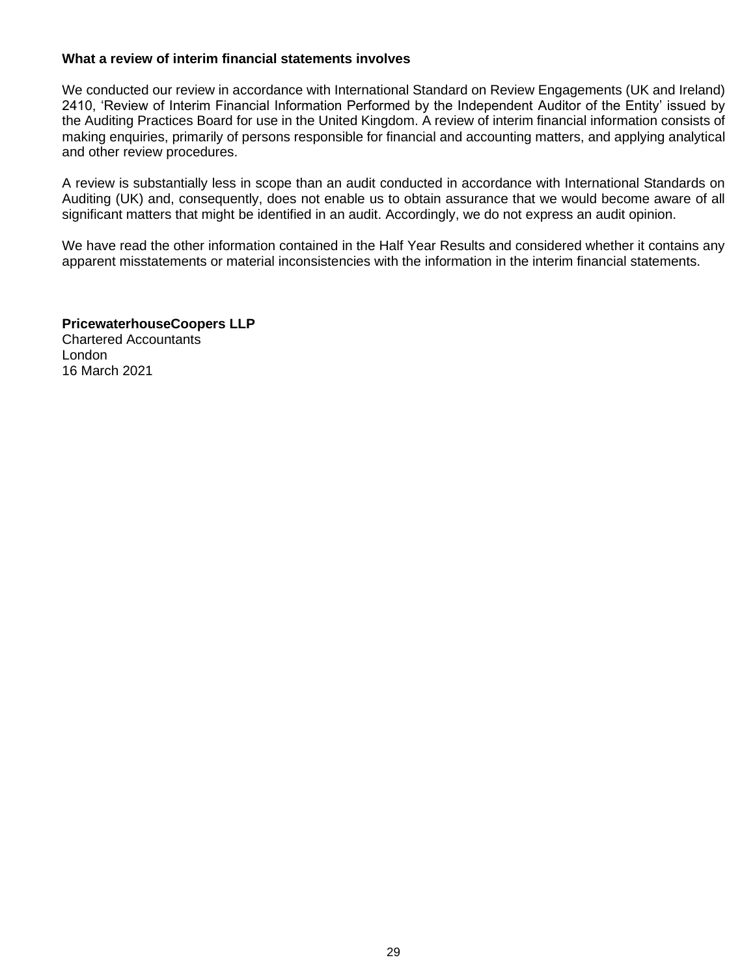### **What a review of interim financial statements involves**

We conducted our review in accordance with International Standard on Review Engagements (UK and Ireland) 2410, 'Review of Interim Financial Information Performed by the Independent Auditor of the Entity' issued by the Auditing Practices Board for use in the United Kingdom. A review of interim financial information consists of making enquiries, primarily of persons responsible for financial and accounting matters, and applying analytical and other review procedures.

A review is substantially less in scope than an audit conducted in accordance with International Standards on Auditing (UK) and, consequently, does not enable us to obtain assurance that we would become aware of all significant matters that might be identified in an audit. Accordingly, we do not express an audit opinion.

We have read the other information contained in the Half Year Results and considered whether it contains any apparent misstatements or material inconsistencies with the information in the interim financial statements.

**PricewaterhouseCoopers LLP** Chartered Accountants London 16 March 2021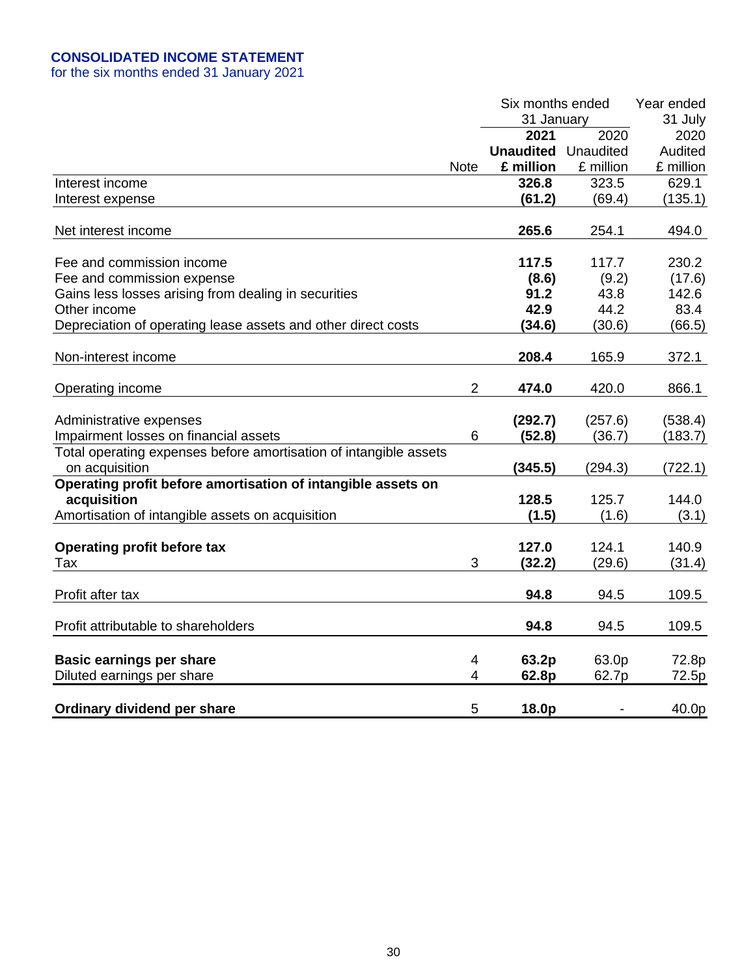## **CONSOLIDATED INCOME STATEMENT**

for the six months ended 31 January 2021

|                                                                   |                | Six months ended |           | Year ended |
|-------------------------------------------------------------------|----------------|------------------|-----------|------------|
|                                                                   |                | 31 January       |           | 31 July    |
|                                                                   |                | 2021             | 2020      | 2020       |
|                                                                   |                | <b>Unaudited</b> | Unaudited | Audited    |
|                                                                   | <b>Note</b>    | £ million        | £ million | £ million  |
| Interest income                                                   |                | 326.8            | 323.5     | 629.1      |
| Interest expense                                                  |                | (61.2)           | (69.4)    | (135.1)    |
|                                                                   |                |                  |           |            |
| Net interest income                                               |                | 265.6            | 254.1     | 494.0      |
|                                                                   |                |                  |           |            |
| Fee and commission income                                         |                | 117.5            | 117.7     | 230.2      |
| Fee and commission expense                                        |                | (8.6)            | (9.2)     | (17.6)     |
| Gains less losses arising from dealing in securities              |                | 91.2             | 43.8      | 142.6      |
| Other income                                                      |                | 42.9             | 44.2      | 83.4       |
| Depreciation of operating lease assets and other direct costs     |                | (34.6)           | (30.6)    | (66.5)     |
|                                                                   |                |                  |           |            |
| Non-interest income                                               |                | 208.4            | 165.9     | 372.1      |
|                                                                   |                |                  |           |            |
| Operating income                                                  | $\overline{2}$ | 474.0            | 420.0     | 866.1      |
|                                                                   |                |                  |           |            |
| Administrative expenses                                           |                | (292.7)          | (257.6)   | (538.4)    |
| Impairment losses on financial assets                             | 6              | (52.8)           | (36.7)    | (183.7)    |
| Total operating expenses before amortisation of intangible assets |                |                  |           |            |
| on acquisition                                                    |                | (345.5)          | (294.3)   | (722.1)    |
| Operating profit before amortisation of intangible assets on      |                |                  |           |            |
| acquisition                                                       |                | 128.5            | 125.7     | 144.0      |
| Amortisation of intangible assets on acquisition                  |                | (1.5)            | (1.6)     | (3.1)      |
|                                                                   |                |                  |           |            |
| <b>Operating profit before tax</b>                                |                | 127.0            | 124.1     | 140.9      |
| Tax                                                               | 3              | (32.2)           | (29.6)    | (31.4)     |
|                                                                   |                |                  |           |            |
| Profit after tax                                                  |                | 94.8             | 94.5      | 109.5      |
|                                                                   |                |                  |           |            |
| Profit attributable to shareholders                               |                | 94.8             | 94.5      | 109.5      |
|                                                                   |                |                  |           |            |
| <b>Basic earnings per share</b>                                   | 4              | 63.2p            | 63.0p     | 72.8p      |
| Diluted earnings per share                                        | $\overline{4}$ | 62.8p            | 62.7p     | 72.5p      |
|                                                                   |                |                  |           |            |
| Ordinary dividend per share                                       | 5              | 18.0p            |           | 40.0p      |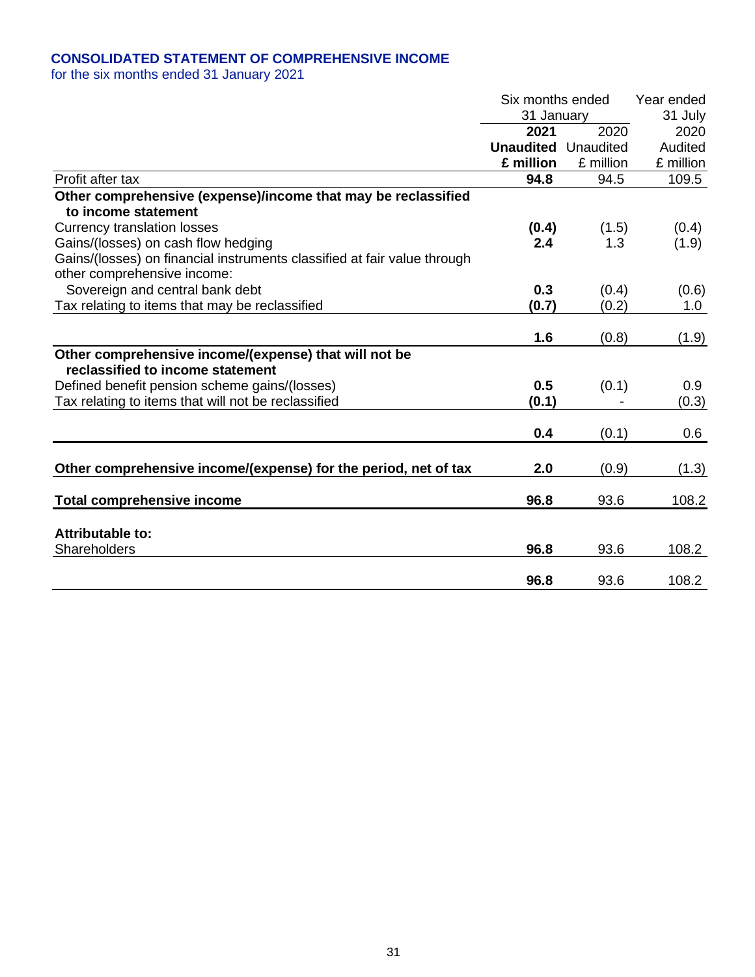## **CONSOLIDATED STATEMENT OF COMPREHENSIVE INCOME**

for the six months ended 31 January 2021

|                                                                          | Six months ended<br>31 January |           | Year ended<br>31 July |
|--------------------------------------------------------------------------|--------------------------------|-----------|-----------------------|
|                                                                          | 2021                           | 2020      | 2020                  |
|                                                                          | <b>Unaudited</b> Unaudited     |           | Audited               |
|                                                                          | £ million                      | £ million | £ million             |
| Profit after tax                                                         | 94.8                           | 94.5      | 109.5                 |
| Other comprehensive (expense)/income that may be reclassified            |                                |           |                       |
| to income statement                                                      |                                |           |                       |
| <b>Currency translation losses</b>                                       | (0.4)                          | (1.5)     | (0.4)                 |
| Gains/(losses) on cash flow hedging                                      | 2.4                            | 1.3       | (1.9)                 |
| Gains/(losses) on financial instruments classified at fair value through |                                |           |                       |
| other comprehensive income:                                              |                                |           |                       |
| Sovereign and central bank debt                                          | 0.3                            | (0.4)     | (0.6)                 |
| Tax relating to items that may be reclassified                           | (0.7)                          | (0.2)     | 1.0                   |
|                                                                          |                                |           |                       |
|                                                                          | 1.6                            | (0.8)     | (1.9)                 |
| Other comprehensive income/(expense) that will not be                    |                                |           |                       |
| reclassified to income statement                                         |                                |           |                       |
| Defined benefit pension scheme gains/(losses)                            | 0.5                            | (0.1)     | 0.9                   |
| Tax relating to items that will not be reclassified                      | (0.1)                          |           | (0.3)                 |
|                                                                          | 0.4                            |           |                       |
|                                                                          |                                | (0.1)     | 0.6                   |
|                                                                          |                                |           |                       |
| Other comprehensive income/(expense) for the period, net of tax          | 2.0                            | (0.9)     | (1.3)                 |
| <b>Total comprehensive income</b>                                        | 96.8                           | 93.6      | 108.2                 |
|                                                                          |                                |           |                       |
| Attributable to:                                                         |                                |           |                       |
| Shareholders                                                             | 96.8                           | 93.6      | 108.2                 |
|                                                                          |                                |           |                       |
|                                                                          | 96.8                           | 93.6      | 108.2                 |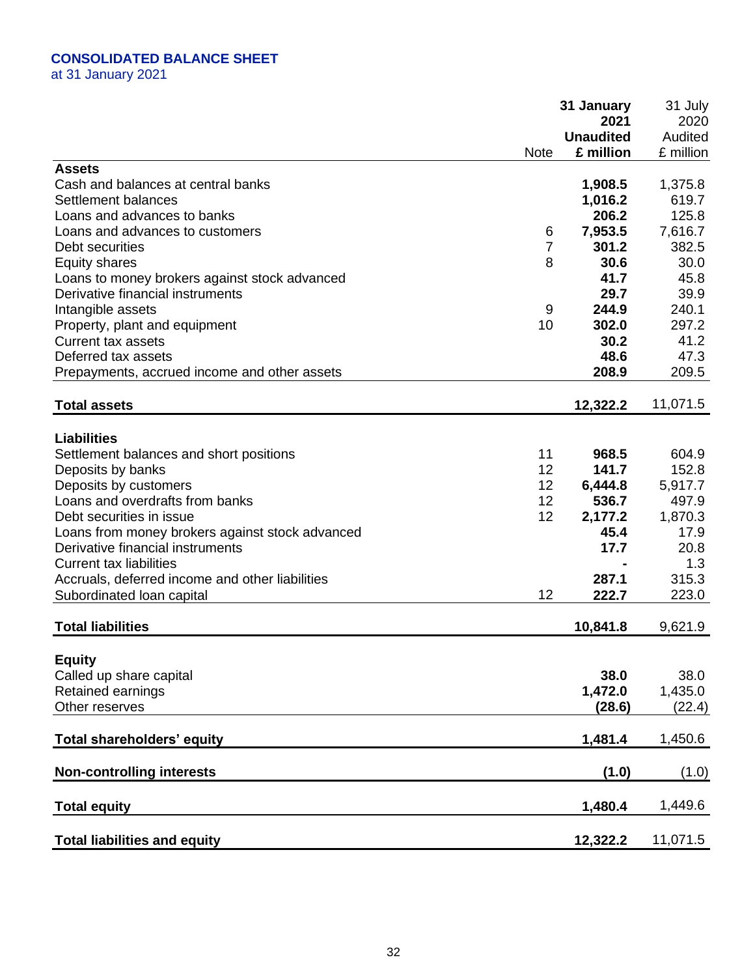# **CONSOLIDATED BALANCE SHEET**

at 31 January 2021

|                                                 |             | 31 January       | 31 July   |
|-------------------------------------------------|-------------|------------------|-----------|
|                                                 |             | 2021             | 2020      |
|                                                 |             | <b>Unaudited</b> | Audited   |
|                                                 | <b>Note</b> | £ million        | £ million |
| <b>Assets</b>                                   |             |                  |           |
| Cash and balances at central banks              |             | 1,908.5          | 1,375.8   |
| Settlement balances                             |             | 1,016.2          | 619.7     |
| Loans and advances to banks                     |             | 206.2            | 125.8     |
| Loans and advances to customers                 | 6           | 7,953.5          | 7,616.7   |
| Debt securities                                 | 7           | 301.2            | 382.5     |
| <b>Equity shares</b>                            | 8           | 30.6             | 30.0      |
| Loans to money brokers against stock advanced   |             | 41.7             | 45.8      |
| Derivative financial instruments                |             | 29.7             | 39.9      |
| Intangible assets                               | 9           | 244.9            | 240.1     |
| Property, plant and equipment                   | 10          | 302.0            | 297.2     |
| <b>Current tax assets</b>                       |             | 30.2             | 41.2      |
| Deferred tax assets                             |             | 48.6             | 47.3      |
| Prepayments, accrued income and other assets    |             | 208.9            | 209.5     |
| <b>Total assets</b>                             |             | 12,322.2         | 11,071.5  |
|                                                 |             |                  |           |
| <b>Liabilities</b>                              |             |                  |           |
| Settlement balances and short positions         | 11          | 968.5            | 604.9     |
| Deposits by banks                               | 12          | 141.7            | 152.8     |
| Deposits by customers                           | 12          | 6,444.8          | 5,917.7   |
| Loans and overdrafts from banks                 | 12          | 536.7            | 497.9     |
| Debt securities in issue                        | 12          | 2,177.2          | 1,870.3   |
| Loans from money brokers against stock advanced |             | 45.4             | 17.9      |
| Derivative financial instruments                |             | 17.7             | 20.8      |
| <b>Current tax liabilities</b>                  |             |                  | 1.3       |
| Accruals, deferred income and other liabilities |             | 287.1            | 315.3     |
| Subordinated Ioan capital                       | 12          | 222.7            | 223.0     |
| <b>Total liabilities</b>                        |             |                  |           |
|                                                 |             | 10,841.8         | 9,621.9   |
| <b>Equity</b>                                   |             |                  |           |
| Called up share capital                         |             | 38.0             | 38.0      |
| Retained earnings                               |             | 1,472.0          | 1,435.0   |
| Other reserves                                  |             | (28.6)           | (22.4)    |
|                                                 |             |                  |           |
| Total shareholders' equity                      |             | 1,481.4          | 1,450.6   |
| <b>Non-controlling interests</b>                |             | (1.0)            | (1.0)     |
|                                                 |             |                  |           |
| <b>Total equity</b>                             |             | 1,480.4          | 1,449.6   |
|                                                 |             |                  |           |
| <b>Total liabilities and equity</b>             |             | 12,322.2         | 11,071.5  |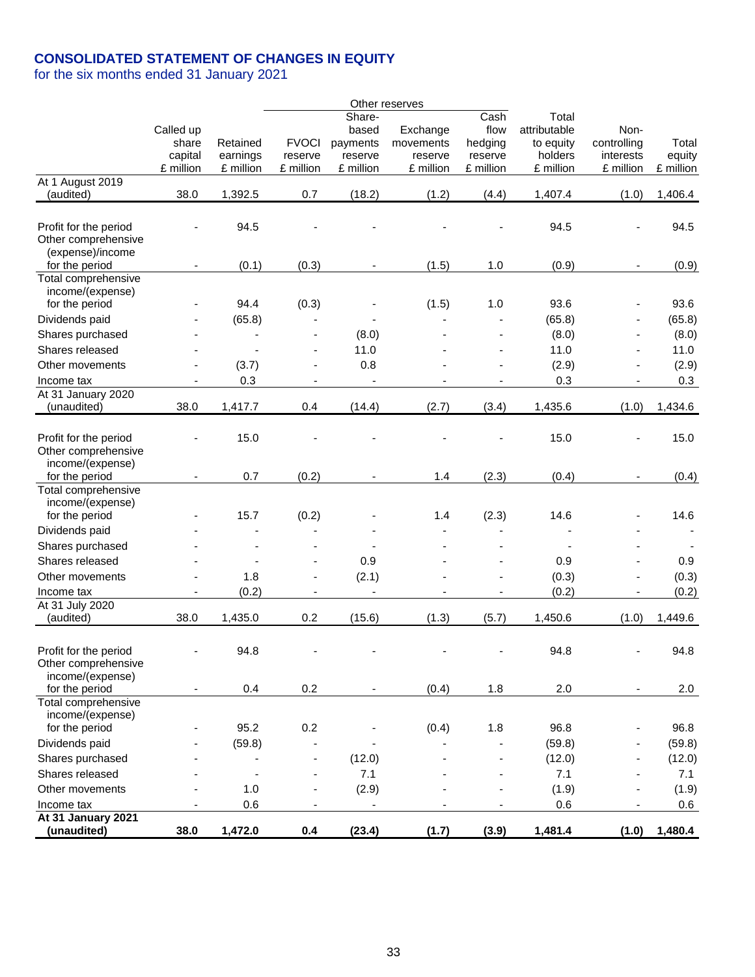## **CONSOLIDATED STATEMENT OF CHANGES IN EQUITY**

for the six months ended 31 January 2021

|                                                                  |                                            |                                   |                                      |                                                     | Other reserves                                |                                                 |                                                            |                                               |                              |
|------------------------------------------------------------------|--------------------------------------------|-----------------------------------|--------------------------------------|-----------------------------------------------------|-----------------------------------------------|-------------------------------------------------|------------------------------------------------------------|-----------------------------------------------|------------------------------|
|                                                                  | Called up<br>share<br>capital<br>£ million | Retained<br>earnings<br>£ million | <b>FVOCI</b><br>reserve<br>£ million | Share-<br>based<br>payments<br>reserve<br>£ million | Exchange<br>movements<br>reserve<br>£ million | Cash<br>flow<br>hedging<br>reserve<br>£ million | Total<br>attributable<br>to equity<br>holders<br>£ million | Non-<br>controlling<br>interests<br>£ million | Total<br>equity<br>£ million |
| At 1 August 2019                                                 |                                            |                                   |                                      |                                                     |                                               |                                                 |                                                            |                                               |                              |
| (audited)                                                        | 38.0                                       | 1,392.5                           | 0.7                                  | (18.2)                                              | (1.2)                                         | (4.4)                                           | 1,407.4                                                    | (1.0)                                         | 1,406.4                      |
| Profit for the period<br>Other comprehensive<br>(expense)/income |                                            | 94.5                              |                                      |                                                     |                                               |                                                 | 94.5                                                       |                                               | 94.5                         |
| for the period                                                   | $\overline{\phantom{a}}$                   | (0.1)                             | (0.3)                                |                                                     | (1.5)                                         | 1.0                                             | (0.9)                                                      |                                               | (0.9)                        |
| Total comprehensive<br>income/(expense)<br>for the period        |                                            | 94.4                              | (0.3)                                |                                                     | (1.5)                                         | 1.0                                             | 93.6                                                       |                                               | 93.6                         |
| Dividends paid                                                   |                                            | (65.8)                            |                                      |                                                     |                                               |                                                 | (65.8)                                                     |                                               | (65.8)                       |
| Shares purchased                                                 |                                            |                                   |                                      | (8.0)                                               |                                               |                                                 | (8.0)                                                      |                                               | (8.0)                        |
| Shares released                                                  |                                            |                                   | ÷,                                   | 11.0                                                |                                               |                                                 | 11.0                                                       |                                               | 11.0                         |
| Other movements                                                  |                                            | (3.7)                             |                                      | 0.8                                                 |                                               |                                                 | (2.9)                                                      |                                               | (2.9)                        |
| Income tax                                                       |                                            | 0.3                               |                                      |                                                     |                                               |                                                 | 0.3                                                        |                                               | 0.3                          |
| At 31 January 2020                                               |                                            |                                   |                                      |                                                     |                                               |                                                 |                                                            |                                               |                              |
| (unaudited)                                                      | 38.0                                       | 1,417.7                           | 0.4                                  | (14.4)                                              | (2.7)                                         | (3.4)                                           | 1,435.6                                                    | (1.0)                                         | 1,434.6                      |
| Profit for the period<br>Other comprehensive<br>income/(expense) |                                            | 15.0                              |                                      |                                                     |                                               |                                                 | 15.0                                                       |                                               | 15.0                         |
| for the period                                                   |                                            | 0.7                               | (0.2)                                |                                                     | 1.4                                           | (2.3)                                           | (0.4)                                                      |                                               | (0.4)                        |
| Total comprehensive<br>income/(expense)<br>for the period        |                                            | 15.7                              | (0.2)                                |                                                     | 1.4                                           | (2.3)                                           | 14.6                                                       |                                               | 14.6                         |
| Dividends paid                                                   |                                            |                                   |                                      |                                                     |                                               |                                                 |                                                            |                                               |                              |
| Shares purchased                                                 |                                            |                                   |                                      |                                                     |                                               |                                                 |                                                            |                                               |                              |
| Shares released                                                  |                                            |                                   |                                      | 0.9                                                 |                                               |                                                 | 0.9                                                        |                                               | 0.9                          |
| Other movements                                                  |                                            | 1.8                               | ÷,                                   | (2.1)                                               |                                               |                                                 | (0.3)                                                      |                                               | (0.3)                        |
| Income tax                                                       | $\blacksquare$                             | (0.2)                             | $\blacksquare$                       | $\blacksquare$                                      |                                               | $\blacksquare$                                  | (0.2)                                                      | $\overline{\phantom{a}}$                      | (0.2)                        |
| At 31 July 2020<br>(audited)                                     | 38.0                                       | 1,435.0                           | 0.2                                  | (15.6)                                              | (1.3)                                         | (5.7)                                           | 1,450.6                                                    | (1.0)                                         | 1,449.6                      |
| Profit for the period<br>Other comprehensive<br>income/(expense) |                                            | 94.8                              | $\qquad \qquad \blacksquare$         |                                                     |                                               |                                                 | 94.8                                                       | $\overline{\phantom{a}}$                      | 94.8                         |
| for the period                                                   |                                            | 0.4                               | 0.2                                  |                                                     | (0.4)                                         | 1.8                                             | 2.0                                                        | $\overline{\phantom{a}}$                      | 2.0                          |
| Total comprehensive<br>income/(expense)                          |                                            |                                   |                                      |                                                     |                                               |                                                 |                                                            |                                               |                              |
| for the period                                                   |                                            | 95.2                              | 0.2                                  |                                                     | (0.4)                                         | 1.8                                             | 96.8                                                       |                                               | 96.8                         |
| Dividends paid                                                   |                                            | (59.8)                            |                                      |                                                     |                                               |                                                 | (59.8)                                                     |                                               | (59.8)                       |
| Shares purchased                                                 |                                            |                                   |                                      | (12.0)                                              |                                               |                                                 | (12.0)                                                     |                                               | (12.0)                       |
| Shares released                                                  |                                            | ÷                                 |                                      | 7.1                                                 |                                               |                                                 | 7.1                                                        |                                               | 7.1                          |
| Other movements                                                  |                                            | 1.0                               |                                      | (2.9)                                               |                                               |                                                 | (1.9)                                                      |                                               | (1.9)                        |
| Income tax<br>At 31 January 2021                                 |                                            | 0.6                               |                                      | $\blacksquare$                                      |                                               |                                                 | 0.6                                                        |                                               | 0.6                          |
| (unaudited)                                                      | 38.0                                       | 1,472.0                           | 0.4                                  | (23.4)                                              | (1.7)                                         | (3.9)                                           | 1,481.4                                                    | (1.0)                                         | 1,480.4                      |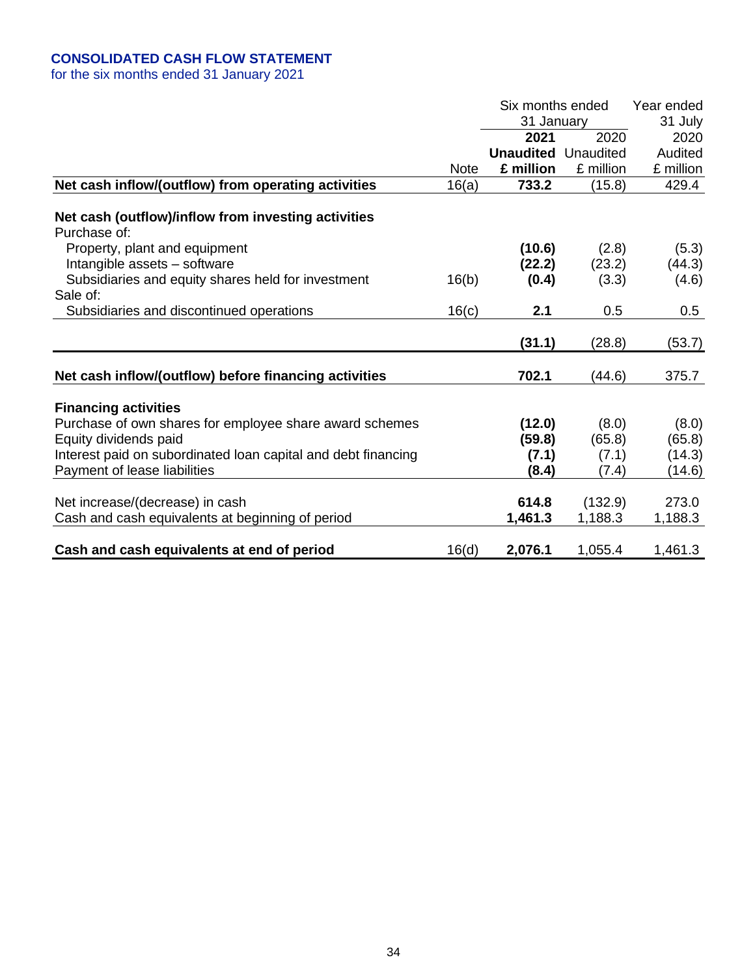## **CONSOLIDATED CASH FLOW STATEMENT**

for the six months ended 31 January 2021

|                                                                     |             | Six months ended<br>31 January<br>2020<br>2021 |           | Year ended<br>31 July<br>2020 |
|---------------------------------------------------------------------|-------------|------------------------------------------------|-----------|-------------------------------|
|                                                                     |             | <b>Unaudited</b> Unaudited                     |           | Audited                       |
|                                                                     | <b>Note</b> | £ million                                      | £ million | £ million                     |
| Net cash inflow/(outflow) from operating activities                 | 16(a)       | 733.2                                          | (15.8)    | 429.4                         |
| Net cash (outflow)/inflow from investing activities<br>Purchase of: |             |                                                |           |                               |
| Property, plant and equipment                                       |             | (10.6)                                         | (2.8)     | (5.3)                         |
| Intangible assets - software                                        |             | (22.2)                                         | (23.2)    | (44.3)                        |
| Subsidiaries and equity shares held for investment                  | 16(b)       | (0.4)                                          | (3.3)     | (4.6)                         |
| Sale of:                                                            |             |                                                |           |                               |
| Subsidiaries and discontinued operations                            | 16(c)       | 2.1                                            | 0.5       | 0.5                           |
|                                                                     |             | (31.1)                                         | (28.8)    | (53.7)                        |
| Net cash inflow/(outflow) before financing activities               |             | 702.1                                          | (44.6)    | 375.7                         |
| <b>Financing activities</b>                                         |             |                                                |           |                               |
| Purchase of own shares for employee share award schemes             |             | (12.0)                                         | (8.0)     | (8.0)                         |
| Equity dividends paid                                               |             | (59.8)                                         | (65.8)    | (65.8)                        |
| Interest paid on subordinated loan capital and debt financing       |             | (7.1)                                          | (7.1)     | (14.3)                        |
| Payment of lease liabilities                                        |             | (8.4)                                          | (7.4)     | (14.6)                        |
| Net increase/(decrease) in cash                                     |             | 614.8                                          | (132.9)   | 273.0                         |
| Cash and cash equivalents at beginning of period                    |             | 1,461.3                                        | 1,188.3   | 1,188.3                       |
| Cash and cash equivalents at end of period                          | 16(d)       | 2,076.1                                        | 1,055.4   | 1,461.3                       |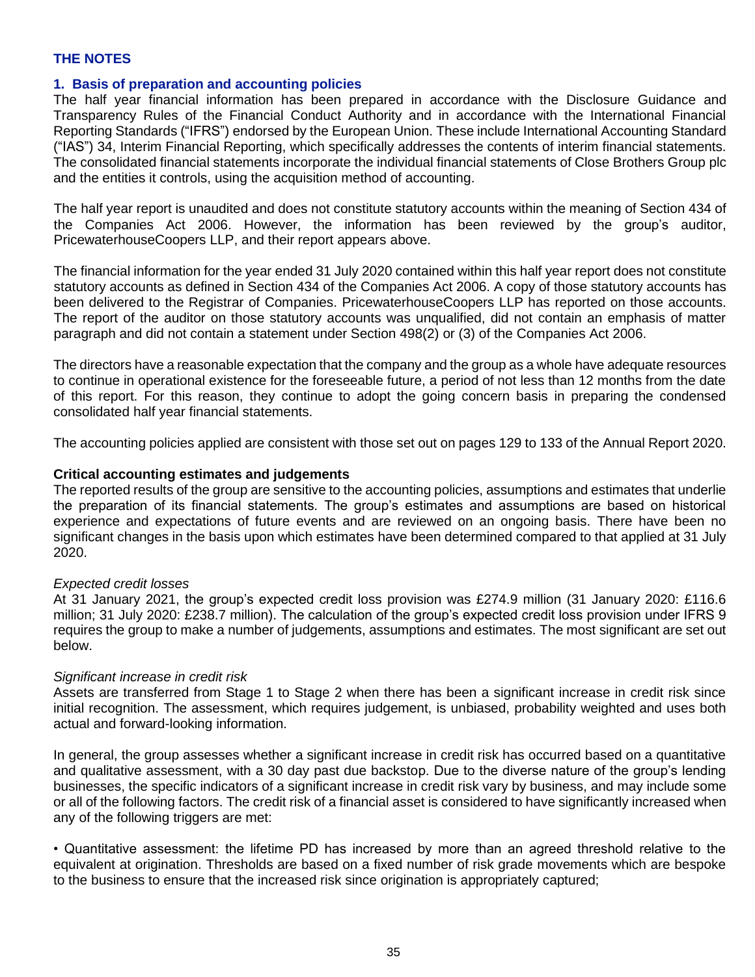### **THE NOTES**

#### **1. Basis of preparation and accounting policies**

The half year financial information has been prepared in accordance with the Disclosure Guidance and Transparency Rules of the Financial Conduct Authority and in accordance with the International Financial Reporting Standards ("IFRS") endorsed by the European Union. These include International Accounting Standard ("IAS") 34, Interim Financial Reporting, which specifically addresses the contents of interim financial statements. The consolidated financial statements incorporate the individual financial statements of Close Brothers Group plc and the entities it controls, using the acquisition method of accounting.

The half year report is unaudited and does not constitute statutory accounts within the meaning of Section 434 of the Companies Act 2006. However, the information has been reviewed by the group's auditor, PricewaterhouseCoopers LLP, and their report appears above.

The financial information for the year ended 31 July 2020 contained within this half year report does not constitute statutory accounts as defined in Section 434 of the Companies Act 2006. A copy of those statutory accounts has been delivered to the Registrar of Companies. PricewaterhouseCoopers LLP has reported on those accounts. The report of the auditor on those statutory accounts was unqualified, did not contain an emphasis of matter paragraph and did not contain a statement under Section 498(2) or (3) of the Companies Act 2006.

The directors have a reasonable expectation that the company and the group as a whole have adequate resources to continue in operational existence for the foreseeable future, a period of not less than 12 months from the date of this report. For this reason, they continue to adopt the going concern basis in preparing the condensed consolidated half year financial statements.

The accounting policies applied are consistent with those set out on pages 129 to 133 of the Annual Report 2020.

#### **Critical accounting estimates and judgements**

The reported results of the group are sensitive to the accounting policies, assumptions and estimates that underlie the preparation of its financial statements. The group's estimates and assumptions are based on historical experience and expectations of future events and are reviewed on an ongoing basis. There have been no significant changes in the basis upon which estimates have been determined compared to that applied at 31 July 2020.

#### *Expected credit losses*

At 31 January 2021, the group's expected credit loss provision was £274.9 million (31 January 2020: £116.6 million; 31 July 2020: £238.7 million). The calculation of the group's expected credit loss provision under IFRS 9 requires the group to make a number of judgements, assumptions and estimates. The most significant are set out below.

#### *Significant increase in credit risk*

Assets are transferred from Stage 1 to Stage 2 when there has been a significant increase in credit risk since initial recognition. The assessment, which requires judgement, is unbiased, probability weighted and uses both actual and forward-looking information.

In general, the group assesses whether a significant increase in credit risk has occurred based on a quantitative and qualitative assessment, with a 30 day past due backstop. Due to the diverse nature of the group's lending businesses, the specific indicators of a significant increase in credit risk vary by business, and may include some or all of the following factors. The credit risk of a financial asset is considered to have significantly increased when any of the following triggers are met:

• Quantitative assessment: the lifetime PD has increased by more than an agreed threshold relative to the equivalent at origination. Thresholds are based on a fixed number of risk grade movements which are bespoke to the business to ensure that the increased risk since origination is appropriately captured;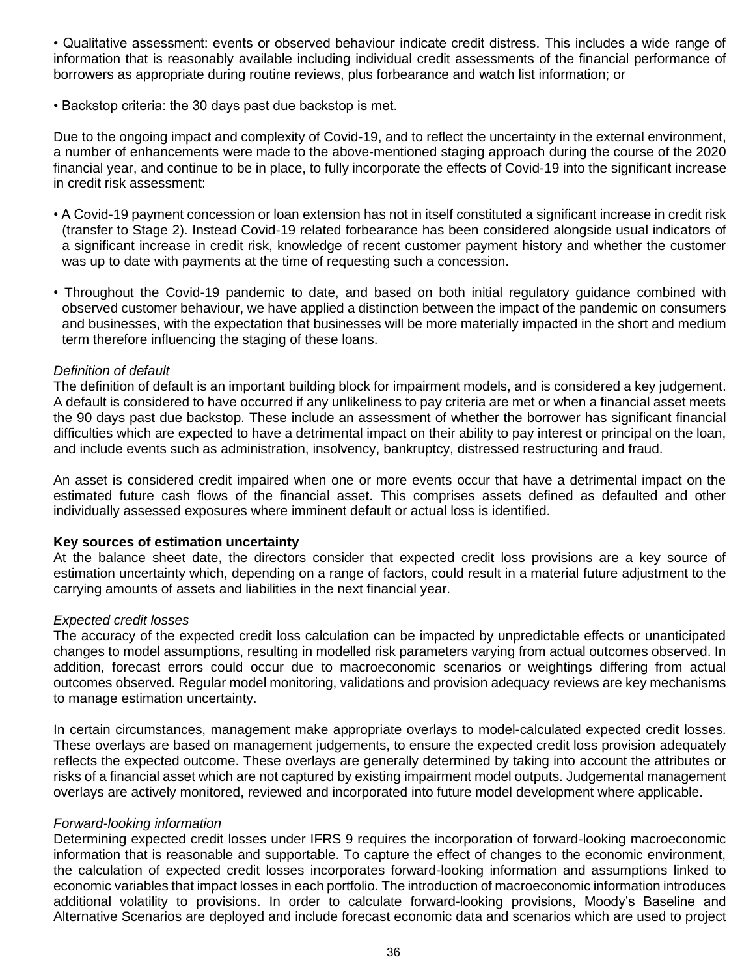• Qualitative assessment: events or observed behaviour indicate credit distress. This includes a wide range of information that is reasonably available including individual credit assessments of the financial performance of borrowers as appropriate during routine reviews, plus forbearance and watch list information; or

• Backstop criteria: the 30 days past due backstop is met.

Due to the ongoing impact and complexity of Covid-19, and to reflect the uncertainty in the external environment, a number of enhancements were made to the above-mentioned staging approach during the course of the 2020 financial year, and continue to be in place, to fully incorporate the effects of Covid-19 into the significant increase in credit risk assessment:

- A Covid-19 payment concession or loan extension has not in itself constituted a significant increase in credit risk (transfer to Stage 2). Instead Covid-19 related forbearance has been considered alongside usual indicators of a significant increase in credit risk, knowledge of recent customer payment history and whether the customer was up to date with payments at the time of requesting such a concession.
- Throughout the Covid-19 pandemic to date, and based on both initial regulatory guidance combined with observed customer behaviour, we have applied a distinction between the impact of the pandemic on consumers and businesses, with the expectation that businesses will be more materially impacted in the short and medium term therefore influencing the staging of these loans.

### *Definition of default*

The definition of default is an important building block for impairment models, and is considered a key judgement. A default is considered to have occurred if any unlikeliness to pay criteria are met or when a financial asset meets the 90 days past due backstop. These include an assessment of whether the borrower has significant financial difficulties which are expected to have a detrimental impact on their ability to pay interest or principal on the loan, and include events such as administration, insolvency, bankruptcy, distressed restructuring and fraud.

An asset is considered credit impaired when one or more events occur that have a detrimental impact on the estimated future cash flows of the financial asset. This comprises assets defined as defaulted and other individually assessed exposures where imminent default or actual loss is identified.

#### **Key sources of estimation uncertainty**

At the balance sheet date, the directors consider that expected credit loss provisions are a key source of estimation uncertainty which, depending on a range of factors, could result in a material future adjustment to the carrying amounts of assets and liabilities in the next financial year.

#### *Expected credit losses*

The accuracy of the expected credit loss calculation can be impacted by unpredictable effects or unanticipated changes to model assumptions, resulting in modelled risk parameters varying from actual outcomes observed. In addition, forecast errors could occur due to macroeconomic scenarios or weightings differing from actual outcomes observed. Regular model monitoring, validations and provision adequacy reviews are key mechanisms to manage estimation uncertainty.

In certain circumstances, management make appropriate overlays to model-calculated expected credit losses. These overlays are based on management judgements, to ensure the expected credit loss provision adequately reflects the expected outcome. These overlays are generally determined by taking into account the attributes or risks of a financial asset which are not captured by existing impairment model outputs. Judgemental management overlays are actively monitored, reviewed and incorporated into future model development where applicable.

#### *Forward-looking information*

Determining expected credit losses under IFRS 9 requires the incorporation of forward-looking macroeconomic information that is reasonable and supportable. To capture the effect of changes to the economic environment, the calculation of expected credit losses incorporates forward-looking information and assumptions linked to economic variables that impact losses in each portfolio. The introduction of macroeconomic information introduces additional volatility to provisions. In order to calculate forward-looking provisions, Moody's Baseline and Alternative Scenarios are deployed and include forecast economic data and scenarios which are used to project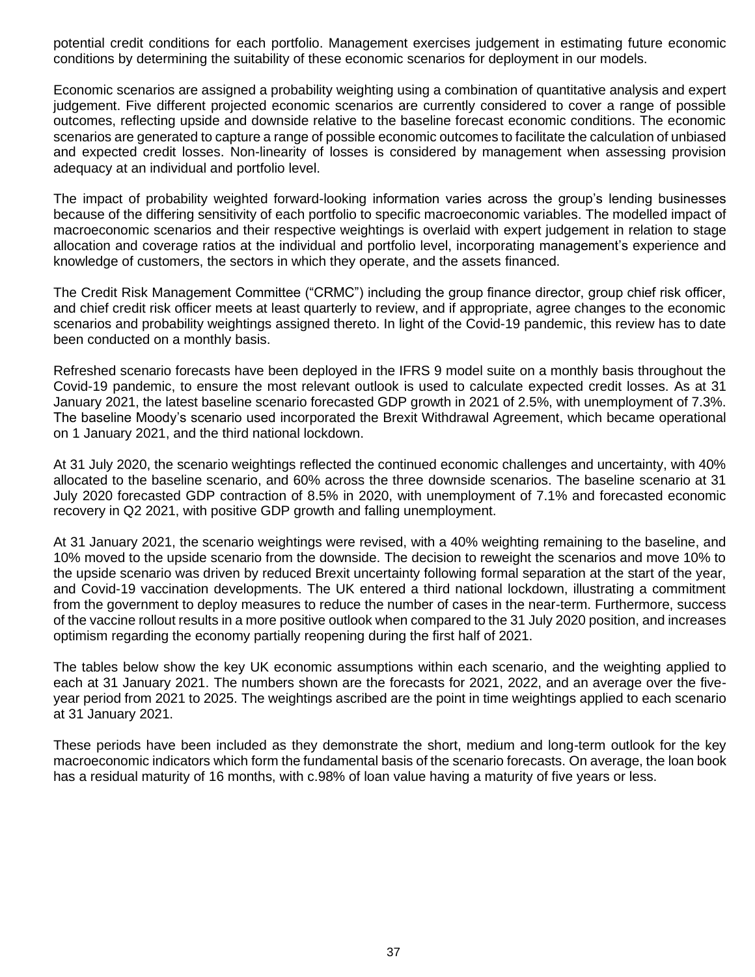potential credit conditions for each portfolio. Management exercises judgement in estimating future economic conditions by determining the suitability of these economic scenarios for deployment in our models.

Economic scenarios are assigned a probability weighting using a combination of quantitative analysis and expert judgement. Five different projected economic scenarios are currently considered to cover a range of possible outcomes, reflecting upside and downside relative to the baseline forecast economic conditions. The economic scenarios are generated to capture a range of possible economic outcomes to facilitate the calculation of unbiased and expected credit losses. Non-linearity of losses is considered by management when assessing provision adequacy at an individual and portfolio level.

The impact of probability weighted forward-looking information varies across the group's lending businesses because of the differing sensitivity of each portfolio to specific macroeconomic variables. The modelled impact of macroeconomic scenarios and their respective weightings is overlaid with expert judgement in relation to stage allocation and coverage ratios at the individual and portfolio level, incorporating management's experience and knowledge of customers, the sectors in which they operate, and the assets financed.

The Credit Risk Management Committee ("CRMC") including the group finance director, group chief risk officer, and chief credit risk officer meets at least quarterly to review, and if appropriate, agree changes to the economic scenarios and probability weightings assigned thereto. In light of the Covid-19 pandemic, this review has to date been conducted on a monthly basis.

Refreshed scenario forecasts have been deployed in the IFRS 9 model suite on a monthly basis throughout the Covid-19 pandemic, to ensure the most relevant outlook is used to calculate expected credit losses. As at 31 January 2021, the latest baseline scenario forecasted GDP growth in 2021 of 2.5%, with unemployment of 7.3%. The baseline Moody's scenario used incorporated the Brexit Withdrawal Agreement, which became operational on 1 January 2021, and the third national lockdown.

At 31 July 2020, the scenario weightings reflected the continued economic challenges and uncertainty, with 40% allocated to the baseline scenario, and 60% across the three downside scenarios. The baseline scenario at 31 July 2020 forecasted GDP contraction of 8.5% in 2020, with unemployment of 7.1% and forecasted economic recovery in Q2 2021, with positive GDP growth and falling unemployment.

At 31 January 2021, the scenario weightings were revised, with a 40% weighting remaining to the baseline, and 10% moved to the upside scenario from the downside. The decision to reweight the scenarios and move 10% to the upside scenario was driven by reduced Brexit uncertainty following formal separation at the start of the year, and Covid-19 vaccination developments. The UK entered a third national lockdown, illustrating a commitment from the government to deploy measures to reduce the number of cases in the near-term. Furthermore, success of the vaccine rollout results in a more positive outlook when compared to the 31 July 2020 position, and increases optimism regarding the economy partially reopening during the first half of 2021.

The tables below show the key UK economic assumptions within each scenario, and the weighting applied to each at 31 January 2021. The numbers shown are the forecasts for 2021, 2022, and an average over the fiveyear period from 2021 to 2025. The weightings ascribed are the point in time weightings applied to each scenario at 31 January 2021.

These periods have been included as they demonstrate the short, medium and long-term outlook for the key macroeconomic indicators which form the fundamental basis of the scenario forecasts. On average, the loan book has a residual maturity of 16 months, with c.98% of loan value having a maturity of five years or less.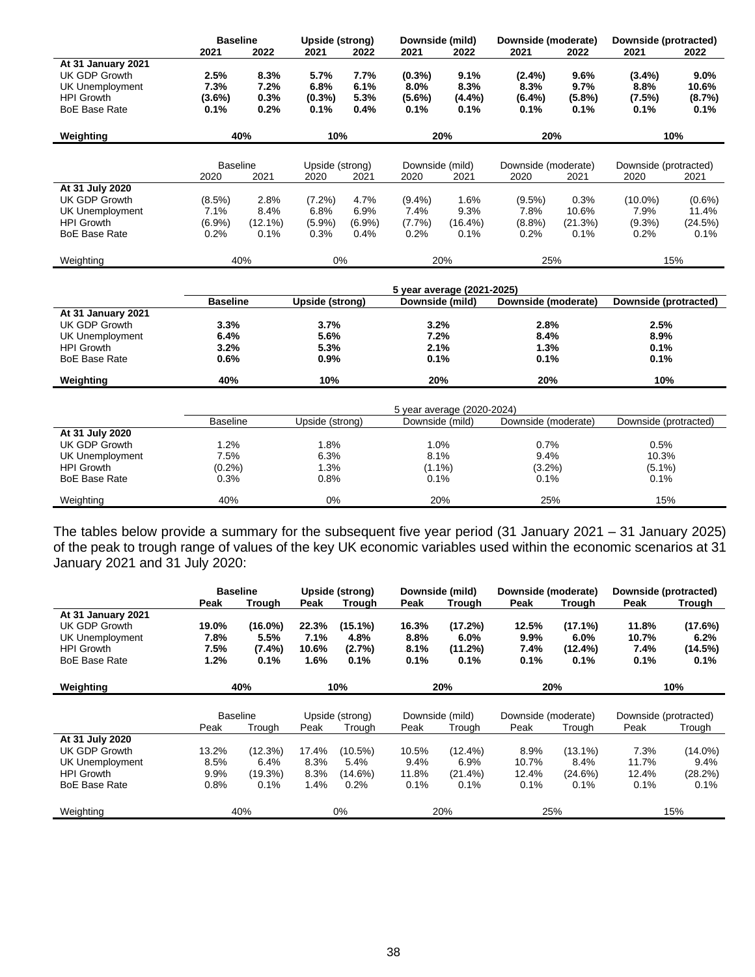|                      | <b>Baseline</b> |            | Downside (mild)<br><b>Upside (strong)</b> |           | Downside (moderate) |           | Downside (protracted) |           |                       |           |
|----------------------|-----------------|------------|-------------------------------------------|-----------|---------------------|-----------|-----------------------|-----------|-----------------------|-----------|
|                      | 2021            | 2022       | 2021                                      | 2022      | 2021                | 2022      | 2021                  | 2022      | 2021                  | 2022      |
| At 31 January 2021   |                 |            |                                           |           |                     |           |                       |           |                       |           |
| UK GDP Growth        | 2.5%            | 8.3%       | 5.7%                                      | 7.7%      | $(0.3\%)$           | 9.1%      | $(2.4\%)$             | 9.6%      | $(3.4\%)$             | $9.0\%$   |
| UK Unemployment      | 7.3%            | 7.2%       | 6.8%                                      | 6.1%      | $8.0\%$             | 8.3%      | 8.3%                  | 9.7%      | $8.8\%$               | 10.6%     |
| <b>HPI Growth</b>    | $(3.6\%)$       | 0.3%       | $(0.3\%)$                                 | 5.3%      | $(5.6\%)$           | $(4.4\%)$ | $(6.4\%)$             | $(5.8\%)$ | (7.5%)                | (8.7%)    |
| <b>BoE Base Rate</b> | 0.1%            | 0.2%       | 0.1%                                      | 0.4%      | 0.1%                | 0.1%      | 0.1%                  | 0.1%      | 0.1%                  | 0.1%      |
| Weighting            |                 | 40%        | 10%                                       |           |                     | 20%       | 20%                   |           |                       | 10%       |
|                      |                 |            |                                           |           |                     |           |                       |           |                       |           |
|                      | <b>Baseline</b> |            | Upside (strong)                           |           | Downside (mild)     |           | Downside (moderate)   |           | Downside (protracted) |           |
|                      | 2020            | 2021       | 2020                                      | 2021      | 2020                | 2021      | 2020                  | 2021      | 2020                  | 2021      |
| At 31 July 2020      |                 |            |                                           |           |                     |           |                       |           |                       |           |
| UK GDP Growth        | $(8.5\%)$       | 2.8%       | $(7.2\%)$                                 | 4.7%      | $(9.4\%)$           | 1.6%      | $(9.5\%)$             | 0.3%      | $(10.0\%)$            | $(0.6\%)$ |
| UK Unemployment      | 7.1%            | 8.4%       | 6.8%                                      | 6.9%      | 7.4%                | 9.3%      | 7.8%                  | 10.6%     | 7.9%                  | 11.4%     |
| <b>HPI Growth</b>    | $(6.9\%)$       | $(12.1\%)$ | $(5.9\%)$                                 | $(6.9\%)$ | $(7.7\%)$           | (16.4%)   | $(8.8\%)$             | (21.3%)   | $(9.3\%)$             | (24.5%)   |
| <b>BoE Base Rate</b> | $0.2\%$         | 0.1%       | 0.3%                                      | 0.4%      | 0.2%                | 0.1%      | 0.2%                  | 0.1%      | 0.2%                  | 0.1%      |
| Weighting            |                 | 40%        | 0%                                        |           |                     | 20%       | 25%                   |           |                       | 15%       |

|                      | 5 year average (2021-2025) |                 |                 |                     |                       |  |  |  |  |
|----------------------|----------------------------|-----------------|-----------------|---------------------|-----------------------|--|--|--|--|
|                      | <b>Baseline</b>            | Upside (strong) | Downside (mild) | Downside (moderate) | Downside (protracted) |  |  |  |  |
| At 31 January 2021   |                            |                 |                 |                     |                       |  |  |  |  |
| UK GDP Growth        | 3.3%                       | 3.7%            | 3.2%            | 2.8%                | 2.5%                  |  |  |  |  |
| UK Unemployment      | 6.4%                       | 5.6%            | 7.2%            | 8.4%                | 8.9%                  |  |  |  |  |
| <b>HPI Growth</b>    | 3.2%                       | 5.3%            | 2.1%            | 1.3%                | 0.1%                  |  |  |  |  |
| <b>BoE Base Rate</b> | 0.6%                       | 0.9%            | 0.1%            | 0.1%                | 0.1%                  |  |  |  |  |
| Weighting            | 40%                        | 10%             | 20%             | 20%                 | 10%                   |  |  |  |  |

| <b>Baseline</b> | Upside (strong) | Downside (mild) | Downside (moderate) | Downside (protracted)      |
|-----------------|-----------------|-----------------|---------------------|----------------------------|
|                 |                 |                 |                     |                            |
| .2%             | 1.8%            | 1.0%            | 0.7%                | 0.5%                       |
| 7.5%            | 6.3%            | 8.1%            | 9.4%                | 10.3%                      |
| $(0.2\%)$       | 1.3%            | $(1.1\%)$       | $(3.2\%)$           | $(5.1\%)$                  |
| 0.3%            | 0.8%            | 0.1%            | 0.1%                | 0.1%                       |
| 40%             | $0\%$           | 20%             | 25%                 | 15%                        |
|                 |                 |                 |                     | 5 year average (2020-2024) |

The tables below provide a summary for the subsequent five year period (31 January 2021 – 31 January 2025) of the peak to trough range of values of the key UK economic variables used within the economic scenarios at 31 January 2021 and 31 July 2020:

|                      | <b>Baseline</b> |                 | Upside (strong) |                 |       | Downside (mild) |                     | Downside (moderate) | Downside (protracted) |            |
|----------------------|-----------------|-----------------|-----------------|-----------------|-------|-----------------|---------------------|---------------------|-----------------------|------------|
|                      | Peak            | Trough          | Peak            | Trough          | Peak  | <b>Trough</b>   | Peak                | <b>Trough</b>       | Peak                  | Trough     |
| At 31 January 2021   |                 |                 |                 |                 |       |                 |                     |                     |                       |            |
| UK GDP Growth        | 19.0%           | $(16.0\%)$      | 22.3%           | $(15.1\%)$      | 16.3% | (17.2%)         | 12.5%               | $(17.1\%)$          | 11.8%                 | (17.6%)    |
| UK Unemployment      | 7.8%            | 5.5%            | 7.1%            | 4.8%            | 8.8%  | $6.0\%$         | $9.9\%$             | $6.0\%$             | 10.7%                 | 6.2%       |
| <b>HPI Growth</b>    | 7.5%            | $(7.4\%)$       | 10.6%           | (2.7%)          | 8.1%  | (11.2%)         | 7.4%                | (12.4%)             | 7.4%                  | (14.5%)    |
| <b>BoE Base Rate</b> | $1.2\%$         | 0.1%            | 1.6%            | 0.1%            | 0.1%  | 0.1%            | 0.1%                | 0.1%                | 0.1%                  | 0.1%       |
|                      |                 |                 |                 |                 |       |                 |                     |                     |                       |            |
| Weighting            |                 | 40%             |                 | 10%             |       | 20%             | 20%                 |                     |                       | 10%        |
|                      |                 |                 |                 |                 |       |                 |                     |                     |                       |            |
|                      |                 | <b>Baseline</b> |                 | Upside (strong) |       | Downside (mild) | Downside (moderate) |                     | Downside (protracted) |            |
|                      |                 |                 |                 |                 |       |                 |                     |                     |                       |            |
|                      | Peak            | Trough          | Peak            | Trough          | Peak  | Trough          | Peak                | Trough              | Peak                  | Trough     |
| At 31 July 2020      |                 |                 |                 |                 |       |                 |                     |                     |                       |            |
| UK GDP Growth        | 13.2%           | (12.3%)         | 17.4%           | $(10.5\%)$      | 10.5% | $(12.4\%)$      | 8.9%                | $(13.1\%)$          | 7.3%                  | $(14.0\%)$ |
| UK Unemployment      | 8.5%            | 6.4%            | 8.3%            | 5.4%            | 9.4%  | 6.9%            | 10.7%               | 8.4%                | 11.7%                 | 9.4%       |
| <b>HPI Growth</b>    | 9.9%            | (19.3%)         | 8.3%            | (14.6%)         | 11.8% | $(21.4\%)$      | 12.4%               | (24.6%)             | 12.4%                 | (28.2%)    |
| <b>BoE Base Rate</b> | 0.8%            | 0.1%            | 1.4%            | 0.2%            | 0.1%  | 0.1%            | 0.1%                | 0.1%                | 0.1%                  | 0.1%       |
| Weighting            |                 | 40%             |                 | 0%              |       | 20%             | 25%                 |                     |                       | 15%        |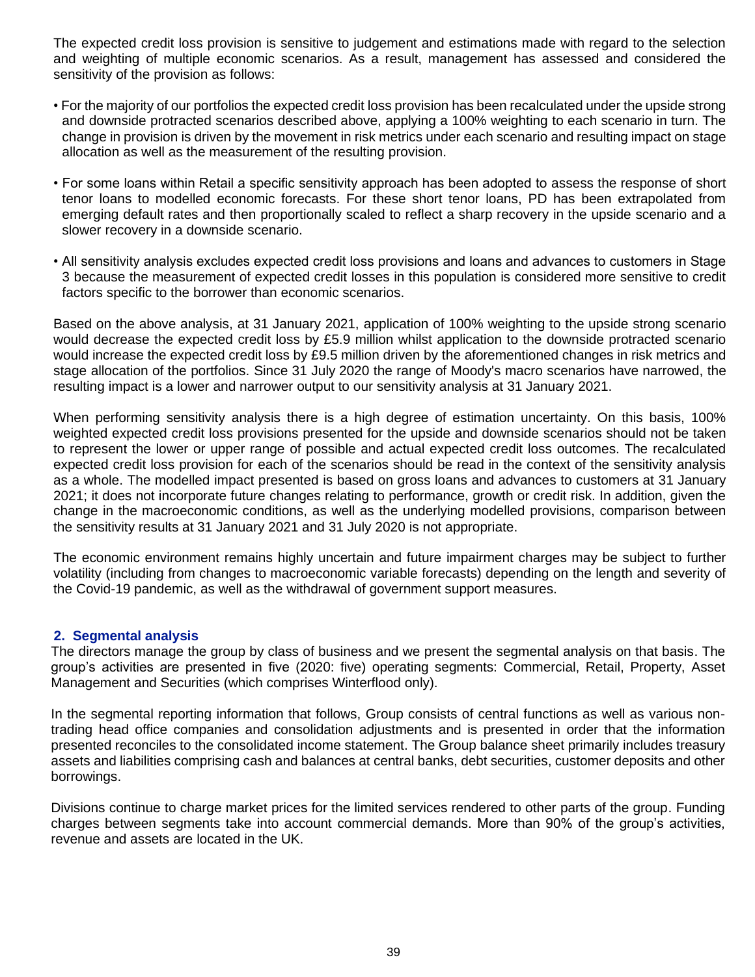The expected credit loss provision is sensitive to judgement and estimations made with regard to the selection and weighting of multiple economic scenarios. As a result, management has assessed and considered the sensitivity of the provision as follows:

- For the majority of our portfolios the expected credit loss provision has been recalculated under the upside strong and downside protracted scenarios described above, applying a 100% weighting to each scenario in turn. The change in provision is driven by the movement in risk metrics under each scenario and resulting impact on stage allocation as well as the measurement of the resulting provision.
- For some loans within Retail a specific sensitivity approach has been adopted to assess the response of short tenor loans to modelled economic forecasts. For these short tenor loans, PD has been extrapolated from emerging default rates and then proportionally scaled to reflect a sharp recovery in the upside scenario and a slower recovery in a downside scenario.
- All sensitivity analysis excludes expected credit loss provisions and loans and advances to customers in Stage 3 because the measurement of expected credit losses in this population is considered more sensitive to credit factors specific to the borrower than economic scenarios.

Based on the above analysis, at 31 January 2021, application of 100% weighting to the upside strong scenario would decrease the expected credit loss by £5.9 million whilst application to the downside protracted scenario would increase the expected credit loss by £9.5 million driven by the aforementioned changes in risk metrics and stage allocation of the portfolios. Since 31 July 2020 the range of Moody's macro scenarios have narrowed, the resulting impact is a lower and narrower output to our sensitivity analysis at 31 January 2021.

When performing sensitivity analysis there is a high degree of estimation uncertainty. On this basis, 100% weighted expected credit loss provisions presented for the upside and downside scenarios should not be taken to represent the lower or upper range of possible and actual expected credit loss outcomes. The recalculated expected credit loss provision for each of the scenarios should be read in the context of the sensitivity analysis as a whole. The modelled impact presented is based on gross loans and advances to customers at 31 January 2021; it does not incorporate future changes relating to performance, growth or credit risk. In addition, given the change in the macroeconomic conditions, as well as the underlying modelled provisions, comparison between the sensitivity results at 31 January 2021 and 31 July 2020 is not appropriate.

The economic environment remains highly uncertain and future impairment charges may be subject to further volatility (including from changes to macroeconomic variable forecasts) depending on the length and severity of the Covid-19 pandemic, as well as the withdrawal of government support measures.

#### **2. Segmental analysis**

The directors manage the group by class of business and we present the segmental analysis on that basis. The group's activities are presented in five (2020: five) operating segments: Commercial, Retail, Property, Asset Management and Securities (which comprises Winterflood only).

In the segmental reporting information that follows, Group consists of central functions as well as various nontrading head office companies and consolidation adjustments and is presented in order that the information presented reconciles to the consolidated income statement. The Group balance sheet primarily includes treasury assets and liabilities comprising cash and balances at central banks, debt securities, customer deposits and other borrowings.

Divisions continue to charge market prices for the limited services rendered to other parts of the group. Funding charges between segments take into account commercial demands. More than 90% of the group's activities, revenue and assets are located in the UK.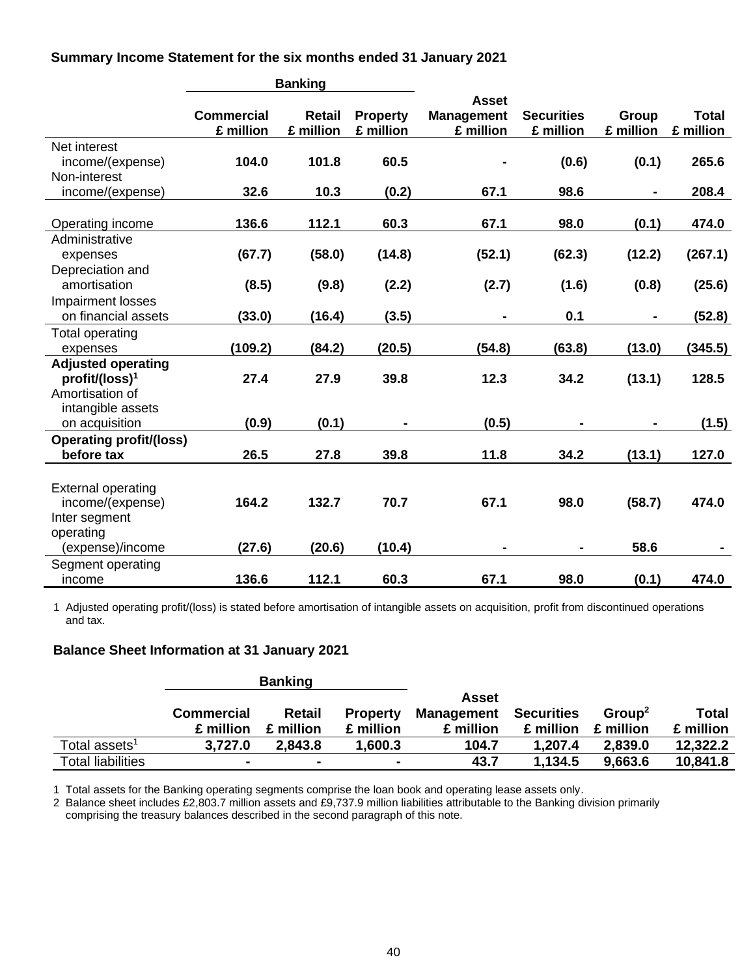**Summary Income Statement for the six months ended 31 January 2021**

|                                |                   | <b>Banking</b> |                 |                   |                   |           |              |
|--------------------------------|-------------------|----------------|-----------------|-------------------|-------------------|-----------|--------------|
|                                |                   |                |                 | <b>Asset</b>      |                   |           |              |
|                                | <b>Commercial</b> | <b>Retail</b>  | <b>Property</b> | <b>Management</b> | <b>Securities</b> | Group     | <b>Total</b> |
|                                | £ million         | £ million      | £ million       | £ million         | £ million         | £ million | £ million    |
| Net interest                   |                   |                |                 |                   |                   |           |              |
| income/(expense)               | 104.0             | 101.8          | 60.5            |                   | (0.6)             | (0.1)     | 265.6        |
| Non-interest                   |                   |                |                 |                   |                   |           |              |
| income/(expense)               | 32.6              | 10.3           | (0.2)           | 67.1              | 98.6              | ۰         | 208.4        |
|                                |                   |                |                 |                   |                   |           |              |
| Operating income               | 136.6             | 112.1          | 60.3            | 67.1              | 98.0              | (0.1)     | 474.0        |
| Administrative                 |                   |                |                 |                   |                   |           |              |
| expenses                       | (67.7)            | (58.0)         | (14.8)          | (52.1)            | (62.3)            | (12.2)    | (267.1)      |
| Depreciation and               |                   |                |                 |                   |                   |           |              |
| amortisation                   | (8.5)             | (9.8)          | (2.2)           | (2.7)             | (1.6)             | (0.8)     | (25.6)       |
| Impairment losses              |                   |                |                 |                   |                   |           |              |
| on financial assets            | (33.0)            | (16.4)         | (3.5)           |                   | 0.1               |           | (52.8)       |
| <b>Total operating</b>         |                   |                |                 |                   |                   |           |              |
| expenses                       | (109.2)           | (84.2)         | (20.5)          | (54.8)            | (63.8)            | (13.0)    | (345.5)      |
| <b>Adjusted operating</b>      |                   |                |                 |                   |                   |           |              |
| profit/(loss) <sup>1</sup>     | 27.4              | 27.9           | 39.8            | 12.3              | 34.2              | (13.1)    | 128.5        |
| Amortisation of                |                   |                |                 |                   |                   |           |              |
| intangible assets              |                   |                |                 |                   |                   |           |              |
| on acquisition                 | (0.9)             | (0.1)          |                 | (0.5)             |                   |           | (1.5)        |
| <b>Operating profit/(loss)</b> |                   |                |                 |                   |                   |           |              |
| before tax                     | 26.5              | 27.8           | 39.8            | 11.8              | 34.2              | (13.1)    | 127.0        |
|                                |                   |                |                 |                   |                   |           |              |
| <b>External operating</b>      |                   |                |                 |                   |                   |           |              |
| income/(expense)               | 164.2             | 132.7          | 70.7            | 67.1              | 98.0              | (58.7)    | 474.0        |
| Inter segment                  |                   |                |                 |                   |                   |           |              |
| operating                      |                   |                |                 |                   |                   |           |              |
| (expense)/income               | (27.6)            | (20.6)         | (10.4)          |                   |                   | 58.6      |              |
| Segment operating              |                   |                |                 |                   |                   |           |              |
| income                         | 136.6             | 112.1          | 60.3            | 67.1              | 98.0              | (0.1)     | 474.0        |

1 Adjusted operating profit/(loss) is stated before amortisation of intangible assets on acquisition, profit from discontinued operations and tax.

#### **Balance Sheet Information at 31 January 2021**

|                                          |                   | <b>Banking</b> |                 |                   |                   |                    |           |
|------------------------------------------|-------------------|----------------|-----------------|-------------------|-------------------|--------------------|-----------|
|                                          |                   |                |                 | Asset             |                   |                    |           |
|                                          | <b>Commercial</b> | Retail         | <b>Property</b> | <b>Management</b> | <b>Securities</b> | Group <sup>2</sup> | Total     |
|                                          | £ million         | £ million      | £ million       | £ million         | £ million         | £ million          | £ million |
| Total assets $^{\text{\tiny{\text{1}}}}$ | 3,727.0           | 2.843.8        | 1,600.3         | 104.7             | 1.207.4           | 2,839.0            | 12,322.2  |
| <b>Total liabilities</b>                 | $\blacksquare$    |                |                 | 43.7              | 1,134.5           | 9,663.6            | 10,841.8  |

1 Total assets for the Banking operating segments comprise the loan book and operating lease assets only.

2 Balance sheet includes £2,803.7 million assets and £9,737.9 million liabilities attributable to the Banking division primarily comprising the treasury balances described in the second paragraph of this note.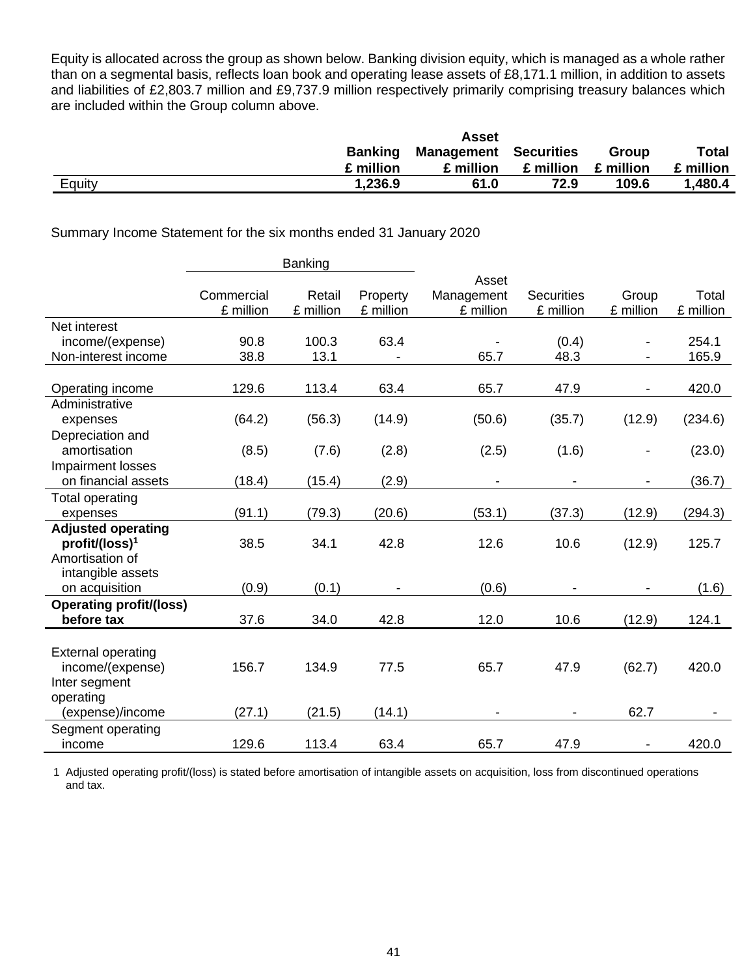Equity is allocated across the group as shown below. Banking division equity, which is managed as a whole rather than on a segmental basis, reflects loan book and operating lease assets of £8,171.1 million, in addition to assets and liabilities of £2,803.7 million and £9,737.9 million respectively primarily comprising treasury balances which are included within the Group column above.

|        |                | <b>Asset</b>                 |           |           |              |
|--------|----------------|------------------------------|-----------|-----------|--------------|
|        | <b>Banking</b> | <b>Management Securities</b> |           | Group     | <b>Total</b> |
|        | £ million      | £ million                    | £ million | £ million | £ million    |
| Equity | 1,236.9        | 61.0                         | 72.9      | 109.6     | 1,480.4      |

#### Summary Income Statement for the six months ended 31 January 2020

|                                |            | Banking   |           |            |                   |                          |           |
|--------------------------------|------------|-----------|-----------|------------|-------------------|--------------------------|-----------|
|                                |            |           |           | Asset      |                   |                          |           |
|                                | Commercial | Retail    | Property  | Management | <b>Securities</b> | Group                    | Total     |
|                                | £ million  | £ million | £ million | £ million  | £ million         | £ million                | £ million |
| Net interest                   |            |           |           |            |                   |                          |           |
| income/(expense)               | 90.8       | 100.3     | 63.4      |            | (0.4)             |                          | 254.1     |
| Non-interest income            | 38.8       | 13.1      |           | 65.7       | 48.3              |                          | 165.9     |
|                                |            |           |           |            |                   |                          |           |
| Operating income               | 129.6      | 113.4     | 63.4      | 65.7       | 47.9              |                          | 420.0     |
| Administrative                 |            |           |           |            |                   |                          |           |
| expenses                       | (64.2)     | (56.3)    | (14.9)    | (50.6)     | (35.7)            | (12.9)                   | (234.6)   |
| Depreciation and               |            |           |           |            |                   |                          |           |
| amortisation                   | (8.5)      | (7.6)     | (2.8)     | (2.5)      | (1.6)             |                          | (23.0)    |
| Impairment losses              |            |           |           |            |                   |                          |           |
| on financial assets            | (18.4)     | (15.4)    | (2.9)     |            |                   |                          | (36.7)    |
| <b>Total operating</b>         |            |           |           |            |                   |                          |           |
| expenses                       | (91.1)     | (79.3)    | (20.6)    | (53.1)     | (37.3)            | (12.9)                   | (294.3)   |
| <b>Adjusted operating</b>      |            |           |           |            |                   |                          |           |
| $profit/ (loss)^1$             | 38.5       | 34.1      | 42.8      | 12.6       | 10.6              | (12.9)                   | 125.7     |
| Amortisation of                |            |           |           |            |                   |                          |           |
| intangible assets              |            |           |           |            |                   |                          |           |
| on acquisition                 | (0.9)      | (0.1)     |           | (0.6)      |                   |                          | (1.6)     |
| <b>Operating profit/(loss)</b> |            |           |           |            |                   |                          |           |
| before tax                     | 37.6       | 34.0      | 42.8      | 12.0       | 10.6              | (12.9)                   | 124.1     |
|                                |            |           |           |            |                   |                          |           |
| <b>External operating</b>      |            |           |           |            |                   |                          |           |
| income/(expense)               | 156.7      | 134.9     | 77.5      | 65.7       | 47.9              | (62.7)                   | 420.0     |
| Inter segment                  |            |           |           |            |                   |                          |           |
| operating                      |            |           |           |            |                   |                          |           |
| (expense)/income               | (27.1)     | (21.5)    | (14.1)    |            |                   | 62.7                     |           |
| Segment operating              |            |           |           |            |                   |                          |           |
| income                         | 129.6      | 113.4     | 63.4      | 65.7       | 47.9              | $\overline{\phantom{a}}$ | 420.0     |

1 Adjusted operating profit/(loss) is stated before amortisation of intangible assets on acquisition, loss from discontinued operations and tax.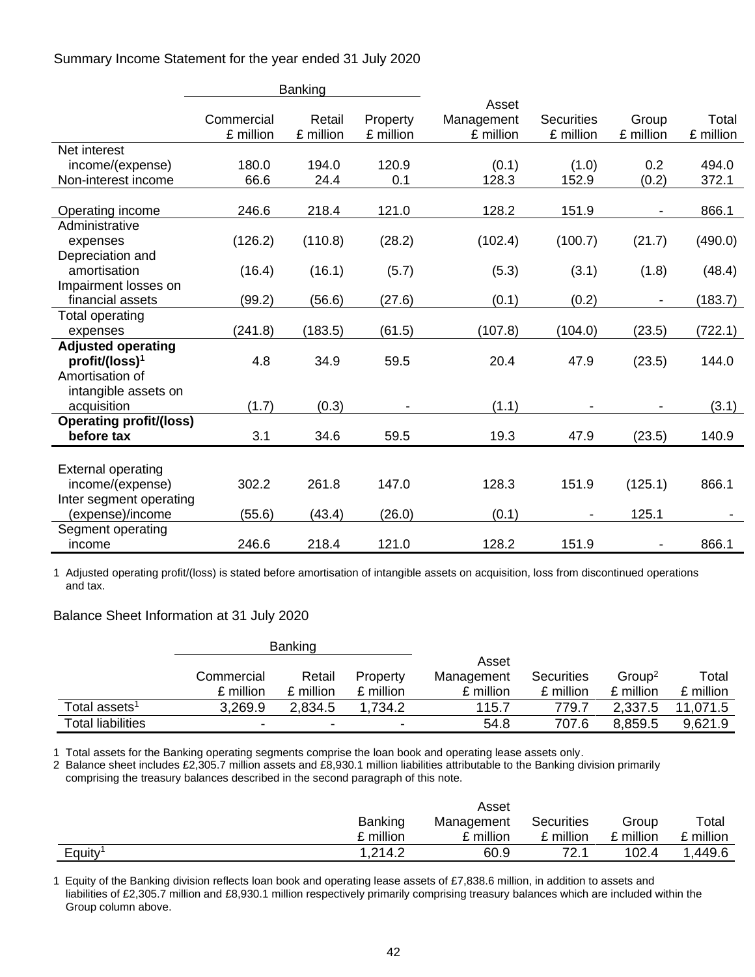Summary Income Statement for the year ended 31 July 2020

|                                |            | Banking   |           |            |                   |           |           |
|--------------------------------|------------|-----------|-----------|------------|-------------------|-----------|-----------|
|                                |            |           |           | Asset      |                   |           |           |
|                                | Commercial | Retail    | Property  | Management | <b>Securities</b> | Group     | Total     |
|                                | £ million  | £ million | £ million | £ million  | £ million         | £ million | £ million |
| Net interest                   |            |           |           |            |                   |           |           |
| income/(expense)               | 180.0      | 194.0     | 120.9     | (0.1)      | (1.0)             | 0.2       | 494.0     |
| Non-interest income            | 66.6       | 24.4      | 0.1       | 128.3      | 152.9             | (0.2)     | 372.1     |
|                                |            |           |           |            |                   |           |           |
| Operating income               | 246.6      | 218.4     | 121.0     | 128.2      | 151.9             |           | 866.1     |
| Administrative                 |            |           |           |            |                   |           |           |
| expenses                       | (126.2)    | (110.8)   | (28.2)    | (102.4)    | (100.7)           | (21.7)    | (490.0)   |
| Depreciation and               |            |           |           |            |                   |           |           |
| amortisation                   | (16.4)     | (16.1)    | (5.7)     | (5.3)      | (3.1)             | (1.8)     | (48.4)    |
| Impairment losses on           |            |           |           |            |                   |           |           |
| financial assets               | (99.2)     | (56.6)    | (27.6)    | (0.1)      | (0.2)             |           | (183.7)   |
| <b>Total operating</b>         |            |           |           |            |                   |           |           |
| expenses                       | (241.8)    | (183.5)   | (61.5)    | (107.8)    | (104.0)           | (23.5)    | (722.1)   |
| <b>Adjusted operating</b>      |            |           |           |            |                   |           |           |
| profit/(loss) <sup>1</sup>     | 4.8        | 34.9      | 59.5      | 20.4       | 47.9              | (23.5)    | 144.0     |
| Amortisation of                |            |           |           |            |                   |           |           |
| intangible assets on           |            |           |           |            |                   |           |           |
| acquisition                    | (1.7)      | (0.3)     |           | (1.1)      |                   |           | (3.1)     |
| <b>Operating profit/(loss)</b> |            |           |           |            |                   |           |           |
| before tax                     | 3.1        | 34.6      | 59.5      | 19.3       | 47.9              | (23.5)    | 140.9     |
|                                |            |           |           |            |                   |           |           |
| <b>External operating</b>      |            |           |           |            |                   |           |           |
| income/(expense)               | 302.2      | 261.8     | 147.0     | 128.3      | 151.9             | (125.1)   | 866.1     |
| Inter segment operating        |            |           |           |            |                   |           |           |
| (expense)/income               | (55.6)     | (43.4)    | (26.0)    | (0.1)      |                   | 125.1     |           |
| Segment operating              |            |           |           |            |                   |           |           |
| income                         | 246.6      | 218.4     | 121.0     | 128.2      | 151.9             |           | 866.1     |

1 Adjusted operating profit/(loss) is stated before amortisation of intangible assets on acquisition, loss from discontinued operations and tax.

## Balance Sheet Information at 31 July 2020

|                                            |                          | <b>Banking</b> |           |            |            |                    |           |
|--------------------------------------------|--------------------------|----------------|-----------|------------|------------|--------------------|-----------|
|                                            |                          |                |           | Asset      |            |                    |           |
|                                            | Commercial               | Retail         | Property  | Management | Securities | Group <sup>2</sup> | Total     |
|                                            | £ million                | £ million      | £ million | £ million  | £ million  | £ million          | £ million |
| Total assets $^{\rm \scriptscriptstyle 1}$ | 3,269.9                  | 2,834.5        | .734.2    | 115.7      | 779.7      | 2,337.5            | 1,071.5   |
| <b>Total liabilities</b>                   | $\overline{\phantom{0}}$ | ۰              | ۰         | 54.8       | 707.6      | 8,859.5            | 9,621.9   |

1 Total assets for the Banking operating segments comprise the loan book and operating lease assets only.

2 Balance sheet includes £2,305.7 million assets and £8,930.1 million liabilities attributable to the Banking division primarily comprising the treasury balances described in the second paragraph of this note.

|                     |                | Asset      |                   |         |           |
|---------------------|----------------|------------|-------------------|---------|-----------|
|                     | <b>Banking</b> | Management | <b>Securities</b> | Group   | Total     |
|                     | £ million      | £ million  | £ million         | million | £ million |
| Equity <sup>1</sup> | 1,214.2        | 60.9       | 72.               | 102.4   | .449.6    |

1 Equity of the Banking division reflects loan book and operating lease assets of £7,838.6 million, in addition to assets and liabilities of £2,305.7 million and £8,930.1 million respectively primarily comprising treasury balances which are included within the Group column above.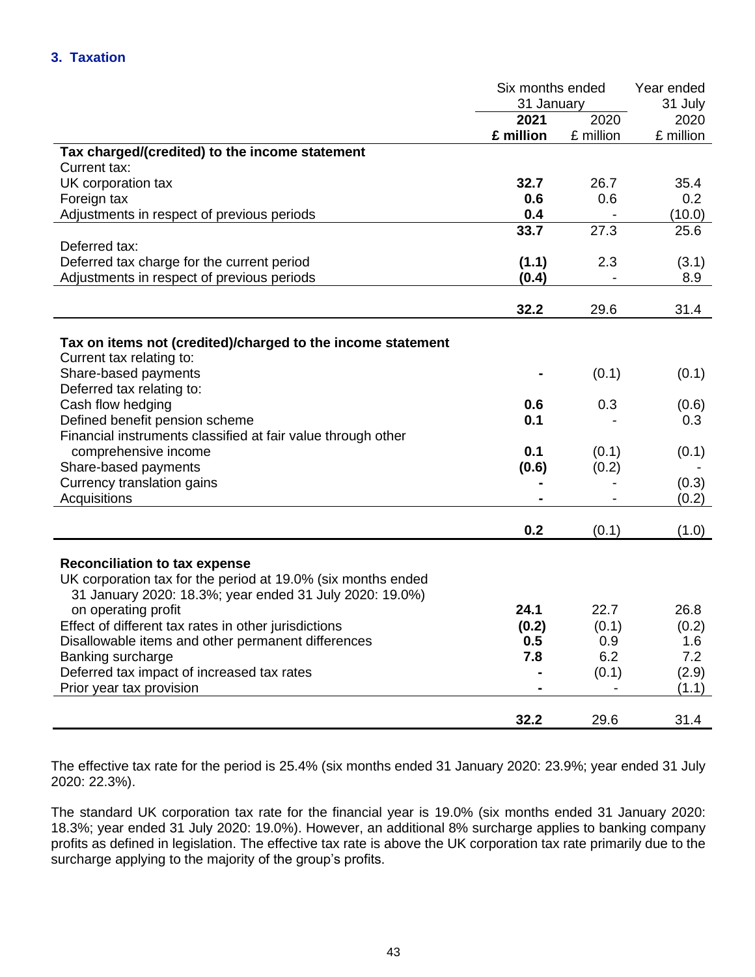|                                                              | Six months ended |                   | Year ended |  |
|--------------------------------------------------------------|------------------|-------------------|------------|--|
|                                                              | 31 January       |                   | 31 July    |  |
|                                                              | 2021             | $\overline{20}20$ | 2020       |  |
|                                                              | £ million        | £ million         | £ million  |  |
| Tax charged/(credited) to the income statement               |                  |                   |            |  |
| Current tax:                                                 |                  |                   |            |  |
| UK corporation tax                                           | 32.7             | 26.7              | 35.4       |  |
| Foreign tax                                                  | 0.6              | 0.6               | 0.2        |  |
| Adjustments in respect of previous periods                   | 0.4              |                   | (10.0)     |  |
|                                                              | 33.7             | 27.3              | 25.6       |  |
| Deferred tax:                                                |                  |                   |            |  |
| Deferred tax charge for the current period                   | (1.1)            | 2.3               | (3.1)      |  |
| Adjustments in respect of previous periods                   | (0.4)            |                   | 8.9        |  |
|                                                              |                  |                   |            |  |
|                                                              | 32.2             | 29.6              | 31.4       |  |
|                                                              |                  |                   |            |  |
| Tax on items not (credited)/charged to the income statement  |                  |                   |            |  |
| Current tax relating to:                                     |                  |                   |            |  |
| Share-based payments                                         |                  | (0.1)             | (0.1)      |  |
| Deferred tax relating to:                                    |                  |                   |            |  |
| Cash flow hedging                                            | 0.6              | 0.3               | (0.6)      |  |
| Defined benefit pension scheme                               | 0.1              |                   | 0.3        |  |
| Financial instruments classified at fair value through other |                  |                   |            |  |
| comprehensive income                                         | 0.1              | (0.1)             | (0.1)      |  |
| Share-based payments                                         | (0.6)            | (0.2)             |            |  |
| Currency translation gains                                   |                  |                   | (0.3)      |  |
| Acquisitions                                                 |                  |                   | (0.2)      |  |
|                                                              |                  |                   |            |  |
|                                                              | 0.2              | (0.1)             | (1.0)      |  |
|                                                              |                  |                   |            |  |
| <b>Reconciliation to tax expense</b>                         |                  |                   |            |  |
| UK corporation tax for the period at 19.0% (six months ended |                  |                   |            |  |
| 31 January 2020: 18.3%; year ended 31 July 2020: 19.0%)      |                  |                   |            |  |
| on operating profit                                          | 24.1             | 22.7              | 26.8       |  |
| Effect of different tax rates in other jurisdictions         | (0.2)            | (0.1)             | (0.2)      |  |
| Disallowable items and other permanent differences           | 0.5              | 0.9               | 1.6        |  |
| Banking surcharge                                            | 7.8              | 6.2               | 7.2        |  |
| Deferred tax impact of increased tax rates                   |                  | (0.1)             | (2.9)      |  |
| Prior year tax provision                                     |                  |                   | (1.1)      |  |
|                                                              |                  |                   |            |  |
|                                                              | 32.2             | 29.6              | 31.4       |  |

The effective tax rate for the period is 25.4% (six months ended 31 January 2020: 23.9%; year ended 31 July 2020: 22.3%).

The standard UK corporation tax rate for the financial year is 19.0% (six months ended 31 January 2020: 18.3%; year ended 31 July 2020: 19.0%). However, an additional 8% surcharge applies to banking company profits as defined in legislation. The effective tax rate is above the UK corporation tax rate primarily due to the surcharge applying to the majority of the group's profits.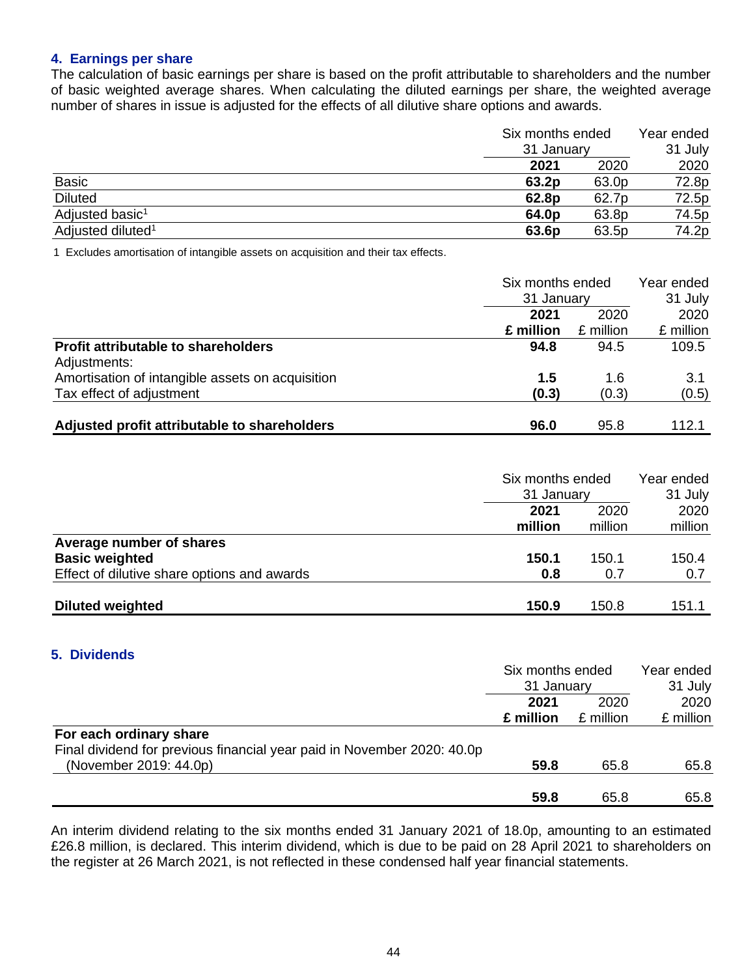### **4. Earnings per share**

The calculation of basic earnings per share is based on the profit attributable to shareholders and the number of basic weighted average shares. When calculating the diluted earnings per share, the weighted average number of shares in issue is adjusted for the effects of all dilutive share options and awards.

|                               | Six months ended<br>31 January |       | Year ended |  |
|-------------------------------|--------------------------------|-------|------------|--|
|                               |                                |       | 31 July    |  |
|                               | 2021                           | 2020  | 2020       |  |
| <b>Basic</b>                  | 63.2p                          | 63.0p | 72.8p      |  |
| <b>Diluted</b>                | 62.8p                          | 62.7p | 72.5p      |  |
| Adjusted basic <sup>1</sup>   | 64.0 <sub>p</sub>              | 63.8p | 74.5p      |  |
| Adjusted diluted <sup>1</sup> | 63.6p                          | 63.5p | 74.2p      |  |

1 Excludes amortisation of intangible assets on acquisition and their tax effects.

|                                                  | Six months ended<br>31 January |           | Year ended<br>31 July |  |
|--------------------------------------------------|--------------------------------|-----------|-----------------------|--|
|                                                  |                                |           |                       |  |
|                                                  | 2020<br>2021                   | 2020      |                       |  |
|                                                  | £ million                      | £ million | £ million             |  |
| <b>Profit attributable to shareholders</b>       | 94.8                           | 94.5      | 109.5                 |  |
| Adjustments:                                     |                                |           |                       |  |
| Amortisation of intangible assets on acquisition | 1.5                            | 1.6       | 3.1                   |  |
| Tax effect of adjustment                         | (0.3)                          | (0.3)     | (0.5)                 |  |
| Adjusted profit attributable to shareholders     | 96.0                           | 95.8      | 112.1                 |  |

|                                             | Six months ended<br>31 January |         | Year ended<br>31 July |  |
|---------------------------------------------|--------------------------------|---------|-----------------------|--|
|                                             | 2021                           | 2020    | 2020                  |  |
|                                             | million                        | million | million               |  |
| Average number of shares                    |                                |         |                       |  |
| <b>Basic weighted</b>                       | 150.1                          | 150.1   | 150.4                 |  |
| Effect of dilutive share options and awards | 0.8                            | 0.7     | 0.7                   |  |
| <b>Diluted weighted</b>                     | 150.9                          | 150.8   | 151.1                 |  |

#### **5. Dividends**

|                                                                         | Six months ended<br>31 January<br>2020<br>2021 |           | Year ended |  |
|-------------------------------------------------------------------------|------------------------------------------------|-----------|------------|--|
|                                                                         |                                                |           | 31 July    |  |
|                                                                         |                                                |           | 2020       |  |
|                                                                         | £ million                                      | £ million | £ million  |  |
| For each ordinary share                                                 |                                                |           |            |  |
| Final dividend for previous financial year paid in November 2020: 40.0p |                                                |           |            |  |
| (November 2019: 44.0p)                                                  | 59.8                                           | 65.8      | 65.8       |  |
|                                                                         |                                                |           |            |  |
|                                                                         | 59.8                                           | 65.8      | 65.8       |  |

An interim dividend relating to the six months ended 31 January 2021 of 18.0p, amounting to an estimated £26.8 million, is declared. This interim dividend, which is due to be paid on 28 April 2021 to shareholders on the register at 26 March 2021, is not reflected in these condensed half year financial statements.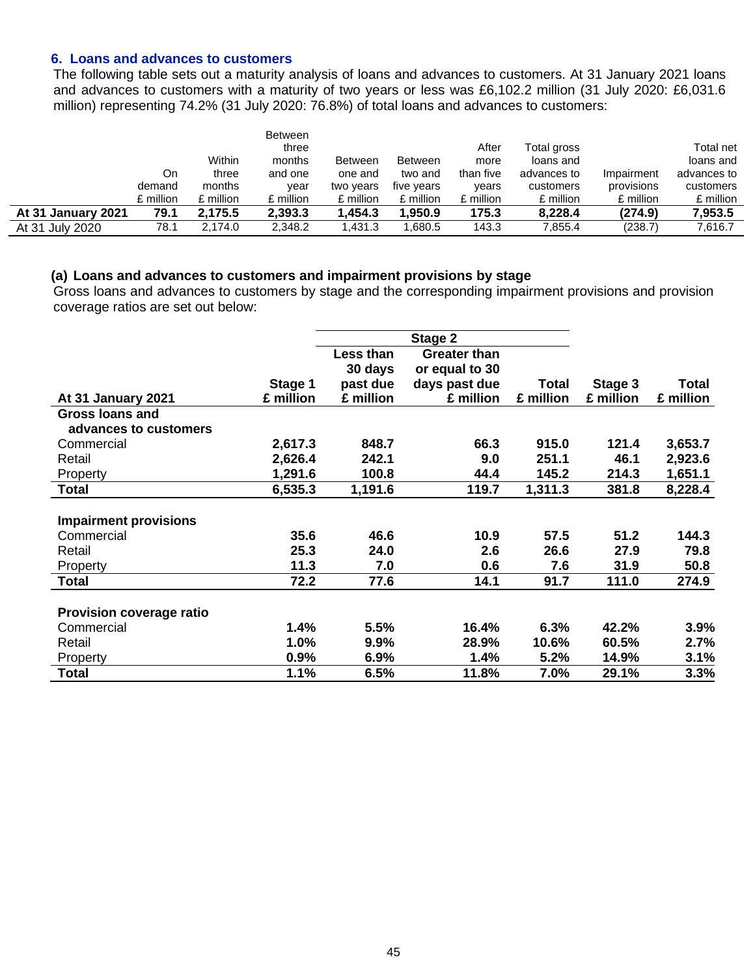#### **6. Loans and advances to customers**

The following table sets out a maturity analysis of loans and advances to customers. At 31 January 2021 loans and advances to customers with a maturity of two years or less was £6,102.2 million (31 July 2020: £6,031.6 million) representing 74.2% (31 July 2020: 76.8%) of total loans and advances to customers:

|                           |           |           | <b>Between</b> |                |                |           |             |            |             |
|---------------------------|-----------|-----------|----------------|----------------|----------------|-----------|-------------|------------|-------------|
|                           |           |           | three          |                |                | After     | Total gross |            | Total net   |
|                           |           | Within    | months         | <b>Between</b> | <b>Between</b> | more      | loans and   |            | loans and   |
|                           | On        | three     | and one        | one and        | two and        | than five | advances to | Impairment | advances to |
|                           | demand    | months    | year           | two years      | five years     | years     | customers   | provisions | customers   |
|                           | £ million | £ million | £ million      | £ million      | £ million      | £ million | £ million   | £ million  | £ million   |
| <b>At 31 January 2021</b> | 79.1      | 2.175.5   | 2,393.3        | 1.454.3        | .950.9         | 175.3     | 8.228.4     | (274.9)    | 7,953.5     |
| At 31 July 2020           | 78.1      | 2,174.0   | 2,348.2        | 1,431.3        | .680.5         | 143.3     | 7,855.4     | (238.7)    | 7,616.7     |

#### **(a) Loans and advances to customers and impairment provisions by stage**

Gross loans and advances to customers by stage and the corresponding impairment provisions and provision coverage ratios are set out below:

|                                 |           |           | Stage 2             |           |           |              |
|---------------------------------|-----------|-----------|---------------------|-----------|-----------|--------------|
|                                 |           | Less than | <b>Greater than</b> |           |           |              |
|                                 |           | 30 days   | or equal to 30      |           |           |              |
|                                 | Stage 1   | past due  | days past due       | Total     | Stage 3   | <b>Total</b> |
| At 31 January 2021              | £ million | £ million | £ million           | £ million | £ million | £ million    |
| <b>Gross loans and</b>          |           |           |                     |           |           |              |
| advances to customers           |           |           |                     |           |           |              |
| Commercial                      | 2,617.3   | 848.7     | 66.3                | 915.0     | 121.4     | 3,653.7      |
| Retail                          | 2,626.4   | 242.1     | 9.0                 | 251.1     | 46.1      | 2,923.6      |
| Property                        | 1,291.6   | 100.8     | 44.4                | 145.2     | 214.3     | 1,651.1      |
| <b>Total</b>                    | 6,535.3   | 1,191.6   | 119.7               | 1,311.3   | 381.8     | 8,228.4      |
|                                 |           |           |                     |           |           |              |
| <b>Impairment provisions</b>    |           |           |                     |           |           |              |
| Commercial                      | 35.6      | 46.6      | 10.9                | 57.5      | 51.2      | 144.3        |
| Retail                          | 25.3      | 24.0      | 2.6                 | 26.6      | 27.9      | 79.8         |
| Property                        | 11.3      | 7.0       | 0.6                 | 7.6       | 31.9      | 50.8         |
| <b>Total</b>                    | 72.2      | 77.6      | 14.1                | 91.7      | 111.0     | 274.9        |
|                                 |           |           |                     |           |           |              |
| <b>Provision coverage ratio</b> |           |           |                     |           |           |              |
| Commercial                      | 1.4%      | 5.5%      | 16.4%               | 6.3%      | 42.2%     | 3.9%         |
| Retail                          | 1.0%      | 9.9%      | 28.9%               | 10.6%     | 60.5%     | 2.7%         |
| Property                        | 0.9%      | 6.9%      | 1.4%                | 5.2%      | 14.9%     | 3.1%         |
| <b>Total</b>                    | 1.1%      | 6.5%      | 11.8%               | 7.0%      | 29.1%     | 3.3%         |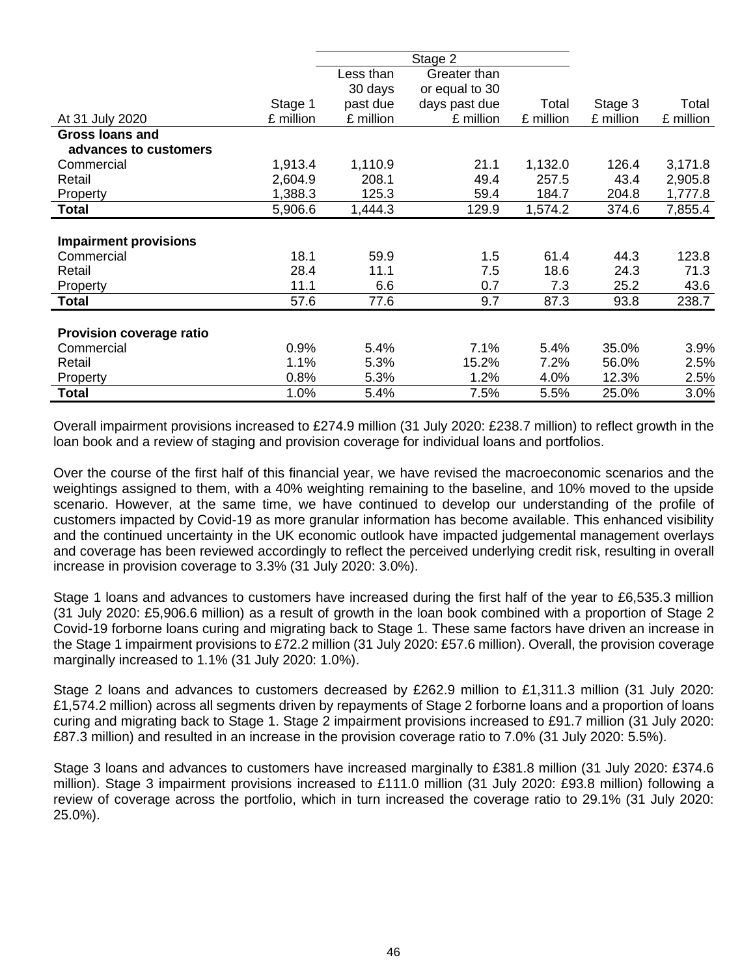|                                 |           |           | Stage 2        |           |           |           |
|---------------------------------|-----------|-----------|----------------|-----------|-----------|-----------|
|                                 |           | Less than | Greater than   |           |           |           |
|                                 |           | 30 days   | or equal to 30 |           |           |           |
|                                 | Stage 1   | past due  | days past due  | Total     | Stage 3   | Total     |
| At 31 July 2020                 | £ million | £ million | £ million      | £ million | £ million | £ million |
| <b>Gross loans and</b>          |           |           |                |           |           |           |
| advances to customers           |           |           |                |           |           |           |
| Commercial                      | 1,913.4   | 1,110.9   | 21.1           | 1,132.0   | 126.4     | 3,171.8   |
| Retail                          | 2,604.9   | 208.1     | 49.4           | 257.5     | 43.4      | 2,905.8   |
| Property                        | 1,388.3   | 125.3     | 59.4           | 184.7     | 204.8     | 1,777.8   |
| <b>Total</b>                    | 5,906.6   | 1,444.3   | 129.9          | 1,574.2   | 374.6     | 7,855.4   |
|                                 |           |           |                |           |           |           |
| <b>Impairment provisions</b>    |           |           |                |           |           |           |
| Commercial                      | 18.1      | 59.9      | 1.5            | 61.4      | 44.3      | 123.8     |
| Retail                          | 28.4      | 11.1      | 7.5            | 18.6      | 24.3      | 71.3      |
| Property                        | 11.1      | 6.6       | 0.7            | 7.3       | 25.2      | 43.6      |
| <b>Total</b>                    | 57.6      | 77.6      | 9.7            | 87.3      | 93.8      | 238.7     |
|                                 |           |           |                |           |           |           |
| <b>Provision coverage ratio</b> |           |           |                |           |           |           |
| Commercial                      | 0.9%      | 5.4%      | 7.1%           | 5.4%      | 35.0%     | 3.9%      |
| Retail                          | 1.1%      | 5.3%      | 15.2%          | 7.2%      | 56.0%     | 2.5%      |
| Property                        | 0.8%      | 5.3%      | 1.2%           | 4.0%      | 12.3%     | 2.5%      |
| <b>Total</b>                    | 1.0%      | 5.4%      | 7.5%           | 5.5%      | 25.0%     | 3.0%      |

Overall impairment provisions increased to £274.9 million (31 July 2020: £238.7 million) to reflect growth in the loan book and a review of staging and provision coverage for individual loans and portfolios.

Over the course of the first half of this financial year, we have revised the macroeconomic scenarios and the weightings assigned to them, with a 40% weighting remaining to the baseline, and 10% moved to the upside scenario. However, at the same time, we have continued to develop our understanding of the profile of customers impacted by Covid-19 as more granular information has become available. This enhanced visibility and the continued uncertainty in the UK economic outlook have impacted judgemental management overlays and coverage has been reviewed accordingly to reflect the perceived underlying credit risk, resulting in overall increase in provision coverage to 3.3% (31 July 2020: 3.0%).

Stage 1 loans and advances to customers have increased during the first half of the year to £6,535.3 million (31 July 2020: £5,906.6 million) as a result of growth in the loan book combined with a proportion of Stage 2 Covid-19 forborne loans curing and migrating back to Stage 1. These same factors have driven an increase in the Stage 1 impairment provisions to £72.2 million (31 July 2020: £57.6 million). Overall, the provision coverage marginally increased to 1.1% (31 July 2020: 1.0%).

Stage 2 loans and advances to customers decreased by £262.9 million to £1,311.3 million (31 July 2020: £1,574.2 million) across all segments driven by repayments of Stage 2 forborne loans and a proportion of loans curing and migrating back to Stage 1. Stage 2 impairment provisions increased to £91.7 million (31 July 2020: £87.3 million) and resulted in an increase in the provision coverage ratio to 7.0% (31 July 2020: 5.5%).

Stage 3 loans and advances to customers have increased marginally to £381.8 million (31 July 2020: £374.6 million). Stage 3 impairment provisions increased to £111.0 million (31 July 2020: £93.8 million) following a review of coverage across the portfolio, which in turn increased the coverage ratio to 29.1% (31 July 2020: 25.0%).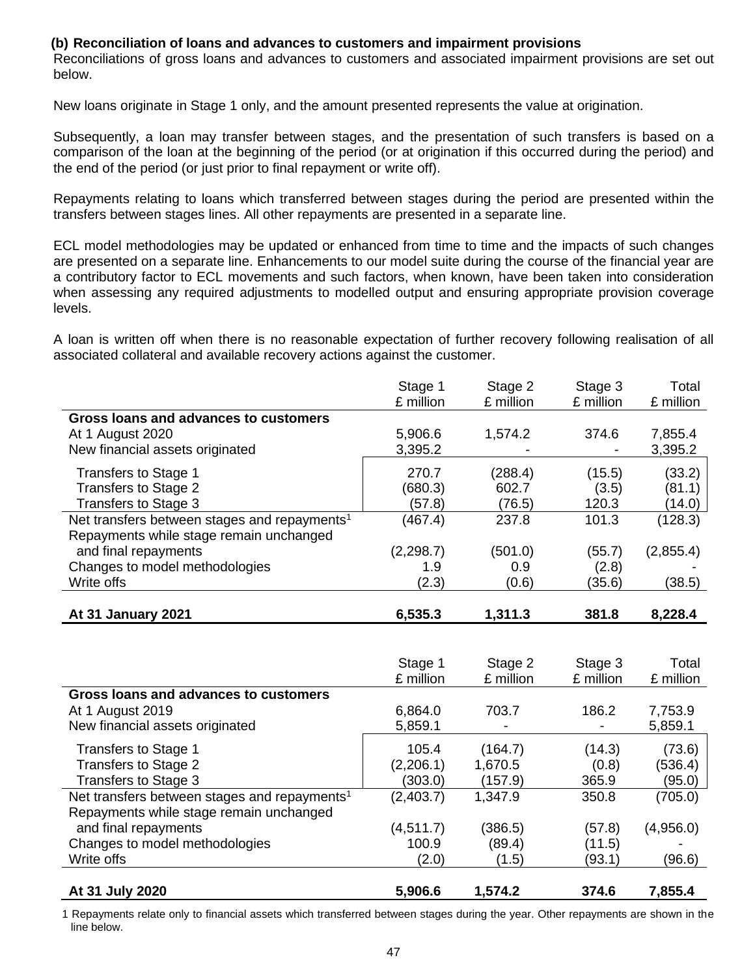#### **(b) Reconciliation of loans and advances to customers and impairment provisions**

Reconciliations of gross loans and advances to customers and associated impairment provisions are set out below.

New loans originate in Stage 1 only, and the amount presented represents the value at origination.

Subsequently, a loan may transfer between stages, and the presentation of such transfers is based on a comparison of the loan at the beginning of the period (or at origination if this occurred during the period) and the end of the period (or just prior to final repayment or write off).

Repayments relating to loans which transferred between stages during the period are presented within the transfers between stages lines. All other repayments are presented in a separate line.

ECL model methodologies may be updated or enhanced from time to time and the impacts of such changes are presented on a separate line. Enhancements to our model suite during the course of the financial year are a contributory factor to ECL movements and such factors, when known, have been taken into consideration when assessing any required adjustments to modelled output and ensuring appropriate provision coverage levels.

A loan is written off when there is no reasonable expectation of further recovery following realisation of all associated collateral and available recovery actions against the customer.

|                                                          | Stage 1<br>£ million | Stage 2<br>£ million | Stage 3<br>£ million | Total<br>£ million |
|----------------------------------------------------------|----------------------|----------------------|----------------------|--------------------|
| Gross loans and advances to customers                    |                      |                      |                      |                    |
| At 1 August 2020                                         | 5,906.6              | 1,574.2              | 374.6                | 7,855.4            |
| New financial assets originated                          | 3,395.2              |                      | $\blacksquare$       | 3,395.2            |
| Transfers to Stage 1                                     | 270.7                | (288.4)              | (15.5)               | (33.2)             |
| Transfers to Stage 2                                     | (680.3)              | 602.7                | (3.5)                | (81.1)             |
| Transfers to Stage 3                                     | (57.8)               | (76.5)               | 120.3                | (14.0)             |
| Net transfers between stages and repayments <sup>1</sup> | (467.4)              | 237.8                | 101.3                | (128.3)            |
| Repayments while stage remain unchanged                  |                      |                      |                      |                    |
| and final repayments                                     | (2, 298.7)           | (501.0)              | (55.7)               | (2,855.4)          |
| Changes to model methodologies                           | 1.9                  | 0.9                  | (2.8)                |                    |
| Write offs                                               | (2.3)                | (0.6)                | (35.6)               | (38.5)             |
| At 31 January 2021                                       | 6,535.3              | 1,311.3              | 381.8                | 8,228.4            |
|                                                          |                      |                      |                      |                    |

|                                                          | Stage 1<br>£ million | Stage 2<br>£ million | Stage 3<br>£ million | Total<br>£ million |
|----------------------------------------------------------|----------------------|----------------------|----------------------|--------------------|
| Gross loans and advances to customers                    |                      |                      |                      |                    |
| At 1 August 2019                                         | 6,864.0              | 703.7                | 186.2                | 7,753.9            |
| New financial assets originated                          | 5,859.1              |                      |                      | 5,859.1            |
| Transfers to Stage 1                                     | 105.4                | (164.7)              | (14.3)               | (73.6)             |
| Transfers to Stage 2                                     | (2,206.1)            | 1,670.5              | (0.8)                | (536.4)            |
| Transfers to Stage 3                                     | (303.0)              | (157.9)              | 365.9                | (95.0)             |
| Net transfers between stages and repayments <sup>1</sup> | (2,403.7)            | 1,347.9              | 350.8                | (705.0)            |
| Repayments while stage remain unchanged                  |                      |                      |                      |                    |
| and final repayments                                     | (4, 511.7)           | (386.5)              | (57.8)               | (4,956.0)          |
| Changes to model methodologies                           | 100.9                | (89.4)               | (11.5)               |                    |
| Write offs                                               | (2.0)                | (1.5)                | (93.1)               | (96.6)             |
|                                                          |                      |                      |                      |                    |
| At 31 July 2020                                          | 5,906.6              | 1,574.2              | 374.6                | 7,855.4            |

1 Repayments relate only to financial assets which transferred between stages during the year. Other repayments are shown in the line below.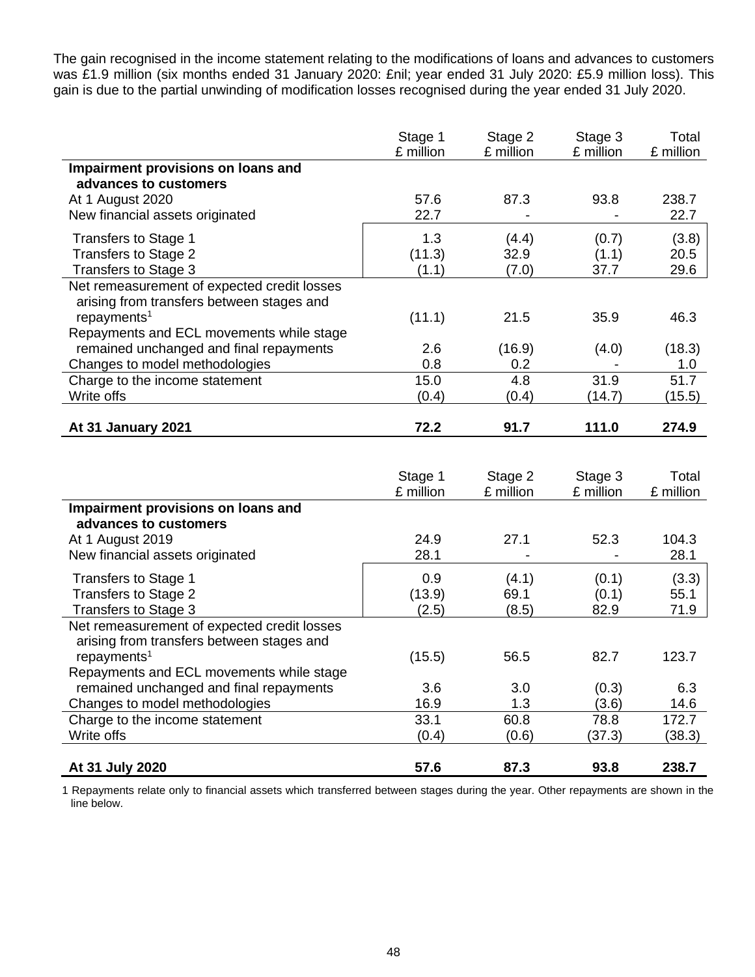The gain recognised in the income statement relating to the modifications of loans and advances to customers was £1.9 million (six months ended 31 January 2020: £nil; year ended 31 July 2020: £5.9 million loss). This gain is due to the partial unwinding of modification losses recognised during the year ended 31 July 2020.

|                                             | Stage 1<br>£ million | Stage 2<br>£ million | Stage 3<br>£ million | Total<br>£ million |
|---------------------------------------------|----------------------|----------------------|----------------------|--------------------|
| Impairment provisions on loans and          |                      |                      |                      |                    |
| advances to customers                       |                      |                      |                      |                    |
| At 1 August 2020                            | 57.6                 | 87.3                 | 93.8                 | 238.7              |
| New financial assets originated             | 22.7                 |                      |                      | 22.7               |
| Transfers to Stage 1                        | 1.3                  | (4.4)                | (0.7)                | (3.8)              |
| Transfers to Stage 2                        | (11.3)               | 32.9                 | (1.1)                | 20.5               |
| Transfers to Stage 3                        | (1.1)                | (7.0)                | 37.7                 | 29.6               |
| Net remeasurement of expected credit losses |                      |                      |                      |                    |
| arising from transfers between stages and   |                      |                      |                      |                    |
| repayments <sup>1</sup>                     | (11.1)               | 21.5                 | 35.9                 | 46.3               |
| Repayments and ECL movements while stage    |                      |                      |                      |                    |
| remained unchanged and final repayments     | 2.6                  | (16.9)               | (4.0)                | (18.3)             |
| Changes to model methodologies              | 0.8                  | 0.2                  |                      | 1.0                |
| Charge to the income statement              | 15.0                 | 4.8                  | 31.9                 | 51.7               |
| Write offs                                  | (0.4)                | (0.4)                | (14.7)               | (15.5)             |
|                                             |                      |                      |                      |                    |
| At 31 January 2021                          | 72.2                 | 91.7                 | 111.0                | 274.9              |
|                                             |                      |                      |                      |                    |

|                                             | Stage 1<br>£ million | Stage 2<br>£ million | Stage 3<br>£ million | Total<br>£ million |
|---------------------------------------------|----------------------|----------------------|----------------------|--------------------|
| Impairment provisions on loans and          |                      |                      |                      |                    |
| advances to customers<br>At 1 August 2019   | 24.9                 | 27.1                 | 52.3                 | 104.3              |
| New financial assets originated             | 28.1                 |                      |                      | 28.1               |
| Transfers to Stage 1                        | 0.9                  | (4.1)                | (0.1)                | (3.3)              |
| Transfers to Stage 2                        | (13.9)               | 69.1                 | (0.1)                | 55.1               |
| Transfers to Stage 3                        | (2.5)                | (8.5)                | 82.9                 | 71.9               |
| Net remeasurement of expected credit losses |                      |                      |                      |                    |
| arising from transfers between stages and   |                      |                      |                      |                    |
| repayments <sup>1</sup>                     | (15.5)               | 56.5                 | 82.7                 | 123.7              |
| Repayments and ECL movements while stage    |                      |                      |                      |                    |
| remained unchanged and final repayments     | 3.6                  | 3.0                  | (0.3)                | 6.3                |
| Changes to model methodologies              | 16.9                 | 1.3                  | (3.6)                | 14.6               |
| Charge to the income statement              | 33.1                 | 60.8                 | 78.8                 | 172.7              |
| Write offs                                  | (0.4)                | (0.6)                | (37.3)               | (38.3)             |
|                                             |                      |                      |                      |                    |
| At 31 July 2020                             | 57.6                 | 87.3                 | 93.8                 | 238.7              |

1 Repayments relate only to financial assets which transferred between stages during the year. Other repayments are shown in the line below.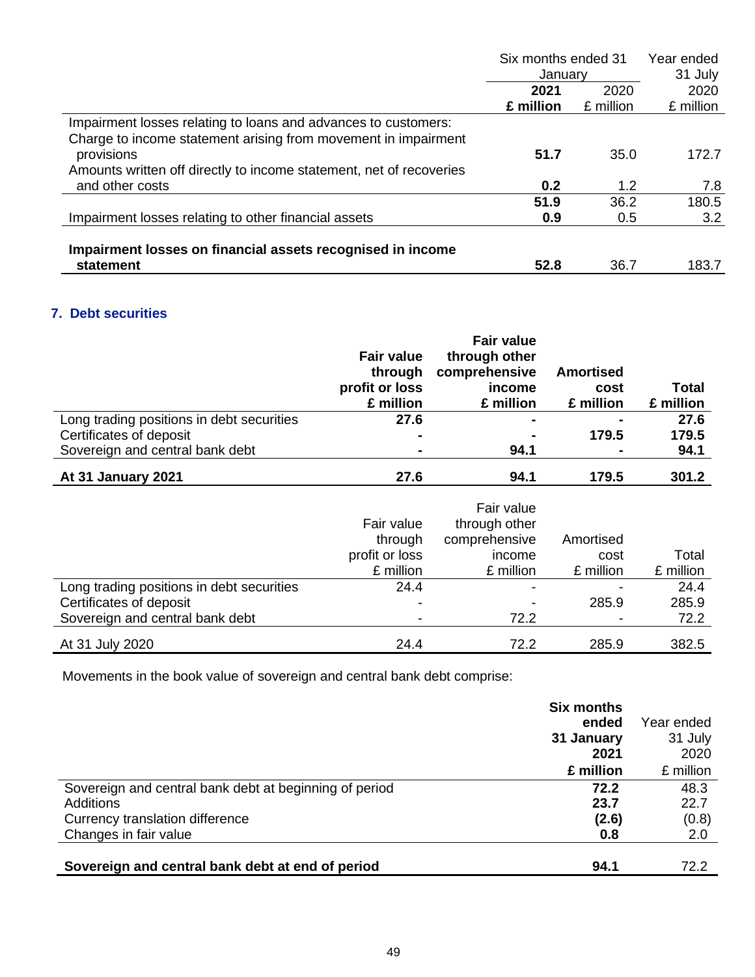|                                                                              | Six months ended 31<br>Januarv |           | Year ended<br>31 July |
|------------------------------------------------------------------------------|--------------------------------|-----------|-----------------------|
|                                                                              | 2021                           | 2020      | 2020                  |
|                                                                              | £ million                      | £ million | £ million             |
| Impairment losses relating to loans and advances to customers:               |                                |           |                       |
| Charge to income statement arising from movement in impairment<br>provisions | 51.7                           | 35.0      | 172.7                 |
| Amounts written off directly to income statement, net of recoveries          |                                |           |                       |
| and other costs                                                              | 0.2                            | 1.2       | 7.8                   |
|                                                                              | 51.9                           | 36.2      | 180.5                 |
| Impairment losses relating to other financial assets                         | 0.9                            | 0.5       | 3.2                   |
| Impairment losses on financial assets recognised in income                   |                                |           |                       |
| statement                                                                    | 52.8                           | 36.7      | 183.7                 |

## **7. Debt securities**

|                                           | <b>Fair value</b><br>through<br>profit or loss<br>£ million | <b>Fair value</b><br>through other<br>comprehensive<br>income<br>£ million | <b>Amortised</b><br>cost<br>£ million | Total<br>£ million |
|-------------------------------------------|-------------------------------------------------------------|----------------------------------------------------------------------------|---------------------------------------|--------------------|
| Long trading positions in debt securities | 27.6                                                        | ۰                                                                          |                                       | 27.6               |
| Certificates of deposit                   | $\blacksquare$                                              | ۰                                                                          | 179.5                                 | 179.5              |
| Sovereign and central bank debt           | $\blacksquare$                                              | 94.1                                                                       | $\blacksquare$                        | 94.1               |
| At 31 January 2021                        | 27.6                                                        | 94.1                                                                       | 179.5                                 | 301.2              |

|                                           | Fair value<br>through<br>profit or loss<br>£ million | Fair value<br>through other<br>comprehensive<br>income<br>£ million | Amortised<br>cost<br>£ million | Total<br>£ million |
|-------------------------------------------|------------------------------------------------------|---------------------------------------------------------------------|--------------------------------|--------------------|
| Long trading positions in debt securities | 24.4                                                 |                                                                     |                                | 24.4               |
| Certificates of deposit                   | -                                                    | $\overline{\phantom{0}}$                                            | 285.9                          | 285.9              |
| Sovereign and central bank debt           | -                                                    | 72.2                                                                |                                | 72.2               |
| At 31 July 2020                           | 24.4                                                 | 72.2                                                                | 285.9                          | 382.5              |

Movements in the book value of sovereign and central bank debt comprise:

|                                                        | <b>Six months</b> |            |
|--------------------------------------------------------|-------------------|------------|
|                                                        | ended             | Year ended |
|                                                        | 31 January        | 31 July    |
|                                                        | 2021              | 2020       |
|                                                        | £ million         | £ million  |
| Sovereign and central bank debt at beginning of period | 72.2              | 48.3       |
| Additions                                              | 23.7              | 22.7       |
| Currency translation difference                        | (2.6)             | (0.8)      |
| Changes in fair value                                  | 0.8               | 2.0        |
|                                                        |                   |            |
| Sovereign and central bank debt at end of period       | 94.1              | 72.2       |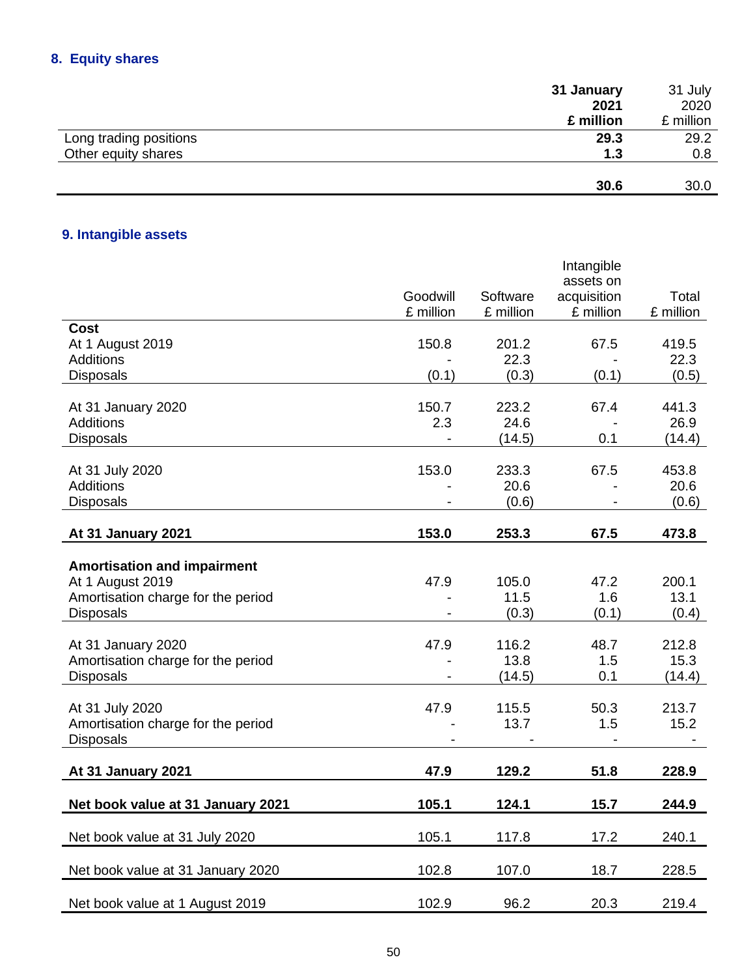## **8. Equity shares**

|                        | 31 January | 31 July   |
|------------------------|------------|-----------|
|                        | 2021       | 2020      |
|                        | £ million  | £ million |
| Long trading positions | 29.3       | 29.2      |
| Other equity shares    | 1.3        | 0.8       |
|                        |            |           |
|                        | 30.6       | 30.0      |

## **9. Intangible assets**

|                                        |              |               | Intangible               |               |
|----------------------------------------|--------------|---------------|--------------------------|---------------|
|                                        | Goodwill     | Software      | assets on<br>acquisition | Total         |
|                                        | £ million    | £ million     | £ million                | £ million     |
| <b>Cost</b>                            |              |               |                          |               |
| At 1 August 2019                       | 150.8        | 201.2         | 67.5                     | 419.5         |
| <b>Additions</b>                       |              | 22.3          |                          | 22.3          |
| <b>Disposals</b>                       | (0.1)        | (0.3)         | (0.1)                    | (0.5)         |
|                                        |              |               |                          |               |
| At 31 January 2020<br><b>Additions</b> | 150.7<br>2.3 | 223.2<br>24.6 | 67.4                     | 441.3<br>26.9 |
| <b>Disposals</b>                       |              | (14.5)        | 0.1                      | (14.4)        |
|                                        |              |               |                          |               |
| At 31 July 2020                        | 153.0        | 233.3         | 67.5                     | 453.8         |
| <b>Additions</b>                       |              | 20.6          |                          | 20.6          |
| <b>Disposals</b>                       |              | (0.6)         |                          | (0.6)         |
|                                        |              |               |                          |               |
| At 31 January 2021                     | 153.0        | 253.3         | 67.5                     | 473.8         |
| <b>Amortisation and impairment</b>     |              |               |                          |               |
| At 1 August 2019                       | 47.9         | 105.0         | 47.2                     | 200.1         |
| Amortisation charge for the period     |              | 11.5          | 1.6                      | 13.1          |
| <b>Disposals</b>                       |              | (0.3)         | (0.1)                    | (0.4)         |
|                                        |              |               |                          |               |
| At 31 January 2020                     | 47.9         | 116.2         | 48.7                     | 212.8         |
| Amortisation charge for the period     |              | 13.8          | 1.5                      | 15.3          |
| <b>Disposals</b>                       |              | (14.5)        | 0.1                      | (14.4)        |
| At 31 July 2020                        | 47.9         | 115.5         | 50.3                     | 213.7         |
| Amortisation charge for the period     |              | 13.7          | 1.5                      | 15.2          |
| <b>Disposals</b>                       |              |               |                          |               |
|                                        |              |               |                          |               |
| At 31 January 2021                     | 47.9         | 129.2         | 51.8                     | 228.9         |
| Net book value at 31 January 2021      | 105.1        | 124.1         | 15.7                     | 244.9         |
|                                        |              |               |                          |               |
| Net book value at 31 July 2020         | 105.1        | 117.8         | 17.2                     | 240.1         |
| Net book value at 31 January 2020      | 102.8        | 107.0         | 18.7                     | 228.5         |
|                                        |              |               |                          |               |
| Net book value at 1 August 2019        | 102.9        | 96.2          | 20.3                     | 219.4         |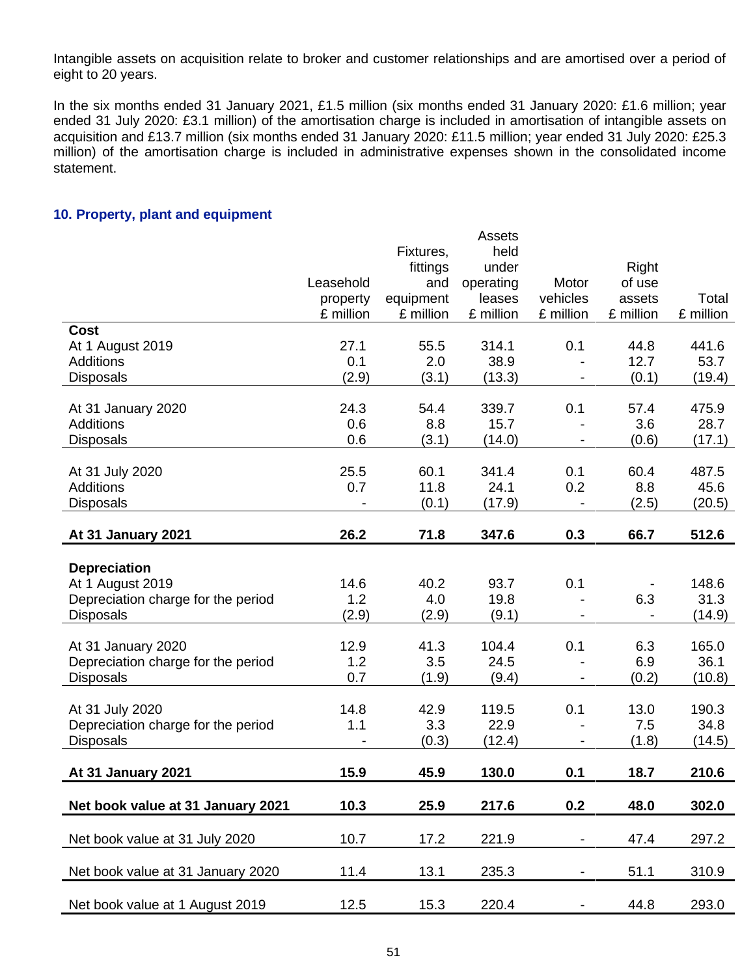Intangible assets on acquisition relate to broker and customer relationships and are amortised over a period of eight to 20 years.

In the six months ended 31 January 2021, £1.5 million (six months ended 31 January 2020: £1.6 million; year ended 31 July 2020: £3.1 million) of the amortisation charge is included in amortisation of intangible assets on acquisition and £13.7 million (six months ended 31 January 2020: £11.5 million; year ended 31 July 2020: £25.3 million) of the amortisation charge is included in administrative expenses shown in the consolidated income statement.

#### **10. Property, plant and equipment**

|                                    |           |           | <b>Assets</b> |                |           |           |
|------------------------------------|-----------|-----------|---------------|----------------|-----------|-----------|
|                                    |           | Fixtures, | held          |                |           |           |
|                                    |           | fittings  | under         |                | Right     |           |
|                                    | Leasehold | and       | operating     | Motor          | of use    |           |
|                                    | property  | equipment | leases        | vehicles       | assets    | Total     |
|                                    | £ million | £ million | £ million     | £ million      | £ million | £ million |
| <b>Cost</b>                        |           |           |               |                |           |           |
| At 1 August 2019                   | 27.1      | 55.5      | 314.1         | 0.1            | 44.8      | 441.6     |
| <b>Additions</b>                   | 0.1       | 2.0       | 38.9          |                | 12.7      | 53.7      |
| <b>Disposals</b>                   | (2.9)     | (3.1)     | (13.3)        |                | (0.1)     | (19.4)    |
|                                    |           |           |               |                |           |           |
| At 31 January 2020                 | 24.3      | 54.4      | 339.7         | 0.1            | 57.4      | 475.9     |
| <b>Additions</b>                   | 0.6       | 8.8       | 15.7          |                | 3.6       | 28.7      |
| <b>Disposals</b>                   | 0.6       | (3.1)     | (14.0)        |                | (0.6)     | (17.1)    |
|                                    |           |           |               |                |           |           |
| At 31 July 2020                    | 25.5      | 60.1      | 341.4         | 0.1            | 60.4      | 487.5     |
| <b>Additions</b>                   | 0.7       | 11.8      | 24.1          | 0.2            | 8.8       | 45.6      |
| <b>Disposals</b>                   |           | (0.1)     | (17.9)        |                | (2.5)     | (20.5)    |
|                                    |           |           |               |                |           |           |
| At 31 January 2021                 | 26.2      | 71.8      | 347.6         | 0.3            | 66.7      | 512.6     |
| <b>Depreciation</b>                |           |           |               |                |           |           |
| At 1 August 2019                   | 14.6      | 40.2      | 93.7          | 0.1            |           | 148.6     |
| Depreciation charge for the period | 1.2       | 4.0       | 19.8          |                | 6.3       | 31.3      |
| <b>Disposals</b>                   | (2.9)     | (2.9)     | (9.1)         |                |           | (14.9)    |
|                                    |           |           |               |                |           |           |
| At 31 January 2020                 | 12.9      | 41.3      | 104.4         | 0.1            | 6.3       | 165.0     |
| Depreciation charge for the period | 1.2       | 3.5       | 24.5          |                | 6.9       | 36.1      |
| <b>Disposals</b>                   | 0.7       | (1.9)     | (9.4)         |                | (0.2)     | (10.8)    |
|                                    |           |           |               |                |           |           |
| At 31 July 2020                    | 14.8      | 42.9      | 119.5         | 0.1            | 13.0      | 190.3     |
| Depreciation charge for the period | 1.1       | 3.3       | 22.9          |                | 7.5       | 34.8      |
| <b>Disposals</b>                   |           | (0.3)     | (12.4)        |                | (1.8)     | (14.5)    |
|                                    |           |           |               |                |           |           |
| At 31 January 2021                 | 15.9      | 45.9      | 130.0         | 0.1            | 18.7      | 210.6     |
|                                    |           |           |               |                |           |           |
| Net book value at 31 January 2021  | 10.3      | 25.9      | 217.6         | 0.2            | 48.0      | 302.0     |
|                                    |           |           |               |                |           |           |
| Net book value at 31 July 2020     | 10.7      | 17.2      | 221.9         | $\blacksquare$ | 47.4      | 297.2     |
|                                    |           |           |               |                |           |           |
| Net book value at 31 January 2020  | 11.4      | 13.1      | 235.3         | -              | 51.1      | 310.9     |
|                                    |           |           |               |                |           |           |
| Net book value at 1 August 2019    | 12.5      | 15.3      | 220.4         | Ξ.             | 44.8      | 293.0     |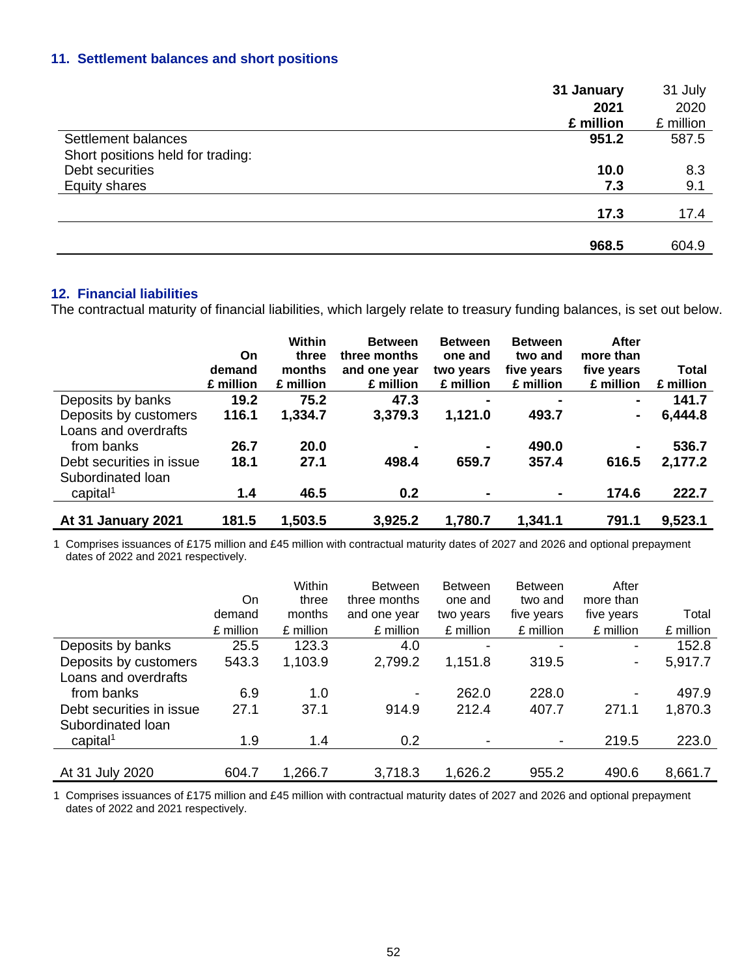## **11. Settlement balances and short positions**

|                                   | 31 January | 31 July   |
|-----------------------------------|------------|-----------|
|                                   | 2021       | 2020      |
|                                   | £ million  | £ million |
| Settlement balances               | 951.2      | 587.5     |
| Short positions held for trading: |            |           |
| Debt securities                   | 10.0       | 8.3       |
| <b>Equity shares</b>              | 7.3        | 9.1       |
|                                   | 17.3       | 17.4      |
|                                   |            |           |
|                                   | 968.5      | 604.9     |

#### **12. Financial liabilities**

The contractual maturity of financial liabilities, which largely relate to treasury funding balances, is set out below.

|                                           | On<br>demand<br>£ million | Within<br>three<br>months<br>£ million | <b>Between</b><br>three months<br>and one year<br>£ million | <b>Between</b><br>one and<br>two years<br>£ million | <b>Between</b><br>two and<br>five years<br>£ million | After<br>more than<br>five years<br>£ million | <b>Total</b><br>£ million |
|-------------------------------------------|---------------------------|----------------------------------------|-------------------------------------------------------------|-----------------------------------------------------|------------------------------------------------------|-----------------------------------------------|---------------------------|
| Deposits by banks                         | 19.2                      | 75.2                                   | 47.3                                                        | $\blacksquare$                                      |                                                      | $\blacksquare$                                | 141.7                     |
| Deposits by customers                     | 116.1                     | 1,334.7                                | 3,379.3                                                     | 1,121.0                                             | 493.7                                                |                                               | 6,444.8                   |
| Loans and overdrafts<br>from banks        | 26.7                      | 20.0                                   | -                                                           | $\blacksquare$                                      | 490.0                                                | $\blacksquare$                                | 536.7                     |
| Debt securities in issue                  | 18.1                      | 27.1                                   | 498.4                                                       | 659.7                                               | 357.4                                                | 616.5                                         | 2,177.2                   |
| Subordinated Ioan<br>capital <sup>1</sup> | 1.4                       | 46.5                                   | 0.2                                                         |                                                     | ۰                                                    | 174.6                                         | 222.7                     |
| At 31 January 2021                        | 181.5                     | 1,503.5                                | 3,925.2                                                     | 1,780.7                                             | 1,341.1                                              | 791.1                                         | 9,523.1                   |

1 Comprises issuances of £175 million and £45 million with contractual maturity dates of 2027 and 2026 and optional prepayment dates of 2022 and 2021 respectively.

|                          |           | Within    | <b>Between</b> | <b>Between</b> | <b>Between</b> | After                    |           |
|--------------------------|-----------|-----------|----------------|----------------|----------------|--------------------------|-----------|
|                          | On        | three     | three months   | one and        | two and        | more than                |           |
|                          | demand    | months    | and one year   | two years      | five years     | five years               | Total     |
|                          | £ million | £ million | £ million      | £ million      | £ million      | £ million                | £ million |
| Deposits by banks        | 25.5      | 123.3     | 4.0            |                |                | $\blacksquare$           | 152.8     |
| Deposits by customers    | 543.3     | 1,103.9   | 2,799.2        | 1,151.8        | 319.5          | $\blacksquare$           | 5,917.7   |
| Loans and overdrafts     |           |           |                |                |                |                          |           |
| from banks               | 6.9       | 1.0       |                | 262.0          | 228.0          | $\overline{\phantom{a}}$ | 497.9     |
| Debt securities in issue | 27.1      | 37.1      | 914.9          | 212.4          | 407.7          | 271.1                    | 1,870.3   |
| Subordinated Ioan        |           |           |                |                |                |                          |           |
| capital <sup>1</sup>     | 1.9       | 1.4       | 0.2            |                |                | 219.5                    | 223.0     |
|                          |           |           |                |                |                |                          |           |
| At 31 July 2020          | 604.7     | 1,266.7   | 3,718.3        | 1,626.2        | 955.2          | 490.6                    | 8,661.7   |

1 Comprises issuances of £175 million and £45 million with contractual maturity dates of 2027 and 2026 and optional prepayment dates of 2022 and 2021 respectively.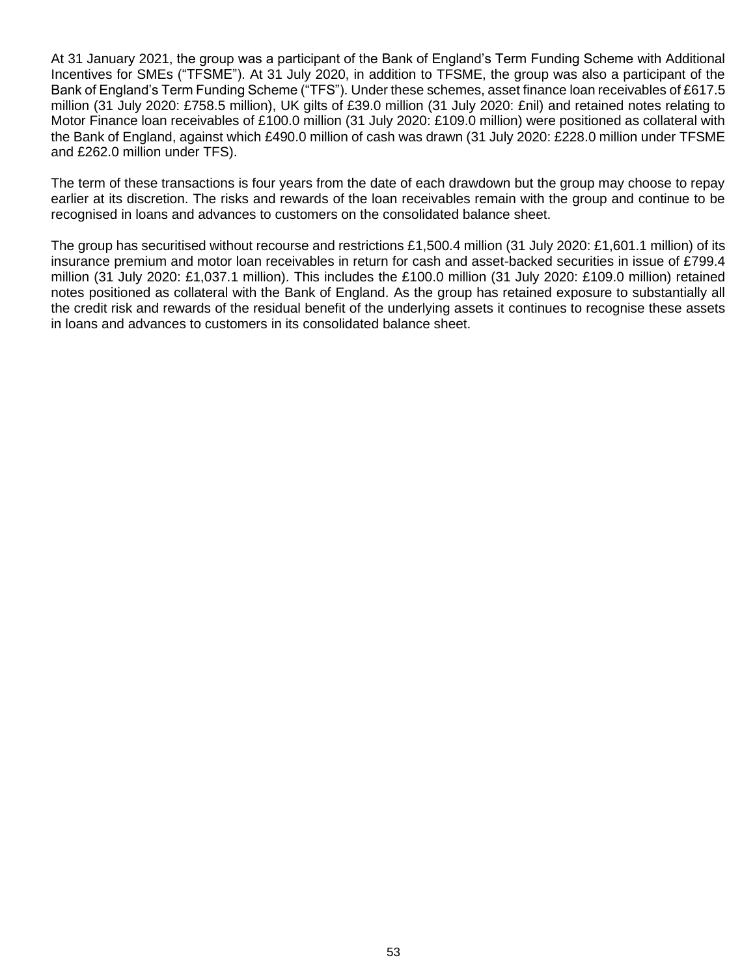At 31 January 2021, the group was a participant of the Bank of England's Term Funding Scheme with Additional Incentives for SMEs ("TFSME"). At 31 July 2020, in addition to TFSME, the group was also a participant of the Bank of England's Term Funding Scheme ("TFS"). Under these schemes, asset finance loan receivables of £617.5 million (31 July 2020: £758.5 million), UK gilts of £39.0 million (31 July 2020: £nil) and retained notes relating to Motor Finance loan receivables of £100.0 million (31 July 2020: £109.0 million) were positioned as collateral with the Bank of England, against which £490.0 million of cash was drawn (31 July 2020: £228.0 million under TFSME and £262.0 million under TFS).

The term of these transactions is four years from the date of each drawdown but the group may choose to repay earlier at its discretion. The risks and rewards of the loan receivables remain with the group and continue to be recognised in loans and advances to customers on the consolidated balance sheet.

The group has securitised without recourse and restrictions £1,500.4 million (31 July 2020: £1,601.1 million) of its insurance premium and motor loan receivables in return for cash and asset-backed securities in issue of £799.4 million (31 July 2020: £1,037.1 million). This includes the £100.0 million (31 July 2020: £109.0 million) retained notes positioned as collateral with the Bank of England. As the group has retained exposure to substantially all the credit risk and rewards of the residual benefit of the underlying assets it continues to recognise these assets in loans and advances to customers in its consolidated balance sheet.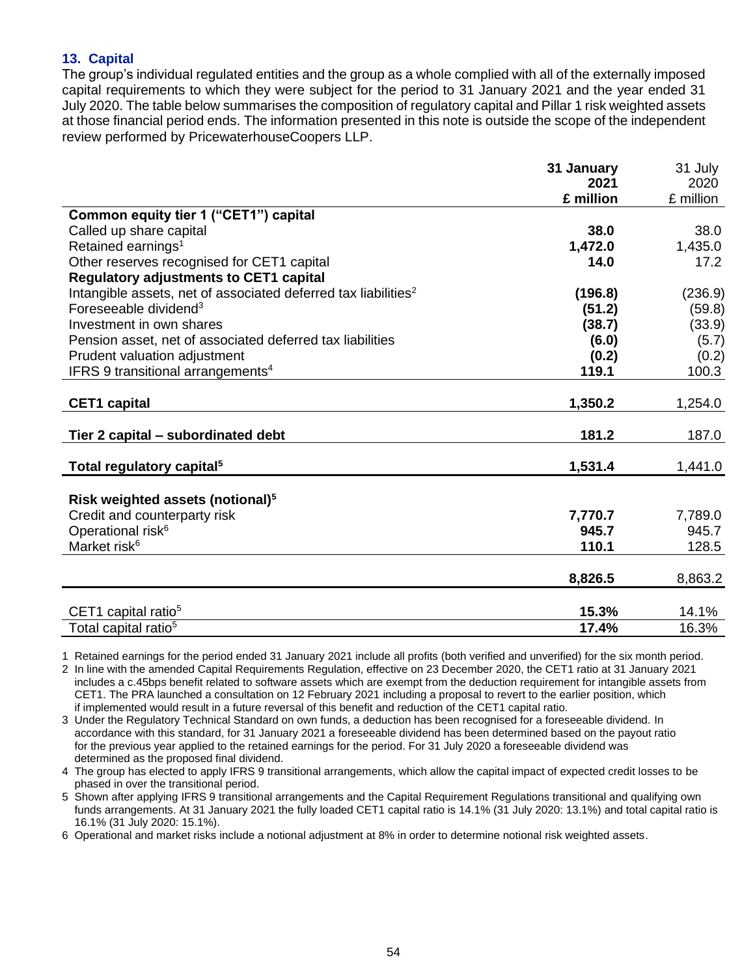## **13. Capital**

The group's individual regulated entities and the group as a whole complied with all of the externally imposed capital requirements to which they were subject for the period to 31 January 2021 and the year ended 31 July 2020. The table below summarises the composition of regulatory capital and Pillar 1 risk weighted assets at those financial period ends. The information presented in this note is outside the scope of the independent review performed by PricewaterhouseCoopers LLP.

|                                                                            | 31 January | 31 July   |
|----------------------------------------------------------------------------|------------|-----------|
|                                                                            | 2021       | 2020      |
|                                                                            | £ million  | £ million |
| Common equity tier 1 ("CET1") capital                                      |            |           |
| Called up share capital                                                    | 38.0       | 38.0      |
| Retained earnings <sup>1</sup>                                             | 1,472.0    | 1,435.0   |
| Other reserves recognised for CET1 capital                                 | 14.0       | 17.2      |
| <b>Regulatory adjustments to CET1 capital</b>                              |            |           |
| Intangible assets, net of associated deferred tax liabilities <sup>2</sup> | (196.8)    | (236.9)   |
| Foreseeable dividend <sup>3</sup>                                          | (51.2)     | (59.8)    |
| Investment in own shares                                                   | (38.7)     | (33.9)    |
| Pension asset, net of associated deferred tax liabilities                  | (6.0)      | (5.7)     |
| Prudent valuation adjustment                                               | (0.2)      | (0.2)     |
| IFRS 9 transitional arrangements <sup>4</sup>                              | 119.1      | 100.3     |
|                                                                            |            |           |
| <b>CET1 capital</b>                                                        | 1,350.2    | 1,254.0   |
| Tier 2 capital – subordinated debt                                         | 181.2      | 187.0     |
| Total regulatory capital <sup>5</sup>                                      | 1,531.4    | 1,441.0   |
|                                                                            |            |           |
| Risk weighted assets (notional) <sup>5</sup>                               |            |           |
| Credit and counterparty risk                                               | 7,770.7    | 7,789.0   |
| Operational risk <sup>6</sup>                                              | 945.7      | 945.7     |
| Market risk <sup>6</sup>                                                   | 110.1      | 128.5     |
|                                                                            | 8,826.5    | 8,863.2   |
|                                                                            | 15.3%      | 14.1%     |
| CET1 capital ratio <sup>5</sup><br>Total capital ratio <sup>5</sup>        | 17.4%      | 16.3%     |
|                                                                            |            |           |

1 Retained earnings for the period ended 31 January 2021 include all profits (both verified and unverified) for the six month period.

2 In line with the amended Capital Requirements Regulation, effective on 23 December 2020, the CET1 ratio at 31 January 2021 includes a c.45bps benefit related to software assets which are exempt from the deduction requirement for intangible assets from CET1. The PRA launched a consultation on 12 February 2021 including a proposal to revert to the earlier position, which if implemented would result in a future reversal of this benefit and reduction of the CET1 capital ratio.

3 Under the Regulatory Technical Standard on own funds, a deduction has been recognised for a foreseeable dividend. In accordance with this standard, for 31 January 2021 a foreseeable dividend has been determined based on the payout ratio for the previous year applied to the retained earnings for the period. For 31 July 2020 a foreseeable dividend was determined as the proposed final dividend.

4 The group has elected to apply IFRS 9 transitional arrangements, which allow the capital impact of expected credit losses to be phased in over the transitional period.

5 Shown after applying IFRS 9 transitional arrangements and the Capital Requirement Regulations transitional and qualifying own funds arrangements. At 31 January 2021 the fully loaded CET1 capital ratio is 14.1% (31 July 2020: 13.1%) and total capital ratio is 16.1% (31 July 2020: 15.1%).

6 Operational and market risks include a notional adjustment at 8% in order to determine notional risk weighted assets.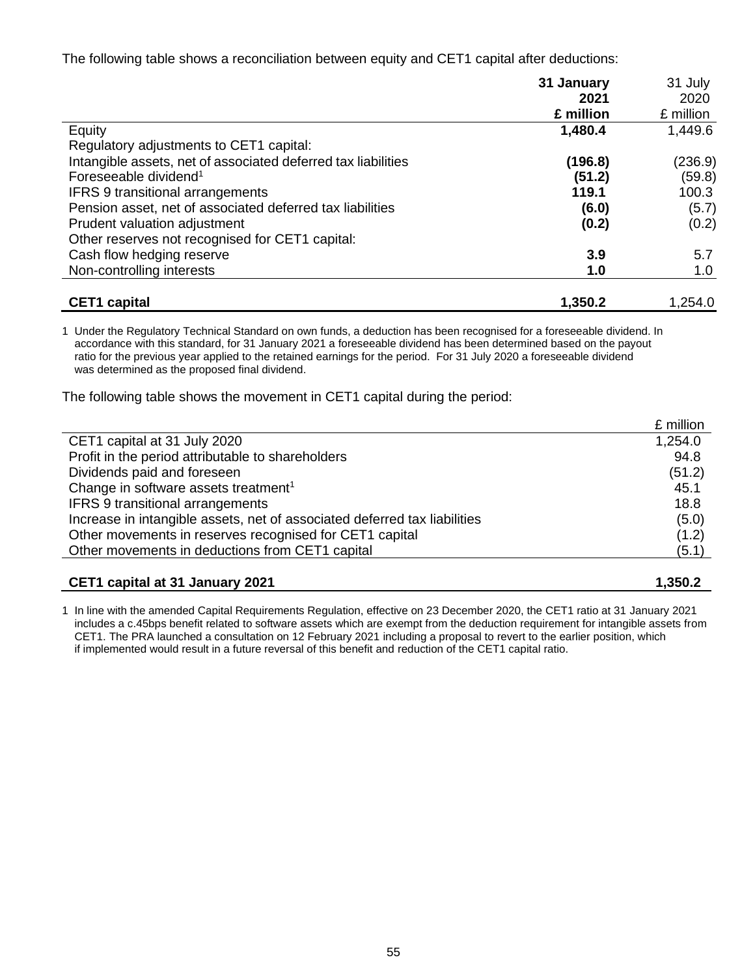The following table shows a reconciliation between equity and CET1 capital after deductions:

|                                                               | 31 January | 31 July   |
|---------------------------------------------------------------|------------|-----------|
|                                                               | 2021       | 2020      |
|                                                               | £ million  | £ million |
| Equity                                                        | 1,480.4    | 1,449.6   |
| Regulatory adjustments to CET1 capital:                       |            |           |
| Intangible assets, net of associated deferred tax liabilities | (196.8)    | (236.9)   |
| Foreseeable dividend <sup>1</sup>                             | (51.2)     | (59.8)    |
| <b>IFRS 9 transitional arrangements</b>                       | 119.1      | 100.3     |
| Pension asset, net of associated deferred tax liabilities     | (6.0)      | (5.7)     |
| Prudent valuation adjustment                                  | (0.2)      | (0.2)     |
| Other reserves not recognised for CET1 capital:               |            |           |
| Cash flow hedging reserve                                     | 3.9        | 5.7       |
| Non-controlling interests                                     | 1.0        | 1.0       |
|                                                               |            |           |
| <b>CET1</b> capital                                           | 1,350.2    | 1,254.0   |

1 Under the Regulatory Technical Standard on own funds, a deduction has been recognised for a foreseeable dividend. In accordance with this standard, for 31 January 2021 a foreseeable dividend has been determined based on the payout ratio for the previous year applied to the retained earnings for the period. For 31 July 2020 a foreseeable dividend was determined as the proposed final dividend.

The following table shows the movement in CET1 capital during the period:

|                                                                           | £ million |
|---------------------------------------------------------------------------|-----------|
| CET1 capital at 31 July 2020                                              | 1,254.0   |
| Profit in the period attributable to shareholders                         | 94.8      |
| Dividends paid and foreseen                                               | (51.2)    |
| Change in software assets treatment <sup>1</sup>                          | 45.1      |
| <b>IFRS 9 transitional arrangements</b>                                   | 18.8      |
| Increase in intangible assets, net of associated deferred tax liabilities | (5.0)     |
| Other movements in reserves recognised for CET1 capital                   | (1.2)     |
| Other movements in deductions from CET1 capital                           | (5.1)     |
|                                                                           |           |

1 In line with the amended Capital Requirements Regulation, effective on 23 December 2020, the CET1 ratio at 31 January 2021 includes a c.45bps benefit related to software assets which are exempt from the deduction requirement for intangible assets from CET1. The PRA launched a consultation on 12 February 2021 including a proposal to revert to the earlier position, which if implemented would result in a future reversal of this benefit and reduction of the CET1 capital ratio.

**CET1 capital at 31 January 2021 1,350.2**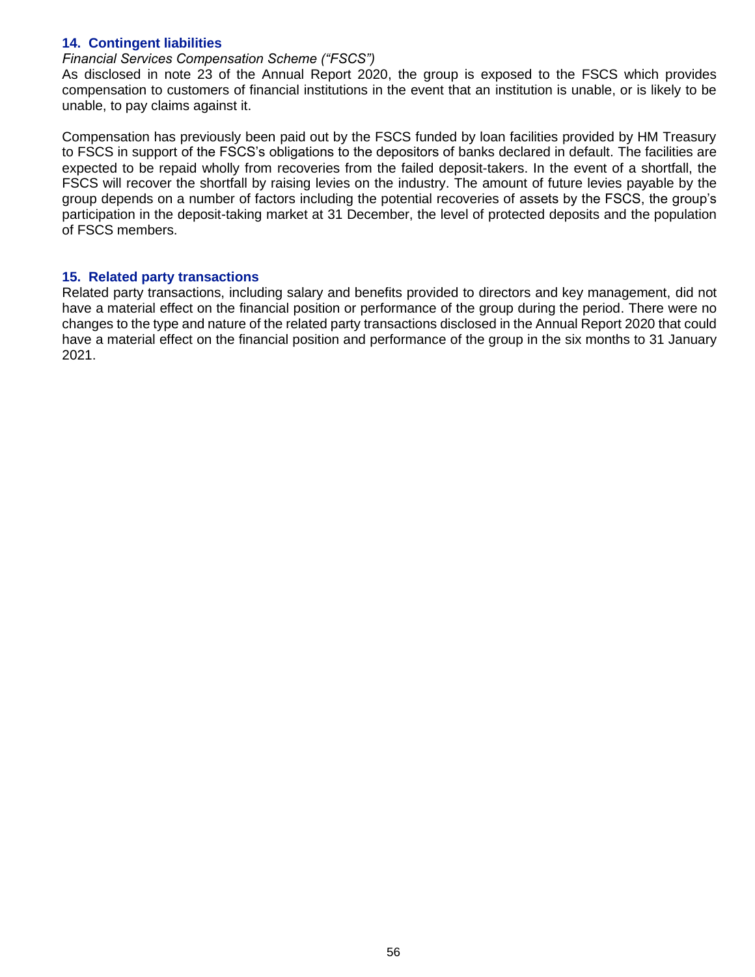### **14. Contingent liabilities**

#### *Financial Services Compensation Scheme ("FSCS")*

As disclosed in note 23 of the Annual Report 2020, the group is exposed to the FSCS which provides compensation to customers of financial institutions in the event that an institution is unable, or is likely to be unable, to pay claims against it.

Compensation has previously been paid out by the FSCS funded by loan facilities provided by HM Treasury to FSCS in support of the FSCS's obligations to the depositors of banks declared in default. The facilities are expected to be repaid wholly from recoveries from the failed deposit-takers. In the event of a shortfall, the FSCS will recover the shortfall by raising levies on the industry. The amount of future levies payable by the group depends on a number of factors including the potential recoveries of assets by the FSCS, the group's participation in the deposit-taking market at 31 December, the level of protected deposits and the population of FSCS members.

#### **15. Related party transactions**

Related party transactions, including salary and benefits provided to directors and key management, did not have a material effect on the financial position or performance of the group during the period. There were no changes to the type and nature of the related party transactions disclosed in the Annual Report 2020 that could have a material effect on the financial position and performance of the group in the six months to 31 January 2021.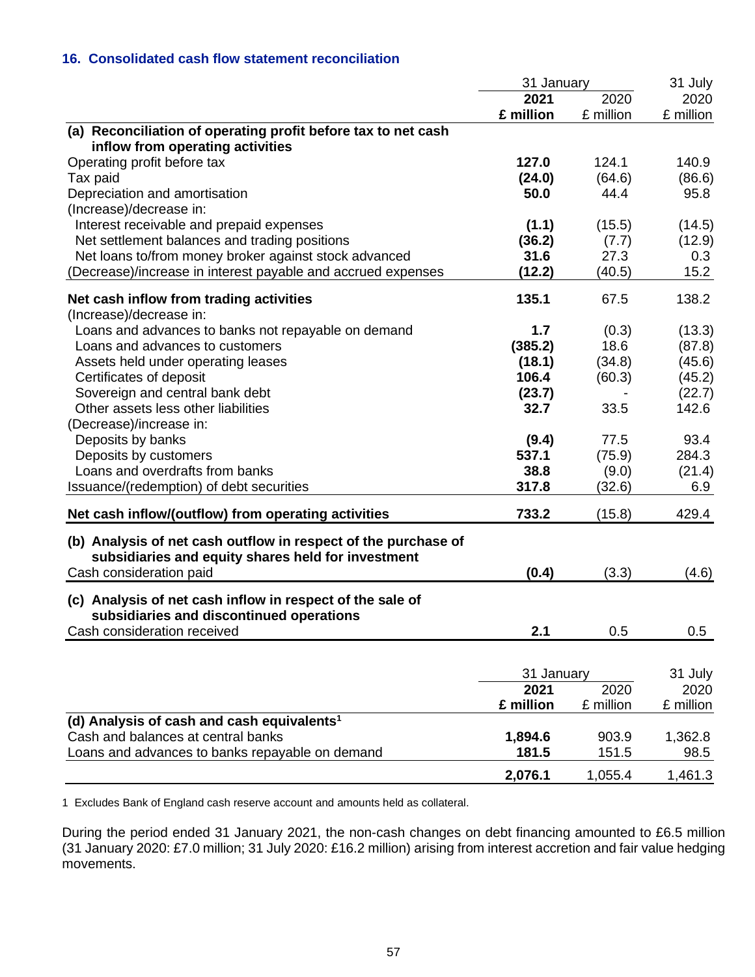## **16. Consolidated cash flow statement reconciliation**

|                                                                | 31 January |           | 31 July   |  |
|----------------------------------------------------------------|------------|-----------|-----------|--|
|                                                                | 2021       | 2020      | 2020      |  |
|                                                                | £ million  | £ million | £ million |  |
| (a) Reconciliation of operating profit before tax to net cash  |            |           |           |  |
| inflow from operating activities                               |            |           |           |  |
| Operating profit before tax                                    | 127.0      | 124.1     | 140.9     |  |
| Tax paid                                                       | (24.0)     | (64.6)    | (86.6)    |  |
| Depreciation and amortisation                                  | 50.0       | 44.4      | 95.8      |  |
| (Increase)/decrease in:                                        |            |           |           |  |
| Interest receivable and prepaid expenses                       | (1.1)      | (15.5)    | (14.5)    |  |
| Net settlement balances and trading positions                  | (36.2)     | (7.7)     | (12.9)    |  |
| Net loans to/from money broker against stock advanced          | 31.6       | 27.3      | 0.3       |  |
| (Decrease)/increase in interest payable and accrued expenses   | (12.2)     | (40.5)    | 15.2      |  |
| Net cash inflow from trading activities                        | 135.1      | 67.5      | 138.2     |  |
| (Increase)/decrease in:                                        |            |           |           |  |
| Loans and advances to banks not repayable on demand            | 1.7        | (0.3)     | (13.3)    |  |
| Loans and advances to customers                                | (385.2)    | 18.6      | (87.8)    |  |
| Assets held under operating leases                             | (18.1)     | (34.8)    | (45.6)    |  |
| Certificates of deposit                                        | 106.4      | (60.3)    | (45.2)    |  |
| Sovereign and central bank debt                                | (23.7)     |           | (22.7)    |  |
| Other assets less other liabilities                            | 32.7       | 33.5      | 142.6     |  |
| (Decrease)/increase in:                                        |            |           |           |  |
| Deposits by banks                                              | (9.4)      | 77.5      | 93.4      |  |
| Deposits by customers                                          | 537.1      | (75.9)    | 284.3     |  |
| Loans and overdrafts from banks                                | 38.8       | (9.0)     | (21.4)    |  |
| Issuance/(redemption) of debt securities                       | 317.8      | (32.6)    | 6.9       |  |
|                                                                |            |           |           |  |
| Net cash inflow/(outflow) from operating activities            | 733.2      | (15.8)    | 429.4     |  |
| (b) Analysis of net cash outflow in respect of the purchase of |            |           |           |  |
| subsidiaries and equity shares held for investment             |            |           |           |  |
| Cash consideration paid                                        | (0.4)      | (3.3)     | (4.6)     |  |
|                                                                |            |           |           |  |
| (c) Analysis of net cash inflow in respect of the sale of      |            |           |           |  |
| subsidiaries and discontinued operations                       |            |           |           |  |
| Cash consideration received                                    | 2.1        | 0.5       | 0.5       |  |
|                                                                |            |           |           |  |
|                                                                | 31 January |           | 31 July   |  |
|                                                                | 2021       | 2020      | 2020      |  |
|                                                                | £ million  | £ million | £ million |  |
| (d) Analysis of cash and cash equivalents <sup>1</sup>         |            |           |           |  |
| Cash and balances at central banks                             | 1,894.6    | 903.9     | 1,362.8   |  |
| Loans and advances to banks repayable on demand                | 181.5      | 151.5     | 98.5      |  |
|                                                                |            |           |           |  |
|                                                                | 2,076.1    | 1,055.4   | 1,461.3   |  |

1 Excludes Bank of England cash reserve account and amounts held as collateral.

During the period ended 31 January 2021, the non-cash changes on debt financing amounted to £6.5 million (31 January 2020: £7.0 million; 31 July 2020: £16.2 million) arising from interest accretion and fair value hedging movements.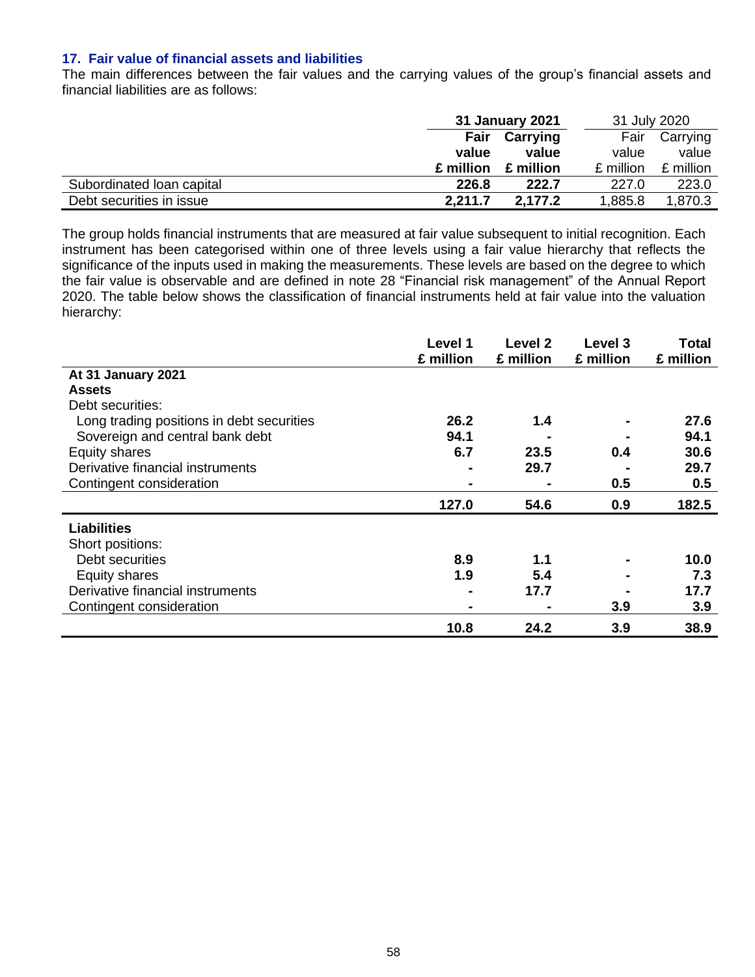#### **17. Fair value of financial assets and liabilities**

The main differences between the fair values and the carrying values of the group's financial assets and financial liabilities are as follows:

|                           | 31 January 2021 |           | 31 July 2020 |           |
|---------------------------|-----------------|-----------|--------------|-----------|
|                           | Fair            | Carrying  | Fair         | Carrying  |
|                           | value           | value     | value        | value     |
|                           | £ million       | £ million | £ million    | £ million |
| Subordinated Ioan capital | 226.8           | 222.7     | 227.0        | 223.0     |
| Debt securities in issue  | 2,211.7         | 2.177.2   | 1,885.8      | 1,870.3   |

The group holds financial instruments that are measured at fair value subsequent to initial recognition. Each instrument has been categorised within one of three levels using a fair value hierarchy that reflects the significance of the inputs used in making the measurements. These levels are based on the degree to which the fair value is observable and are defined in note 28 "Financial risk management" of the Annual Report 2020. The table below shows the classification of financial instruments held at fair value into the valuation hierarchy:

|                                           | Level 1<br>£ million | Level 2<br>£ million | Level 3<br>£ million | Total<br>£ million |
|-------------------------------------------|----------------------|----------------------|----------------------|--------------------|
| At 31 January 2021                        |                      |                      |                      |                    |
| <b>Assets</b>                             |                      |                      |                      |                    |
| Debt securities:                          |                      |                      |                      |                    |
| Long trading positions in debt securities | 26.2                 | 1.4                  |                      | 27.6               |
| Sovereign and central bank debt           | 94.1                 |                      |                      | 94.1               |
| Equity shares                             | 6.7                  | 23.5                 | 0.4                  | 30.6               |
| Derivative financial instruments          |                      | 29.7                 |                      | 29.7               |
| Contingent consideration                  | ٠                    |                      | 0.5                  | 0.5                |
|                                           | 127.0                | 54.6                 | 0.9                  | 182.5              |
| <b>Liabilities</b>                        |                      |                      |                      |                    |
| Short positions:                          |                      |                      |                      |                    |
| Debt securities                           | 8.9                  | 1.1                  |                      | 10.0               |
| Equity shares                             | 1.9                  | 5.4                  |                      | 7.3                |
| Derivative financial instruments          | $\blacksquare$       | 17.7                 |                      | 17.7               |
| Contingent consideration                  | $\blacksquare$       |                      | 3.9                  | 3.9                |
|                                           | 10.8                 | 24.2                 | 3.9                  | 38.9               |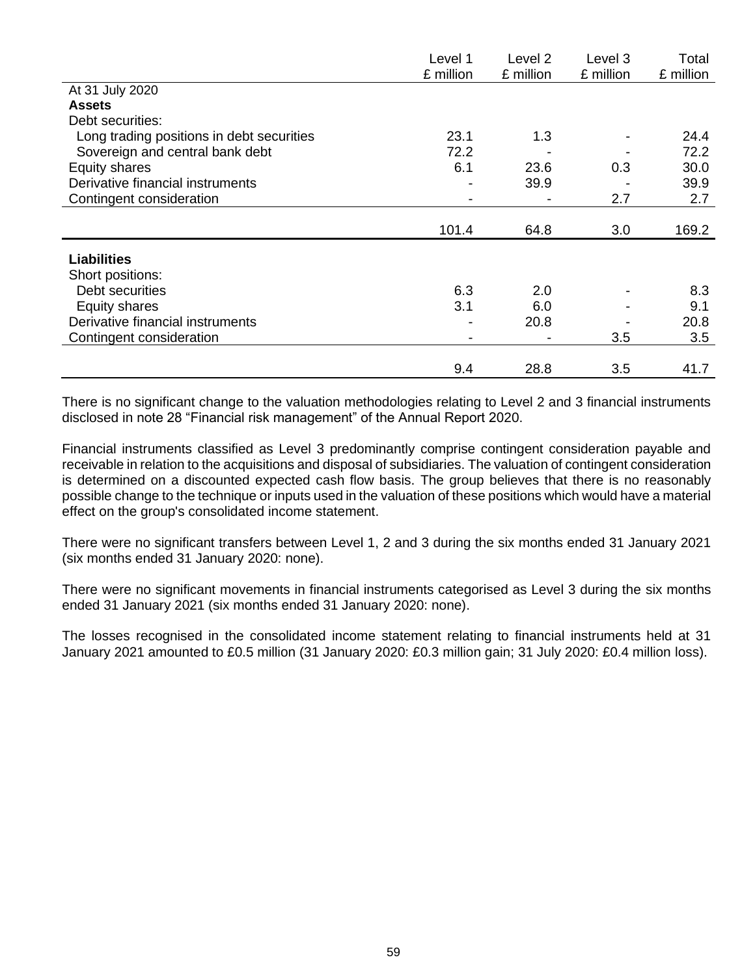|                                           | Level 1   | Level <sub>2</sub> | Level 3   | Total     |
|-------------------------------------------|-----------|--------------------|-----------|-----------|
|                                           | £ million | £ million          | £ million | £ million |
| At 31 July 2020                           |           |                    |           |           |
| <b>Assets</b>                             |           |                    |           |           |
| Debt securities:                          |           |                    |           |           |
| Long trading positions in debt securities | 23.1      | 1.3                |           | 24.4      |
| Sovereign and central bank debt           | 72.2      |                    |           | 72.2      |
| <b>Equity shares</b>                      | 6.1       | 23.6               | 0.3       | 30.0      |
| Derivative financial instruments          |           | 39.9               |           | 39.9      |
| Contingent consideration                  |           |                    | 2.7       | 2.7       |
|                                           |           |                    |           |           |
|                                           | 101.4     | 64.8               | 3.0       | 169.2     |
| <b>Liabilities</b>                        |           |                    |           |           |
| Short positions:                          |           |                    |           |           |
| Debt securities                           | 6.3       | 2.0                |           | 8.3       |
| Equity shares                             | 3.1       | 6.0                |           | 9.1       |
| Derivative financial instruments          |           | 20.8               |           | 20.8      |
| Contingent consideration                  |           |                    | 3.5       | 3.5       |
|                                           |           |                    |           |           |
|                                           | 9.4       | 28.8               | 3.5       | 41.7      |

There is no significant change to the valuation methodologies relating to Level 2 and 3 financial instruments disclosed in note 28 "Financial risk management" of the Annual Report 2020.

Financial instruments classified as Level 3 predominantly comprise contingent consideration payable and receivable in relation to the acquisitions and disposal of subsidiaries. The valuation of contingent consideration is determined on a discounted expected cash flow basis. The group believes that there is no reasonably possible change to the technique or inputs used in the valuation of these positions which would have a material effect on the group's consolidated income statement.

There were no significant transfers between Level 1, 2 and 3 during the six months ended 31 January 2021 (six months ended 31 January 2020: none).

There were no significant movements in financial instruments categorised as Level 3 during the six months ended 31 January 2021 (six months ended 31 January 2020: none).

The losses recognised in the consolidated income statement relating to financial instruments held at 31 January 2021 amounted to £0.5 million (31 January 2020: £0.3 million gain; 31 July 2020: £0.4 million loss).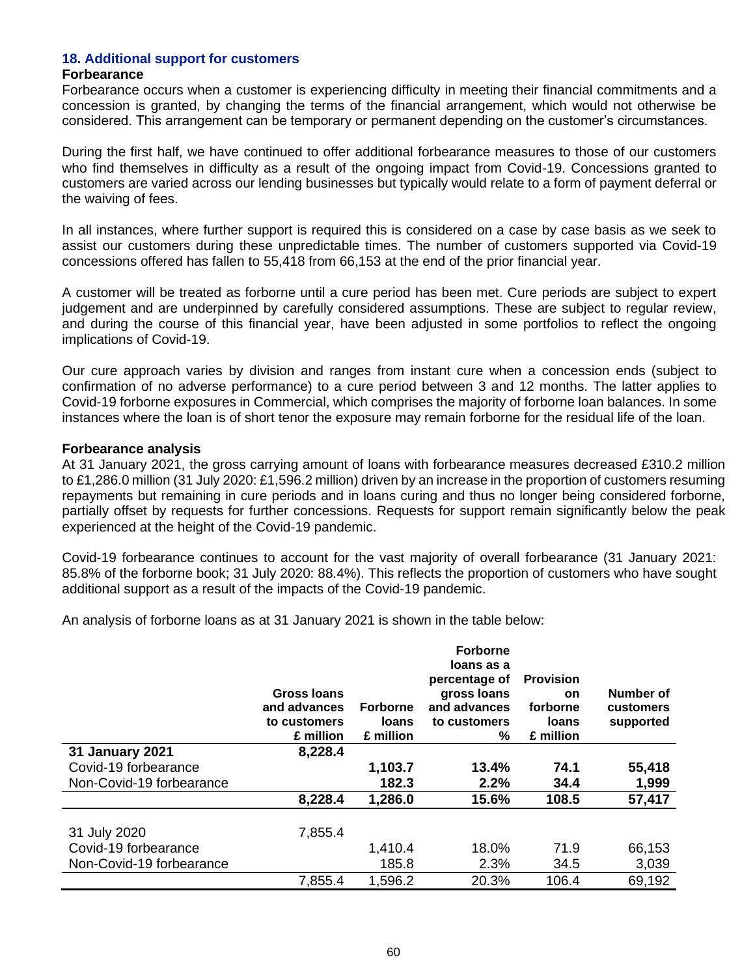### **18. Additional support for customers**

#### **Forbearance**

Forbearance occurs when a customer is experiencing difficulty in meeting their financial commitments and a concession is granted, by changing the terms of the financial arrangement, which would not otherwise be considered. This arrangement can be temporary or permanent depending on the customer's circumstances.

During the first half, we have continued to offer additional forbearance measures to those of our customers who find themselves in difficulty as a result of the ongoing impact from Covid-19. Concessions granted to customers are varied across our lending businesses but typically would relate to a form of payment deferral or the waiving of fees.

In all instances, where further support is required this is considered on a case by case basis as we seek to assist our customers during these unpredictable times. The number of customers supported via Covid-19 concessions offered has fallen to 55,418 from 66,153 at the end of the prior financial year.

A customer will be treated as forborne until a cure period has been met. Cure periods are subject to expert judgement and are underpinned by carefully considered assumptions. These are subject to regular review, and during the course of this financial year, have been adjusted in some portfolios to reflect the ongoing implications of Covid-19.

Our cure approach varies by division and ranges from instant cure when a concession ends (subject to confirmation of no adverse performance) to a cure period between 3 and 12 months. The latter applies to Covid-19 forborne exposures in Commercial, which comprises the majority of forborne loan balances. In some instances where the loan is of short tenor the exposure may remain forborne for the residual life of the loan.

#### **Forbearance analysis**

At 31 January 2021, the gross carrying amount of loans with forbearance measures decreased £310.2 million to £1,286.0 million (31 July 2020: £1,596.2 million) driven by an increase in the proportion of customers resuming repayments but remaining in cure periods and in loans curing and thus no longer being considered forborne, partially offset by requests for further concessions. Requests for support remain significantly below the peak experienced at the height of the Covid-19 pandemic.

Covid-19 forbearance continues to account for the vast majority of overall forbearance (31 January 2021: 85.8% of the forborne book; 31 July 2020: 88.4%). This reflects the proportion of customers who have sought additional support as a result of the impacts of the Covid-19 pandemic.

An analysis of forborne loans as at 31 January 2021 is shown in the table below:

|                          | Gross Ioans<br>and advances<br>to customers<br>£ million | <b>Forborne</b><br><b>loans</b><br>£ million | <b>Forborne</b><br>loans as a<br>percentage of<br>gross loans<br>and advances<br>to customers<br>% | <b>Provision</b><br><b>on</b><br>forborne<br><b>loans</b><br>£ million | Number of<br>customers<br>supported |
|--------------------------|----------------------------------------------------------|----------------------------------------------|----------------------------------------------------------------------------------------------------|------------------------------------------------------------------------|-------------------------------------|
| <b>31 January 2021</b>   | 8,228.4                                                  |                                              |                                                                                                    |                                                                        |                                     |
| Covid-19 forbearance     |                                                          | 1,103.7                                      | 13.4%                                                                                              | 74.1                                                                   | 55,418                              |
| Non-Covid-19 forbearance |                                                          | 182.3                                        | 2.2%                                                                                               | 34.4                                                                   | 1,999                               |
|                          | 8,228.4                                                  | 1,286.0                                      | 15.6%                                                                                              | 108.5                                                                  | 57,417                              |
|                          |                                                          |                                              |                                                                                                    |                                                                        |                                     |
| 31 July 2020             | 7,855.4                                                  |                                              |                                                                                                    |                                                                        |                                     |
| Covid-19 forbearance     |                                                          | 1,410.4                                      | 18.0%                                                                                              | 71.9                                                                   | 66,153                              |
| Non-Covid-19 forbearance |                                                          | 185.8                                        | 2.3%                                                                                               | 34.5                                                                   | 3,039                               |
|                          | 7,855.4                                                  | 1,596.2                                      | 20.3%                                                                                              | 106.4                                                                  | 69,192                              |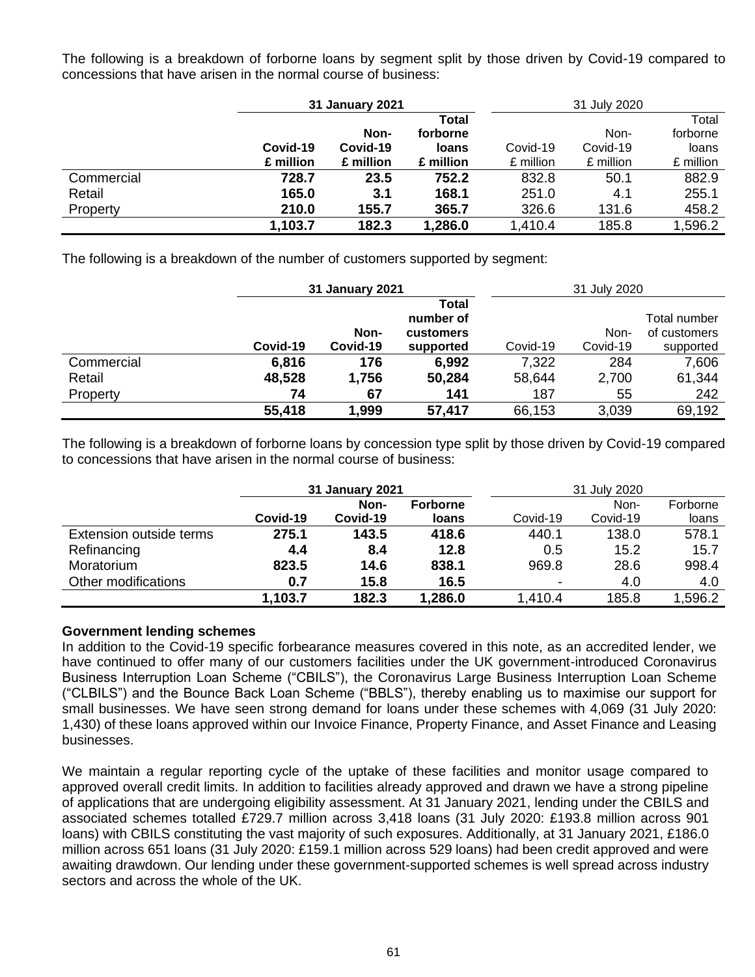The following is a breakdown of forborne loans by segment split by those driven by Covid-19 compared to concessions that have arisen in the normal course of business:

|            | 31 January 2021 |           |              | 31 July 2020 |           |           |
|------------|-----------------|-----------|--------------|--------------|-----------|-----------|
|            |                 |           | Total        |              |           | Total     |
|            |                 | Non-      | forborne     |              | Non-      | forborne  |
|            | Covid-19        | Covid-19  | <b>loans</b> | Covid-19     | Covid-19  | loans     |
|            | £ million       | £ million | £ million    | £ million    | £ million | £ million |
| Commercial | 728.7           | 23.5      | 752.2        | 832.8        | 50.1      | 882.9     |
| Retail     | 165.0           | 3.1       | 168.1        | 251.0        | 4.1       | 255.1     |
| Property   | 210.0           | 155.7     | 365.7        | 326.6        | 131.6     | 458.2     |
|            | 1,103.7         | 182.3     | 1,286.0      | 1,410.4      | 185.8     | 1,596.2   |

The following is a breakdown of the number of customers supported by segment:

|            |          | <b>31 January 2021</b> |                           |          | 31 July 2020 |              |  |
|------------|----------|------------------------|---------------------------|----------|--------------|--------------|--|
|            |          |                        | <b>Total</b><br>number of |          |              | Total number |  |
|            |          | Non-                   | customers                 |          | Non-         | of customers |  |
|            | Covid-19 | Covid-19               | supported                 | Covid-19 | Covid-19     | supported    |  |
| Commercial | 6,816    | 176                    | 6,992                     | 7,322    | 284          | 7,606        |  |
| Retail     | 48,528   | 1,756                  | 50,284                    | 58,644   | 2,700        | 61,344       |  |
| Property   | 74       | 67                     | 141                       | 187      | 55           | 242          |  |
|            | 55,418   | 1,999                  | 57,417                    | 66,153   | 3,039        | 69,192       |  |

The following is a breakdown of forborne loans by concession type split by those driven by Covid-19 compared to concessions that have arisen in the normal course of business:

|                         | 31 January 2021 |          | 31 July 2020    |          |          |          |
|-------------------------|-----------------|----------|-----------------|----------|----------|----------|
|                         |                 | Non-     | <b>Forborne</b> |          | Non-     | Forborne |
|                         | Covid-19        | Covid-19 | <b>loans</b>    | Covid-19 | Covid-19 | loans    |
| Extension outside terms | 275.1           | 143.5    | 418.6           | 440.1    | 138.0    | 578.1    |
| Refinancing             | 4.4             | 8.4      | 12.8            | 0.5      | 15.2     | 15.7     |
| Moratorium              | 823.5           | 14.6     | 838.1           | 969.8    | 28.6     | 998.4    |
| Other modifications     | 0.7             | 15.8     | 16.5            |          | 4.0      | 4.0      |
|                         | 1,103.7         | 182.3    | 1,286.0         | .410.4   | 185.8    | .596.2   |

## **Government lending schemes**

In addition to the Covid-19 specific forbearance measures covered in this note, as an accredited lender, we have continued to offer many of our customers facilities under the UK government-introduced Coronavirus Business Interruption Loan Scheme ("CBILS"), the Coronavirus Large Business Interruption Loan Scheme ("CLBILS") and the Bounce Back Loan Scheme ("BBLS"), thereby enabling us to maximise our support for small businesses. We have seen strong demand for loans under these schemes with 4,069 (31 July 2020: 1,430) of these loans approved within our Invoice Finance, Property Finance, and Asset Finance and Leasing businesses.

We maintain a regular reporting cycle of the uptake of these facilities and monitor usage compared to approved overall credit limits. In addition to facilities already approved and drawn we have a strong pipeline of applications that are undergoing eligibility assessment. At 31 January 2021, lending under the CBILS and associated schemes totalled £729.7 million across 3,418 loans (31 July 2020: £193.8 million across 901 loans) with CBILS constituting the vast majority of such exposures. Additionally, at 31 January 2021, £186.0 million across 651 loans (31 July 2020: £159.1 million across 529 loans) had been credit approved and were awaiting drawdown. Our lending under these government-supported schemes is well spread across industry sectors and across the whole of the UK.